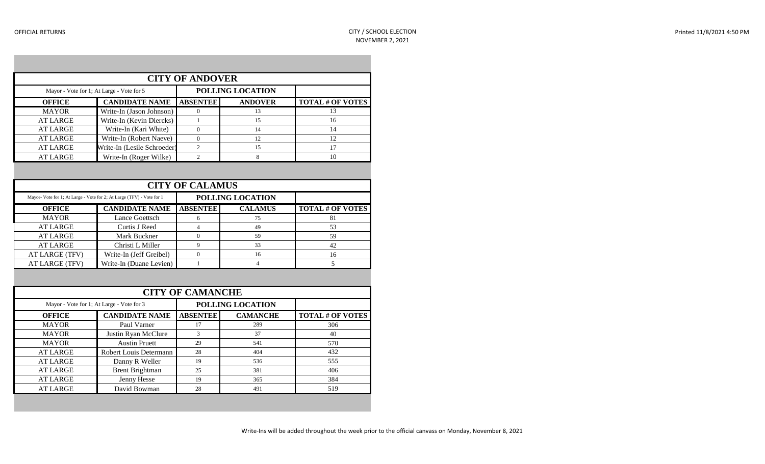| <b>CITY OF ANDOVER</b> |                                           |                 |                  |                         |  |  |  |
|------------------------|-------------------------------------------|-----------------|------------------|-------------------------|--|--|--|
|                        | Mayor - Vote for 1; At Large - Vote for 5 |                 | POLLING LOCATION |                         |  |  |  |
| <b>OFFICE</b>          | <b>CANDIDATE NAME</b>                     | <b>ABSENTEE</b> | <b>ANDOVER</b>   | <b>TOTAL # OF VOTES</b> |  |  |  |
| <b>MAYOR</b>           | Write-In (Jason Johnson)                  |                 | 13               | 13                      |  |  |  |
| <b>AT LARGE</b>        | Write-In (Kevin Diercks)                  |                 | 15               | 16                      |  |  |  |
| <b>AT LARGE</b>        | Write-In (Kari White)                     | $\Omega$        | 14               | 14                      |  |  |  |
| <b>AT LARGE</b>        | Write-In (Robert Naeve)                   |                 | 12               | 12                      |  |  |  |
| <b>AT LARGE</b>        | Write-In (Lesile Schroeder)               | ↑               | 15               | 17                      |  |  |  |
| <b>AT LARGE</b>        | Write-In (Roger Wilke)                    | ↑               | 8                | 10                      |  |  |  |

| <b>CITY OF CALAMUS</b>                                                |                         |                 |                  |                         |  |  |
|-----------------------------------------------------------------------|-------------------------|-----------------|------------------|-------------------------|--|--|
| Mayor- Vote for 1; At Large - Vote for 2; At Large (TFV) - Vote for 1 |                         |                 | POLLING LOCATION |                         |  |  |
| <b>OFFICE</b>                                                         | <b>CANDIDATE NAME</b>   | <b>ABSENTEE</b> | <b>CALAMUS</b>   | <b>TOTAL # OF VOTES</b> |  |  |
| <b>MAYOR</b>                                                          | Lance Goettsch          | 6               | 75               | 81                      |  |  |
| <b>AT LARGE</b>                                                       | Curtis J Reed           | 4               | 49               | 53                      |  |  |
| <b>AT LARGE</b>                                                       | Mark Buckner            |                 | 59               | 59                      |  |  |
| <b>AT LARGE</b>                                                       | Christi L Miller        | 9               | 33               | 42                      |  |  |
| AT LARGE (TFV)                                                        | Write-In (Jeff Greibel) | 0               | 16               | 16                      |  |  |
| AT LARGE (TFV)                                                        | Write-In (Duane Levien) |                 |                  |                         |  |  |

|                 | <b>CITY OF CAMANCHE</b>                   |                 |                  |                  |  |  |  |
|-----------------|-------------------------------------------|-----------------|------------------|------------------|--|--|--|
|                 | Mayor - Vote for 1; At Large - Vote for 3 |                 | POLLING LOCATION |                  |  |  |  |
| <b>OFFICE</b>   | <b>CANDIDATE NAME</b>                     | <b>ABSENTEE</b> | <b>CAMANCHE</b>  | TOTAL # OF VOTES |  |  |  |
| <b>MAYOR</b>    | Paul Varner                               | 17              | 289              | 306              |  |  |  |
| <b>MAYOR</b>    | Justin Ryan McClure                       | 3               | 37               | 40               |  |  |  |
| <b>MAYOR</b>    | <b>Austin Pruett</b>                      | 29              | 541              | 570              |  |  |  |
| <b>AT LARGE</b> | Robert Louis Determann                    | 28              | 404              | 432              |  |  |  |
| <b>AT LARGE</b> | Danny R Weller                            | 19              | 536              | 555              |  |  |  |
| <b>AT LARGE</b> | <b>Brent Brightman</b>                    | 25              | 381              | 406              |  |  |  |
| <b>AT LARGE</b> | Jenny Hesse                               | 19              | 365              | 384              |  |  |  |
| <b>AT LARGE</b> | David Bowman                              | 28              | 491              | 519              |  |  |  |
|                 |                                           |                 |                  |                  |  |  |  |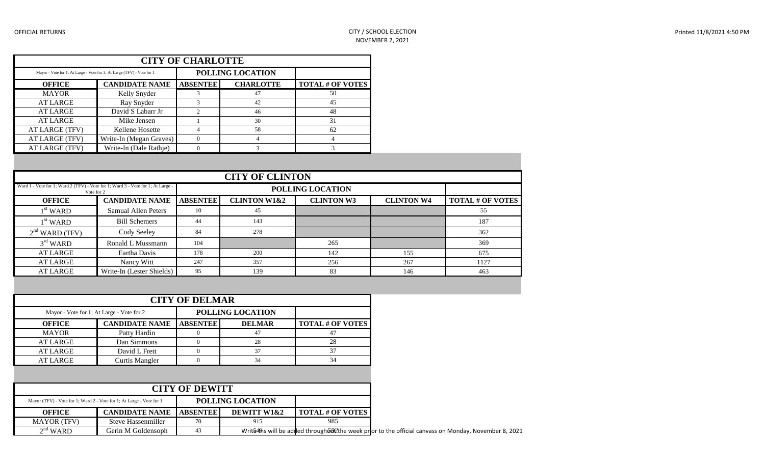| <b>CITY OF CHARLOTTE</b>                                               |                         |                 |                  |                         |  |  |
|------------------------------------------------------------------------|-------------------------|-----------------|------------------|-------------------------|--|--|
| Mayor - Vote for 1; At Large - Vote for 3; At Large (TFV) - Vote for 1 |                         |                 | POLLING LOCATION |                         |  |  |
| <b>OFFICE</b>                                                          | <b>CANDIDATE NAME</b>   | <b>ABSENTEE</b> | <b>CHARLOTTE</b> | <b>TOTAL # OF VOTES</b> |  |  |
| <b>MAYOR</b>                                                           | Kelly Snyder            |                 | 47               | 50                      |  |  |
| <b>AT LARGE</b>                                                        | Ray Snyder              |                 | 42               | 45                      |  |  |
| <b>AT LARGE</b>                                                        | David S Labarr Jr       | $\mathfrak{D}$  | 46               | 48                      |  |  |
| <b>AT LARGE</b>                                                        | Mike Jensen             |                 | 30               | 31                      |  |  |
| AT LARGE (TFV)                                                         | Kellene Hosette         | 4               | 58               | 62                      |  |  |
| AT LARGE (TFV)                                                         | Write-In (Megan Graves) | $\Omega$        | 4                | 4                       |  |  |
| AT LARGE (TFV)                                                         | Write-In (Dale Rathje)  |                 |                  |                         |  |  |

|                                                                                               | <b>CITY OF CLINTON</b>    |                 |                         |                   |                   |                         |  |  |
|-----------------------------------------------------------------------------------------------|---------------------------|-----------------|-------------------------|-------------------|-------------------|-------------------------|--|--|
| Ward 1 - Vote for 1; Ward 2 (TFV) - Vote for 1; Ward 3 - Vote for 1; At Large -<br>Vote for 2 |                           |                 |                         | POLLING LOCATION  |                   |                         |  |  |
| <b>OFFICE</b>                                                                                 | <b>CANDIDATE NAME</b>     | <b>ABSENTEE</b> | <b>CLINTON W1&amp;2</b> | <b>CLINTON W3</b> | <b>CLINTON W4</b> | <b>TOTAL # OF VOTES</b> |  |  |
| $1st$ WARD                                                                                    | Samual Allen Peters       | 10              | 45                      |                   |                   | 55                      |  |  |
| $1st$ WARD                                                                                    | <b>Bill Schemers</b>      | 44              | 143                     |                   |                   | 187                     |  |  |
| $2nd$ WARD (TFV)                                                                              | Cody Seeley               | 84              | 278                     |                   |                   | 362                     |  |  |
| $3rd$ WARD                                                                                    | Ronald L Mussmann         | 104             |                         | 265               |                   | 369                     |  |  |
| <b>AT LARGE</b>                                                                               | Eartha Davis              | 178             | 200                     | 142               | 155               | 675                     |  |  |
| AT LARGE                                                                                      | Nancy Witt                | 247             | 357                     | 256               | 267               | 1127                    |  |  |
| AT LARGE                                                                                      | Write-In (Lester Shields) | 95              | 139                     | 83                | 146               | 463                     |  |  |

| <b>CITY OF DELMAR</b>                     |                       |                 |                  |                         |  |  |
|-------------------------------------------|-----------------------|-----------------|------------------|-------------------------|--|--|
| Mayor - Vote for 1; At Large - Vote for 2 |                       |                 | POLLING LOCATION |                         |  |  |
| <b>OFFICE</b>                             | <b>CANDIDATE NAME</b> | <b>ABSENTEE</b> | <b>DELMAR</b>    | <b>TOTAL # OF VOTES</b> |  |  |
| <b>MAYOR</b>                              | Patty Hardin          |                 | 47               | 41                      |  |  |
| <b>AT LARGE</b>                           | Dan Simmons           |                 | 28               | 28                      |  |  |
| <b>AT LARGE</b>                           | David L Frett         |                 |                  | 37                      |  |  |
| <b>AT LARGE</b>                           | Curtis Mangler        |                 | 34               | 34                      |  |  |

|                                                                      |                                    | <b>CITY OF DEWITT</b>   |             |                                                                                                      |
|----------------------------------------------------------------------|------------------------------------|-------------------------|-------------|------------------------------------------------------------------------------------------------------|
| Mayor (TFV) - Vote for 1; Ward 2 - Vote for 1; At Large - Vote for 1 |                                    | <b>POLLING LOCATION</b> |             |                                                                                                      |
| <b>OFFICE</b>                                                        | <b>CANDIDATE NAME   ABSENTEE  </b> |                         | DEWITT W1&2 | <b>TOTAL # OF VOTES</b>                                                                              |
| <b>MAYOR</b> (TFV)                                                   | Steve Hassenmiller                 | 70                      | 915         | 985                                                                                                  |
| $2na$ WARD                                                           | Gerin M Goldensoph                 | 43                      |             | Write4hs will be added through 50 Cthe week pror to the official canvass on Monday, November 8, 2021 |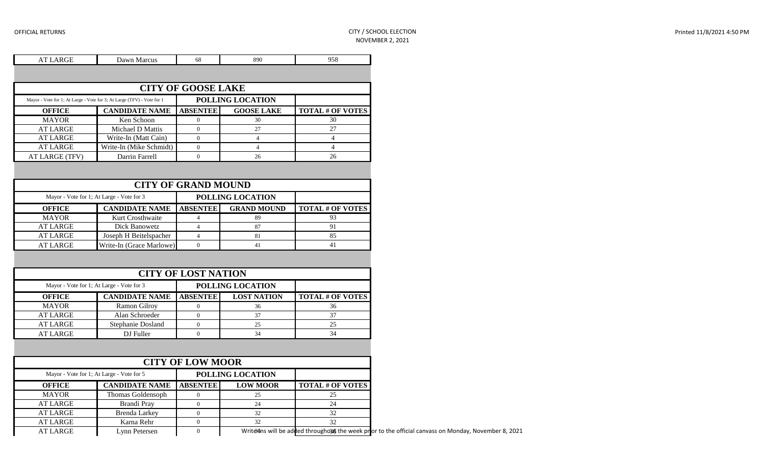| <b>AT LARGE</b> | Dawn Marcus                                                            | 68                        | 890               | 958                     |
|-----------------|------------------------------------------------------------------------|---------------------------|-------------------|-------------------------|
|                 |                                                                        |                           |                   |                         |
|                 |                                                                        | <b>CITY OF GOOSE LAKE</b> |                   |                         |
|                 | Mayor - Vote for 1; At Large - Vote for 3; At Large (TFV) - Vote for 1 |                           | POLLING LOCATION  |                         |
| <b>OFFICE</b>   | <b>CANDIDATE NAME</b>                                                  | <b>ABSENTEE</b>           | <b>GOOSE LAKE</b> | <b>TOTAL # OF VOTES</b> |
| <b>MAYOR</b>    | Ken Schoon                                                             |                           | 30                | 30                      |
| <b>AT LARGE</b> | Michael D Mattis                                                       | $\Omega$                  | 27                | 27                      |
| <b>AT LARGE</b> | Write-In (Matt Cain)                                                   | $\Omega$                  | 4                 | 4                       |
| <b>AT LARGE</b> | Write-In (Mike Schmidt)                                                | $\Omega$                  | 4                 | 4                       |
| AT LARGE (TFV)  | Darrin Farrell                                                         | $\Omega$                  | 26                | 26                      |
|                 |                                                                        |                           |                   |                         |
|                 |                                                                        |                           |                   |                         |

| <b>CITY OF GRAND MOUND</b>                |                          |                 |                    |                         |  |  |
|-------------------------------------------|--------------------------|-----------------|--------------------|-------------------------|--|--|
| Mayor - Vote for 1; At Large - Vote for 3 |                          |                 | POLLING LOCATION   |                         |  |  |
| <b>OFFICE</b>                             | <b>CANDIDATE NAME</b>    | <b>ABSENTEE</b> | <b>GRAND MOUND</b> | <b>TOTAL # OF VOTES</b> |  |  |
| <b>MAYOR</b>                              | Kurt Crosthwaite         |                 | 89                 |                         |  |  |
| <b>AT LARGE</b>                           | Dick Banowetz            |                 | 87                 | Q <sub>1</sub>          |  |  |
| <b>AT LARGE</b>                           | Joseph H Beitelspacher   |                 | 81                 | 85                      |  |  |
| <b>AT LARGE</b>                           | Write-In (Grace Marlowe) |                 | 41                 | 41                      |  |  |

| <b>CITY OF LOST NATION</b> |                                           |  |                    |                         |  |  |
|----------------------------|-------------------------------------------|--|--------------------|-------------------------|--|--|
|                            | Mayor - Vote for 1; At Large - Vote for 3 |  | POLLING LOCATION   |                         |  |  |
| <b>OFFICE</b>              | <b>CANDIDATE NAME   ABSENTEE  </b>        |  | <b>LOST NATION</b> | <b>TOTAL # OF VOTES</b> |  |  |
| <b>MAYOR</b>               | Ramon Gilroy                              |  | 36                 | 36                      |  |  |
| <b>AT LARGE</b>            | Alan Schroeder                            |  | 37                 |                         |  |  |
| <b>AT LARGE</b>            | Stephanie Dosland                         |  | 25                 |                         |  |  |
| <b>AT LARGE</b>            | DJ Fuller                                 |  | 34                 |                         |  |  |

|              |                                           | <b>CITY OF LOW MOOR</b> |                  |                                                                                                      |
|--------------|-------------------------------------------|-------------------------|------------------|------------------------------------------------------------------------------------------------------|
|              | Mayor - Vote for 1; At Large - Vote for 5 |                         | POLLING LOCATION |                                                                                                      |
| OFFICE       | <b>CANDIDATE NAME   ABSENTEE  </b>        |                         | <b>LOW MOOR</b>  | <b>TOTAL # OF VOTES</b>                                                                              |
| <b>MAYOR</b> | Thomas Goldensoph                         |                         | 25               |                                                                                                      |
| AT LARGE     | Brandi Prav                               |                         | 24               | 24                                                                                                   |
| AT LARGE     | Brenda Larkey                             |                         | 32               |                                                                                                      |
| AT LARGE     | Karna Rehr                                |                         | 32               | 32                                                                                                   |
| AT LARGE     | Lynn Petersen                             |                         |                  | Write ons will be added throughout the week pror to the official canvass on Monday, November 8, 2021 |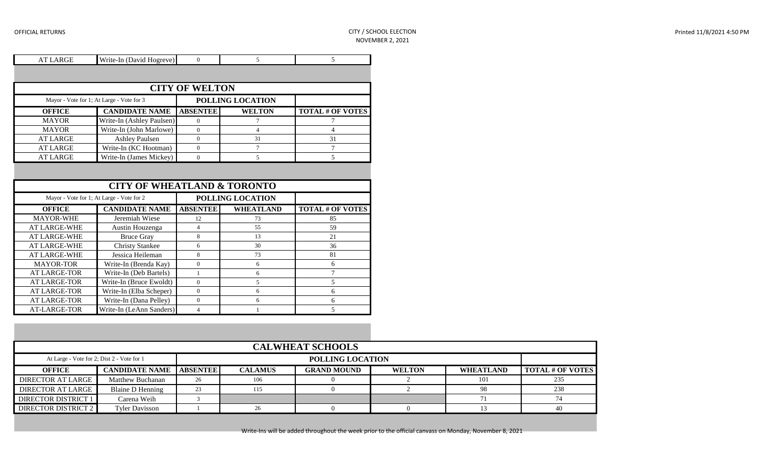| <b>AT LARGE</b>                                | Write-In (David Hogreve)                  | $\mathbf{0}$          | 5                       | 5                       |
|------------------------------------------------|-------------------------------------------|-----------------------|-------------------------|-------------------------|
|                                                |                                           |                       |                         |                         |
|                                                |                                           | <b>CITY OF WELTON</b> |                         |                         |
|                                                | Mayor - Vote for 1; At Large - Vote for 3 |                       | <b>POLLING LOCATION</b> |                         |
| <b>OFFICE</b>                                  | <b>CANDIDATE NAME</b>                     | <b>ABSENTEE</b>       | <b>WELTON</b>           | <b>TOTAL # OF VOTES</b> |
| <b>MAYOR</b>                                   | Write-In (Ashley Paulsen)                 | $\overline{0}$        | $\overline{7}$          | 7                       |
| <b>MAYOR</b>                                   | Write-In (John Marlowe)                   | $\mathbf{0}$          | $\overline{4}$          | 4                       |
| <b>AT LARGE</b>                                | <b>Ashley Paulsen</b>                     | $\mathbf{0}$          | 31                      | 31                      |
| <b>AT LARGE</b>                                | Write-In (KC Hootman)                     | $\mathbf{0}$          | $\overline{7}$          | $\overline{7}$          |
| <b>AT LARGE</b>                                | Write-In (James Mickey)                   | $\mathbf{0}$          | 5                       | 5                       |
|                                                | Mayor - Vote for 1; At Large - Vote for 2 |                       | POLLING LOCATION        |                         |
| <b>OFFICE</b>                                  | <b>CANDIDATE NAME</b>                     | <b>ABSENTEE</b>       | <b>WHEATLAND</b>        | <b>TOTAL # OF VOTES</b> |
| <b>MAYOR-WHE</b>                               | Jeremiah Wiese                            | 12                    | 73                      | 85                      |
| <b>AT LARGE-WHE</b>                            | Austin Houzenga                           | $\overline{4}$        | 55                      | 59                      |
| <b>AT LARGE-WHE</b>                            | <b>Bruce Gray</b>                         | 8                     | 13                      | 21                      |
| <b>AT LARGE-WHE</b>                            | <b>Christy Stankee</b>                    | 6                     | 30                      | 36                      |
| <b>AT LARGE-WHE</b>                            | Jessica Heileman                          | 8                     | 73                      | 81                      |
| <b>MAYOR-TOR</b>                               | Write-In (Brenda Kay)                     | $\mathbf{0}$          | 6                       | 6                       |
| <b>AT LARGE-TOR</b>                            | Write-In (Deb Bartels)                    | $\mathbf{1}$          | 6                       | $\overline{7}$          |
| <b>AT LARGE-TOR</b><br>Write-In (Bruce Ewoldt) |                                           | $\Omega$              | 5                       | 5                       |
| Write-In (Elba Scheper)<br><b>AT LARGE-TOR</b> |                                           | $\mathbf{0}$          | 6                       | 6                       |
| <b>AT LARGE-TOR</b>                            | Write-In (Dana Pelley)                    | $\boldsymbol{0}$      | 6                       | 6                       |
| AT-LARGE-TOR                                   | Write-In (LeAnn Sanders)                  | $\overline{4}$        | 1                       | 5                       |

| <b>CALWHEAT SCHOOLS</b>    |                                                                |                 |                |                    |               |                  |                         |  |
|----------------------------|----------------------------------------------------------------|-----------------|----------------|--------------------|---------------|------------------|-------------------------|--|
|                            | POLLING LOCATION<br>At Large - Vote for 2; Dist 2 - Vote for 1 |                 |                |                    |               |                  |                         |  |
| <b>OFFICE</b>              | <b>CANDIDATE NAME</b>                                          | <b>ABSENTEE</b> | <b>CALAMUS</b> | <b>GRAND MOUND</b> | <b>WELTON</b> | <b>WHEATLAND</b> | <b>TOTAL # OF VOTES</b> |  |
| <b>DIRECTOR AT LARGE</b>   | <b>Matthew Buchanan</b>                                        | 26              | 106            |                    |               | 101              | 235                     |  |
| DIRECTOR AT LARGE          | Blaine D Henning                                               | 23              | 115            |                    |               | -98              | 238                     |  |
| DIRECTOR DISTRICT 1        | Carena Weih                                                    |                 |                |                    |               |                  |                         |  |
| <b>DIRECTOR DISTRICT 2</b> | <b>Tyler Davisson</b>                                          |                 | 26             |                    |               |                  | 40                      |  |

Write-Ins will be added throughout the week prior to the official canvass on Monday, November 8, 2021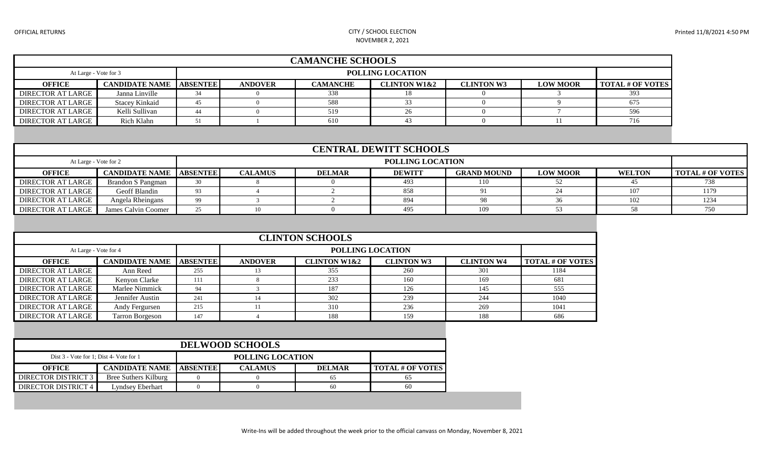#### OFFICIAL RETURNS CITY / SCHOOL ELECTION NOVEMBER 2, 2021

| <b>CAMANCHE SCHOOLS</b>                          |                       |                 |                                                                                                                                 |     |    |  |  |     |  |
|--------------------------------------------------|-----------------------|-----------------|---------------------------------------------------------------------------------------------------------------------------------|-----|----|--|--|-----|--|
| <b>POLLING LOCATION</b><br>At Large - Vote for 3 |                       |                 |                                                                                                                                 |     |    |  |  |     |  |
| <b>OFFICE</b>                                    | <b>CANDIDATE NAME</b> | <b>ABSENTEE</b> | <b>TOTAL # OF VOTES</b><br><b>CAMANCHE</b><br><b>CLINTON W1&amp;2</b><br><b>CLINTON W3</b><br><b>LOW MOOR</b><br><b>ANDOVER</b> |     |    |  |  |     |  |
| <b>DIRECTOR AT LARGE</b>                         | Janna Linville        |                 |                                                                                                                                 | 338 |    |  |  | 393 |  |
| <b>DIRECTOR AT LARGE</b>                         | <b>Stacey Kinkaid</b> | 45              |                                                                                                                                 | 588 |    |  |  | 675 |  |
| <b>DIRECTOR AT LARGE</b>                         | Kelli Sullivan        | 44              |                                                                                                                                 | 519 | 26 |  |  | 596 |  |
| <b>DIRECTOR AT LARGE</b>                         | Rich Klahn            |                 |                                                                                                                                 | 610 |    |  |  | 716 |  |

| <b>CENTRAL DEWITT SCHOOLS</b> |                                    |    |                         |               |               |                    |                 |               |                         |
|-------------------------------|------------------------------------|----|-------------------------|---------------|---------------|--------------------|-----------------|---------------|-------------------------|
| At Large - Vote for 2         |                                    |    | <b>POLLING LOCATION</b> |               |               |                    |                 |               |                         |
| <b>OFFICE</b>                 | <b>CANDIDATE NAME   ABSENTEE  </b> |    | <b>CALAMUS</b>          | <b>DELMAR</b> | <b>DEWITT</b> | <b>GRAND MOUND</b> | <b>LOW MOOR</b> | <b>WELTON</b> | <b>TOTAL # OF VOTES</b> |
| DIRECTOR AT LARGE             | Brandon S Pangman                  | 30 |                         |               | 493           | l 10-              |                 |               |                         |
| <b>DIRECTOR AT LARGE</b>      | Geoff Blandin                      | 93 |                         |               | 858           |                    |                 | 107           | 1179                    |
| <b>DIRECTOR AT LARGE</b>      | Angela Rheingans                   | 99 |                         |               | 894           |                    |                 | 102           | 1234                    |
| DIRECTOR AT LARGE             | James Calvin Coomer                | 25 |                         |               | 495           | 109                |                 |               | 750                     |

| <b>CLINTON SCHOOLS</b>   |                       |                 |                |                         |                   |                   |                         |  |  |
|--------------------------|-----------------------|-----------------|----------------|-------------------------|-------------------|-------------------|-------------------------|--|--|
| At Large - Vote for 4    |                       |                 |                |                         | POLLING LOCATION  |                   |                         |  |  |
| <b>OFFICE</b>            | <b>CANDIDATE NAME</b> | <b>ABSENTEE</b> | <b>ANDOVER</b> | <b>CLINTON W1&amp;2</b> | <b>CLINTON W3</b> | <b>CLINTON W4</b> | <b>TOTAL # OF VOTES</b> |  |  |
| <b>DIRECTOR AT LARGE</b> | Ann Reed              | 255             |                | 355                     | 260               | 301               | 1184                    |  |  |
| DIRECTOR AT LARGE        | Kenvon Clarke         |                 |                | 233                     | 160               | 169               | 681                     |  |  |
| DIRECTOR AT LARGE        | Marlee Nimmick        | 94              |                | 187                     | 126               | 145               | 555                     |  |  |
| <b>DIRECTOR AT LARGE</b> | Jennifer Austin       | 241             | 14             | 302                     | 239               | 244               | 1040                    |  |  |
| DIRECTOR AT LARGE        | Andy Fergursen        | 215             |                | 310                     | 236               | 269               | 1041                    |  |  |
| <b>DIRECTOR AT LARGE</b> | Tarron Borgeson       | 147             |                | 188                     | 159               | 188               | 686                     |  |  |

| <b>DELWOOD SCHOOLS</b>                  |                       |                 |                |               |                         |  |  |  |
|-----------------------------------------|-----------------------|-----------------|----------------|---------------|-------------------------|--|--|--|
| Dist 3 - Vote for 1; Dist 4- Vote for 1 |                       |                 |                |               |                         |  |  |  |
| <b>OFFICE</b>                           | <b>CANDIDATE NAME</b> | <b>ABSENTEE</b> | <b>CALAMUS</b> | <b>DELMAR</b> | <b>TOTAL # OF VOTES</b> |  |  |  |
| <b>DIRECTOR DISTRICT 3</b>              | Bree Suthers Kilburg  |                 |                |               | 65                      |  |  |  |
| DIRECTOR DISTRICT 4                     | Lyndsey Eberhart      |                 |                | 60            | 60                      |  |  |  |

Write-Ins will be added throughout the week prior to the official canvass on Monday, November 8, 2021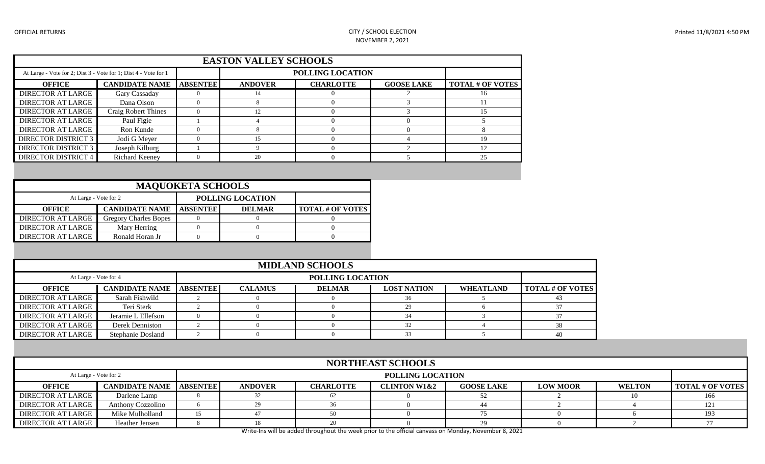#### OFFICIAL RETURNS CITY / SCHOOL ELECTION NOVEMBER 2, 2021

| <b>EASTON VALLEY SCHOOLS</b>                                    |                            |                 |                |                  |                   |                         |  |  |  |
|-----------------------------------------------------------------|----------------------------|-----------------|----------------|------------------|-------------------|-------------------------|--|--|--|
| At Large - Vote for 2; Dist 3 - Vote for 1; Dist 4 - Vote for 1 |                            |                 |                | POLLING LOCATION |                   |                         |  |  |  |
| <b>OFFICE</b>                                                   | <b>CANDIDATE NAME</b>      | <b>ABSENTEE</b> | <b>ANDOVER</b> | <b>CHARLOTTE</b> | <b>GOOSE LAKE</b> | <b>TOTAL # OF VOTES</b> |  |  |  |
| <b>DIRECTOR AT LARGE</b>                                        | Gary Cassaday              |                 | 14             |                  |                   | 16                      |  |  |  |
| DIRECTOR AT LARGE                                               | Dana Olson                 |                 |                |                  |                   |                         |  |  |  |
| <b>DIRECTOR AT LARGE</b>                                        | <b>Craig Robert Thines</b> |                 | 12             |                  |                   | 15                      |  |  |  |
| <b>DIRECTOR AT LARGE</b>                                        | Paul Figie                 |                 |                |                  |                   |                         |  |  |  |
| <b>DIRECTOR AT LARGE</b>                                        | Ron Kunde                  |                 |                |                  |                   |                         |  |  |  |
| <b>DIRECTOR DISTRICT 3</b>                                      | Jodi G Meyer               |                 | 15             |                  |                   | 19                      |  |  |  |
| <b>DIRECTOR DISTRICT 3</b>                                      | Joseph Kilburg             |                 |                |                  |                   |                         |  |  |  |
| <b>DIRECTOR DISTRICT 4</b>                                      | <b>Richard Keeney</b>      |                 | 20             |                  |                   | 25                      |  |  |  |

| <b>MAQUOKETA SCHOOLS</b> |                                    |  |                  |                         |  |  |  |  |
|--------------------------|------------------------------------|--|------------------|-------------------------|--|--|--|--|
| At Large - Vote for 2    |                                    |  | POLLING LOCATION |                         |  |  |  |  |
| <b>OFFICE</b>            | <b>CANDIDATE NAME   ABSENTEE  </b> |  | <b>DELMAR</b>    | <b>TOTAL # OF VOTES</b> |  |  |  |  |
| <b>DIRECTOR AT LARGE</b> | <b>Gregory Charles Bopes</b>       |  |                  |                         |  |  |  |  |
| DIRECTOR AT LARGE        | Mary Herring                       |  |                  |                         |  |  |  |  |
| DIRECTOR AT LARGE        | Ronald Horan Jr                    |  |                  |                         |  |  |  |  |

|                                           | <b>MIDLAND SCHOOLS</b> |                 |                |               |                    |                  |                         |  |  |  |
|-------------------------------------------|------------------------|-----------------|----------------|---------------|--------------------|------------------|-------------------------|--|--|--|
| POLLING LOCATION<br>At Large - Vote for 4 |                        |                 |                |               |                    |                  |                         |  |  |  |
| <b>OFFICE</b>                             | <b>CANDIDATE NAME</b>  | <b>ABSENTEE</b> | <b>CALAMUS</b> | <b>DELMAR</b> | <b>LOST NATION</b> | <b>WHEATLAND</b> | <b>TOTAL # OF VOTES</b> |  |  |  |
| <b>DIRECTOR AT LARGE</b>                  | Sarah Fishwild         |                 |                |               |                    |                  |                         |  |  |  |
| <b>DIRECTOR AT LARGE</b>                  | Teri Sterk             |                 |                |               | 29                 |                  |                         |  |  |  |
| <b>DIRECTOR AT LARGE</b>                  | Jeramie L Ellefson     |                 |                |               |                    |                  |                         |  |  |  |
| <b>DIRECTOR AT LARGE</b>                  | Derek Denniston        |                 |                |               |                    |                  |                         |  |  |  |
| DIRECTOR AT LARGE                         | Stephanie Dosland      |                 |                |               |                    |                  | 40                      |  |  |  |

|                                           | <b>NORTHEAST SCHOOLS</b> |                 |                |                  |                         |                   |                 |               |                         |
|-------------------------------------------|--------------------------|-----------------|----------------|------------------|-------------------------|-------------------|-----------------|---------------|-------------------------|
| POLLING LOCATION<br>At Large - Vote for 2 |                          |                 |                |                  |                         |                   |                 |               |                         |
| <b>OFFICE</b>                             | <b>CANDIDATE NAME</b>    | <b>ABSENTEE</b> | <b>ANDOVER</b> | <b>CHARLOTTE</b> | <b>CLINTON W1&amp;2</b> | <b>GOOSE LAKE</b> | <b>LOW MOOR</b> | <b>WELTON</b> | <b>TOTAL # OF VOTES</b> |
| <b>DIRECTOR AT LARGE</b>                  | Darlene Lamp             |                 |                |                  |                         |                   |                 |               |                         |
| <b>DIRECTOR AT LARGE</b>                  | <b>Anthony Cozzolino</b> |                 |                |                  |                         |                   |                 |               |                         |
| <b>DIRECTOR AT LARGE</b>                  | Mike Mulholland          |                 |                |                  |                         |                   |                 |               |                         |
| <b>DIRECTOR AT LARGE</b>                  | Heather Jensen           |                 |                |                  |                         |                   |                 |               |                         |

Write-Ins will be added throughout the week prior to the official canvass on Monday, November 8, 2021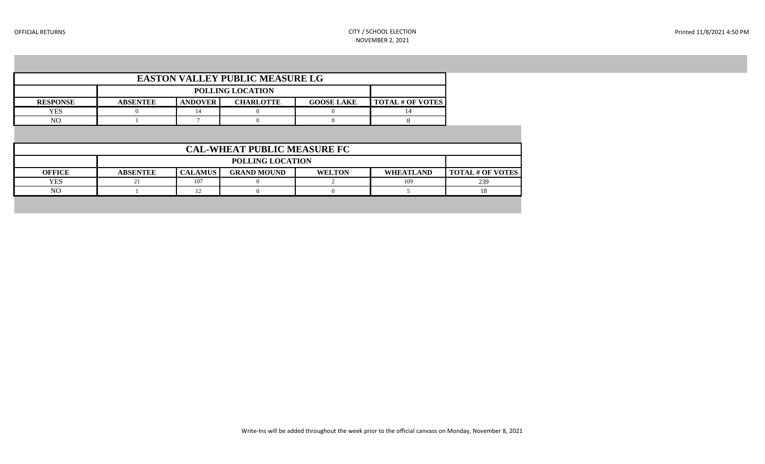| <b>EASTON VALLEY PUBLIC MEASURE LG</b> |                         |                |                  |                   |                         |  |  |  |  |
|----------------------------------------|-------------------------|----------------|------------------|-------------------|-------------------------|--|--|--|--|
|                                        | <b>POLLING LOCATION</b> |                |                  |                   |                         |  |  |  |  |
| <b>RESPONSE</b>                        | <b>ABSENTEE</b>         | <b>ANDOVER</b> | <b>CHARLOTTE</b> | <b>GOOSE LAKE</b> | <b>TOTAL # OF VOTES</b> |  |  |  |  |
| YES                                    |                         |                |                  |                   |                         |  |  |  |  |
| NС                                     |                         |                |                  |                   |                         |  |  |  |  |

| <b>CAL-WHEAT PUBLIC MEASURE FC</b> |                         |                                                                                                      |  |  |     |     |  |  |  |
|------------------------------------|-------------------------|------------------------------------------------------------------------------------------------------|--|--|-----|-----|--|--|--|
|                                    | <b>POLLING LOCATION</b> |                                                                                                      |  |  |     |     |  |  |  |
| <b>OFFICE</b>                      | <b>ABSENTEE</b>         | <b>CALAMUS</b><br><b>GRAND MOUND</b><br><b>WELTON</b><br><b>WHEATLAND</b><br><b>TOTAL # OF VOTES</b> |  |  |     |     |  |  |  |
| YES                                |                         | 107                                                                                                  |  |  | 109 | 239 |  |  |  |
| NO                                 |                         | 12                                                                                                   |  |  |     |     |  |  |  |
|                                    |                         |                                                                                                      |  |  |     |     |  |  |  |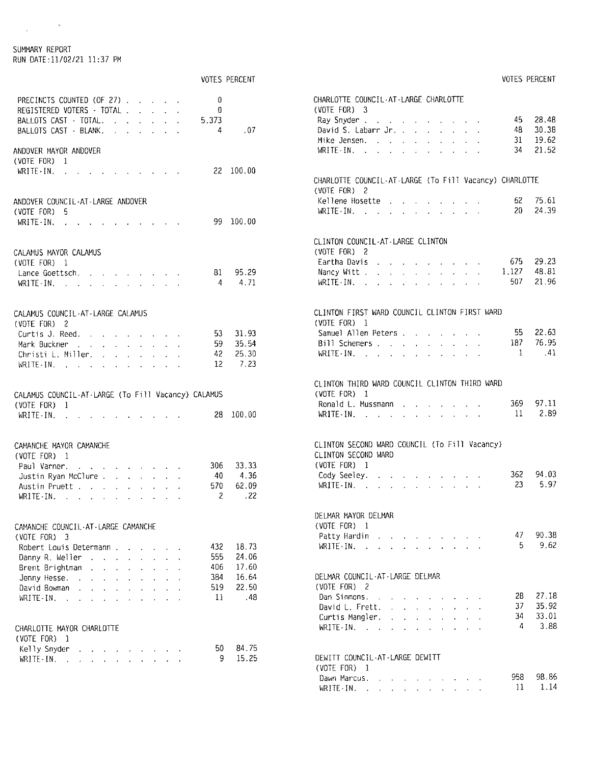#### SUMMARY REPORT RUN DATE:11/02/21 11:37 PM

 $\label{eq:2} \frac{1}{\sqrt{2}}\int_{0}^{\pi}\frac{1}{\sqrt{2\pi}}\left(\frac{1}{\sqrt{2\pi}}\right)^{2\pi}d\mu_{\rm{eff}}$ 

|                                                                                    | <b>VOTES PERCENT</b> | VOTES PERCENT                                                                                                                                                                                                                                                                                                                                                                        |
|------------------------------------------------------------------------------------|----------------------|--------------------------------------------------------------------------------------------------------------------------------------------------------------------------------------------------------------------------------------------------------------------------------------------------------------------------------------------------------------------------------------|
| $\mathbf{0}$<br>PRECINCTS COUNTED (OF 27)<br>$\theta$<br>REGISTERED VOTERS - TOTAL |                      | CHARLOTTE COUNCIL-AT-LARGE CHARLOTTE<br>(VOTE FOR) 3                                                                                                                                                                                                                                                                                                                                 |
| 5.373<br>BALLOTS CAST · TOTAL.                                                     |                      | 28.48<br>45<br>Ray Snyder                                                                                                                                                                                                                                                                                                                                                            |
| BALLOTS CAST - BLANK.<br>4                                                         | .07                  | David S. Labarr Jr.<br>30.38<br>48                                                                                                                                                                                                                                                                                                                                                   |
|                                                                                    |                      | 19.62<br>Mike Jensen,<br>31                                                                                                                                                                                                                                                                                                                                                          |
| ANDOVER MAYOR ANDOVER                                                              |                      | 21.52<br>WRITE-IN.<br>-34                                                                                                                                                                                                                                                                                                                                                            |
| (VOTE FOR) 1                                                                       |                      |                                                                                                                                                                                                                                                                                                                                                                                      |
| WRITE-IN. $\cdots$ $\cdots$                                                        | 22 100.00            |                                                                                                                                                                                                                                                                                                                                                                                      |
|                                                                                    |                      | CHARLOTTE COUNCIL-AT-LARGE (To Fill Vacancy) CHARLOTTE                                                                                                                                                                                                                                                                                                                               |
|                                                                                    |                      | (VOTE FOR) 2<br>75.61                                                                                                                                                                                                                                                                                                                                                                |
| ANDOVER COUNCIL-AT-LARGE ANDOVER                                                   |                      | Kellene Hosette<br>62.<br>24.39<br>20<br>WRITE-IN. $\qquad \qquad$ $\qquad$ $\qquad$ $\qquad$ $\qquad$ $\qquad$ $\qquad$ $\qquad$ $\qquad$ $\qquad$ $\qquad$ $\qquad$ $\qquad$ $\qquad$ $\qquad$ $\qquad$ $\qquad$ $\qquad$ $\qquad$ $\qquad$ $\qquad$ $\qquad$ $\qquad$ $\qquad$ $\qquad$ $\qquad$ $\qquad$ $\qquad$ $\qquad$ $\qquad$ $\qquad$ $\qquad$ $\qquad$ $\qquad$ $\qquad$ |
| (VOTE FOR) 5                                                                       | 99 100.00            |                                                                                                                                                                                                                                                                                                                                                                                      |
| WRITE-IN.                                                                          |                      |                                                                                                                                                                                                                                                                                                                                                                                      |
| CALAMUS MAYOR CALAMUS                                                              |                      | CLINTON COUNCIL-AT-LARGE CLINTON<br>(VOTE FOR) 2                                                                                                                                                                                                                                                                                                                                     |
| (V0TE FOR) 1                                                                       |                      | 29.23<br>Eartha Davis.<br>675                                                                                                                                                                                                                                                                                                                                                        |
| Lance Goettsch.<br>81                                                              | 95.29                | 48.81<br>1.127<br>Nancy Witt                                                                                                                                                                                                                                                                                                                                                         |
| 4                                                                                  | 4.71                 | 21.96<br>507<br>WRITE-IN.                                                                                                                                                                                                                                                                                                                                                            |
|                                                                                    |                      |                                                                                                                                                                                                                                                                                                                                                                                      |
| CALAMUS COUNCIL-AT-LARGE CALAMUS<br>$(VOTE FOR)$ 2                                 |                      | CLINTON FIRST WARD COUNCIL CLINTON FIRST WARD<br>(VOTE FOR) I                                                                                                                                                                                                                                                                                                                        |
| Curtis J. Reed.<br>53.                                                             | 31.93                | 22.63<br>Samuel Allen Peters,<br>55.                                                                                                                                                                                                                                                                                                                                                 |
| 59.<br>Mark Buckner                                                                | 35.54                | 76.95<br>187<br>Bill Schemers                                                                                                                                                                                                                                                                                                                                                        |
| 42<br>Christi L. Miller.                                                           | 25.30                | $\mathbf{1}$<br>.41<br>$WRITE \cdot IN.$ $\therefore$ $\therefore$ $\therefore$ $\therefore$ $\therefore$ $\therefore$ $\therefore$                                                                                                                                                                                                                                                  |
| 12<br>$WRITE - IN$ , , , , , , , , , , ,                                           | 7.23                 |                                                                                                                                                                                                                                                                                                                                                                                      |
|                                                                                    |                      |                                                                                                                                                                                                                                                                                                                                                                                      |
| CALAMUS COUNCIL-AT-LARGE (To Fill Vacancy) CALAMUS                                 |                      | CLINTON THIRD WARD COUNCIL CLINTON THIRD WARD<br>(VOTE FOR) 1                                                                                                                                                                                                                                                                                                                        |
| (VOTE FOR) 1                                                                       |                      | 97.11<br>369<br>Ronald L. Mussmann                                                                                                                                                                                                                                                                                                                                                   |
| WRITE-IN.                                                                          | 28 100.00            | 2.89<br>11<br>WRITE-IN. $\cdots$ $\cdots$ $\cdots$                                                                                                                                                                                                                                                                                                                                   |
| CAMANCHE MAYOR CAMANCHE                                                            |                      | CLINTON SECOND WARD COUNCIL (To Fill Vacancy)                                                                                                                                                                                                                                                                                                                                        |
| (VOTE FOR) 1                                                                       |                      | CLINTON SECOND WARD                                                                                                                                                                                                                                                                                                                                                                  |
| 306<br>Paul Varner.                                                                | 33.33                | (VOTE FOR) 1                                                                                                                                                                                                                                                                                                                                                                         |
| Justin Ryan McClure<br>-40                                                         | 4.36                 | Cody Seeley.<br>362<br>94.03                                                                                                                                                                                                                                                                                                                                                         |
| 570<br>Austin Pruett.                                                              | 62.09                | 5.97<br>23<br>WRITE-IN.                                                                                                                                                                                                                                                                                                                                                              |
| 2<br>WRITE-IN: $\cdots$ and $\cdots$ and $\cdots$ and $\cdots$                     | .22                  |                                                                                                                                                                                                                                                                                                                                                                                      |
| CAMANCHE COUNCIL-AT-LARGE CAMANCHE                                                 |                      | DELMAR MAYOR DELMAR<br>(VOTE FOR) 1                                                                                                                                                                                                                                                                                                                                                  |
| (VOTE FOR) 3                                                                       |                      | 90.38<br>47<br>and the company of the company of the company of the company of the company of the company of the company of the company of the company of the company of the company of the company of the company of the company of the comp<br>Patty Hardin                                                                                                                        |
| 432<br>Robert Louis Determann                                                      | 18.73                | 9.62<br>5.<br>$WRITE-IN$ , , , , , , , , , , ,                                                                                                                                                                                                                                                                                                                                       |
| 555<br>Danny R. Weller                                                             | 24.06                |                                                                                                                                                                                                                                                                                                                                                                                      |
| 406<br>Brent Brightman                                                             | 17.60                |                                                                                                                                                                                                                                                                                                                                                                                      |
| 384<br>Jenny Hesse.                                                                | 16.64                | DELMAR COUNCIL-AT-LARGE DELMAR                                                                                                                                                                                                                                                                                                                                                       |
| 519<br>David Bowman                                                                | 22.50                | (VOTE FOR) 2                                                                                                                                                                                                                                                                                                                                                                         |
| -11<br>$WRITE-IN$ , , , , , , , , , , ,                                            | .48                  | 28<br>27.18<br>Dan Simmons.                                                                                                                                                                                                                                                                                                                                                          |
|                                                                                    |                      | 35.92<br>37<br>David L. Frett.                                                                                                                                                                                                                                                                                                                                                       |
|                                                                                    |                      | 33.01<br>34<br>Curtis Mangler.<br>3.88<br>4                                                                                                                                                                                                                                                                                                                                          |
| CHARLOTTE MAYOR CHARLOTTE                                                          |                      | WRITE-IN.                                                                                                                                                                                                                                                                                                                                                                            |
| (VOTE FOR) 1                                                                       |                      |                                                                                                                                                                                                                                                                                                                                                                                      |
| 50<br>Kelly Snyder                                                                 | 84.75<br>15.25       | DEWITT COUNCIL-AT-LARGE DEWITT                                                                                                                                                                                                                                                                                                                                                       |
| 9<br>WRITE-IN.                                                                     |                      | (VOTE FOR) 1                                                                                                                                                                                                                                                                                                                                                                         |
|                                                                                    |                      | 98.86<br>958<br>and the second contract of the second contract of the second contract of the second contract of the second contract of the second contract of the second contract of the second contract of the second contract of the second<br>Dawn Marcus.                                                                                                                        |
|                                                                                    |                      | 1.14<br>11<br>WRITE-IN. $\ldots$ $\ldots$ $\ldots$ $\ldots$                                                                                                                                                                                                                                                                                                                          |
|                                                                                    |                      |                                                                                                                                                                                                                                                                                                                                                                                      |

VOTES PERCENT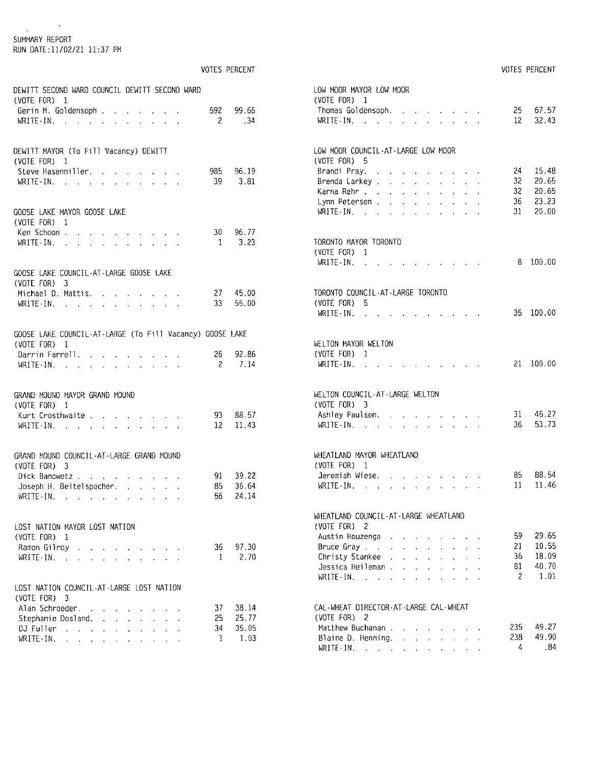### $\label{eq:2.1} \frac{1}{\sqrt{2}}\int_{0}^{\sqrt{2}}\frac{dx}{\sqrt{2\pi}}\,dx$ SUMMARY REPORT RUN DATE:11/02/21 11:37 PM

|                                                                                                                                                                                                                                                                                                                 | <b>VOTES PERCENT</b> |                               |
|-----------------------------------------------------------------------------------------------------------------------------------------------------------------------------------------------------------------------------------------------------------------------------------------------------------------|----------------------|-------------------------------|
| DEWITT SECOND WARD COUNCIL DEWITT SECOND WARD<br>$(VOTE FOR)$ 1<br>Gerin M. Goldensoph                                                                                                                                                                                                                          | 592 99.66            |                               |
| WRITE-IN.                                                                                                                                                                                                                                                                                                       | $\overline{2}$       | .34                           |
| DEWITT MAYOR (To Fill Vacancy) DEWITT<br>(VOTE FOR)<br>1                                                                                                                                                                                                                                                        |                      |                               |
| Steve Hasenmiller.<br>$\mathcal{L}(\mathbf{z},\mathbf{z})$ , where $\mathcal{L}(\mathbf{z},\mathbf{z})$<br>$WRITE-IN.$<br>$\ddot{\phantom{a}}$<br>$\ddot{\phantom{0}}$<br>$\epsilon$                                                                                                                            | 39                   | 985 96.19<br>3.81             |
| GOOSE LAKE MAYOR GOOSE LAKE<br>(VOTE FOR) 1                                                                                                                                                                                                                                                                     |                      |                               |
| Ken Schoon<br>and the company of the company<br>WRITE-IN.<br>and the second contract of the second second                                                                                                                                                                                                       |                      | 30 96.77<br>$1 \t3.23$        |
| GOOSE LAKE COUNCIL-AT-LARGE GOOSE LAKE<br>(VOTE FOR) $3$                                                                                                                                                                                                                                                        |                      |                               |
| Michael D. Mattis.<br>and a state of the state<br>WRITE-IN: $\cdots$ $\cdots$ $\cdots$ $\cdots$                                                                                                                                                                                                                 |                      | $27$ 45.00<br>33 55,00        |
| GOOSE LAKE COUNCIL-AT-LARGE (To Fill Vacancy) GOOSE LAKE<br>$(VOTE FOR)$ 1                                                                                                                                                                                                                                      |                      |                               |
| Dannin Fannell.<br>WRITE-IN.                                                                                                                                                                                                                                                                                    | 26 92.86             | 2 7.14                        |
| GRAND MOUND MAYOR GRAND MOUND<br>(VOTE FOR) 1                                                                                                                                                                                                                                                                   |                      |                               |
| Kurt Crosthwaite<br>ä,<br>$\mathcal{A}^{\mathrm{max}}$<br>$\mathbf{r} = \mathbf{r} \cdot \mathbf{r}$ , where $\mathbf{r} = \mathbf{r} \cdot \mathbf{r}$<br>WRITE-IN.<br>$\omega_{\rm{eff}}=2.0$<br>$\ddot{\phantom{0}}$<br>$\mathbf{r} = \mathbf{r} \cdot \mathbf{r}$<br>$\mathbf{z} = \mathbf{z} + \mathbf{z}$ |                      | 93 88.57<br>$12 \t11.43$      |
| GRAND MOUND COUNCIL-AT-LARGE GRAND MOUND<br>$(VOTE FOR)$ 3                                                                                                                                                                                                                                                      |                      |                               |
| Dick Banowetz<br>Joseph H. Beitelspacher. $\ldots$                                                                                                                                                                                                                                                              | 56.                  | 91 39.22<br>85 36.64<br>24.14 |
| LOST NATION MAYOR LOST NATION<br>(VOTE FOR)<br>$\mathbb{I}$                                                                                                                                                                                                                                                     |                      |                               |
| Ramon Gilroy<br>L.<br>WRITE-IN.<br>$\mathbf{r}$<br>$\mathbf{r}$<br>L.<br>$\mathbb{R}^{\mathbb{Z}}$<br>$\overline{a}$<br>$\mathbf{r}$<br>L.                                                                                                                                                                      | 36 —<br>-1           | 97.30<br>2,70                 |
| LOST NATION COUNCIL-AT-LARGE LOST NATION<br>(VOTE FOR)<br>3                                                                                                                                                                                                                                                     |                      |                               |
| Alan Schroeder.<br>Stephanie Dosland.<br>$\mathbf{r}$<br>$\mathbf{r} = \mathbf{r} \mathbf{r}$ .<br>$\mathcal{L}^{\pm}$                                                                                                                                                                                          | 37.<br>25.           | 38.14<br>25.77                |
| DJ Fuller<br>$\sim$<br>$\ddot{\phantom{0}}$<br>$\mathcal{L}^{\pm}$<br>WRITE-IN.<br>San Gal                                                                                                                                                                                                                      | 34<br>-1             | 35.05<br>1.03                 |

| 12<br>WRITE-IN.<br>$\mathbf{z} = \mathbf{0}$<br>LOW MOOR COUNCIL-AT-LARGE LOW MOOR<br>(VOTE FOR) 5<br>24<br>Brandi Pray.<br>and a strain and a strain<br>$32 -$<br>Brenda Larkey, , , , , , ,<br>$\ddot{\phantom{0}}$<br>$32 -$<br>Karna Rehr<br>$\mathcal{L}^{\text{max}}$<br><b>Contractor</b><br>$\epsilon$<br>$\mathbf{r} = \mathbf{r}$<br>36<br>Lynn Petersen .<br>$\ddot{\phantom{0}}$<br>$\ddot{\phantom{0}}$<br>$\mathbf{r}$<br>$\Box$<br>$\ddot{\phantom{0}}$<br>$\bar{z}$<br>31<br>$WRITE-IN.$<br>$\mathbf{r}$<br>$\mathcal{L}^{\mathcal{L}}$<br>a.<br>$\sim$<br>$\sim$<br>¥.<br>TORONTO MAYOR TORONTO<br>(VOTE FOR) 1<br>- 8<br>100.00<br>$WRITE-IN.$<br>$\sim$ $\sim$ $\sim$ $\sim$<br>$\sim$ $\sim$ $\sim$<br>TORONTO COUNCIL-AT-LARGE TORONTO<br>(VOTE FOR)<br>5<br>35 100.00<br>WRITE-IN.<br>WELTON MAYOR WELTON<br>(VOTE FOR)<br>1<br>21 100.00<br>WRITE IN.<br>$\mathbf{r}$<br>WELTON COUNCIL-AT-LARGE WELTON<br>(VOTE FOR) 3<br>46.27<br>$31 -$<br>Ashley Paulsen.<br>and a straight and<br><b>Service</b><br>36 —<br>WRITE-IN.<br>WHEATLAND MAYOR WHEATLAND<br>(VOTE FOR) 1<br>Jeremiah Wiese.<br>$11 -$<br>$WRITE - IN.$<br>WHEATLAND COUNCIL-AT-LARGE WHEATLAND<br>(VOTE FOR) 2<br>59<br>29.65<br>Austin Houzenga<br>$\mathcal{L}_{\rm{max}}$<br>a.<br>$\epsilon$<br>10.55<br>21<br>Bruce Gray<br>$\ddot{\phantom{a}}$<br>ä,<br>$\ddot{\phantom{a}}$<br>36<br>18.09<br>Christy Stankee .<br>$\ddot{\phantom{0}}$<br>$\ddot{\phantom{0}}$<br>$\ddot{\phantom{a}}$<br>$\ddot{\phantom{0}}$<br>l.<br>ł.<br>40.70<br>81<br>Jessica Heileman.<br>$\ddot{\phantom{0}}$<br>$\ddot{\phantom{0}}$<br>l,<br>$\ddot{\phantom{0}}$<br>$\overline{c}$<br>1.01<br>$WRITE-IN.$ $\ldots$<br>$\ddot{\phantom{a}}$<br>a.<br>$\ddot{\phantom{a}}$<br>$\overline{a}$<br>$\overline{a}$<br>CAL-WHEAT DIRECTOR-AT-LARGE CAL-WHEAT<br>(VOTE FOR) $2$<br>235<br>Matthew Buchanan<br>$\sim$<br>238<br>Blaine D. Henning.<br>$\mathbf{v}$<br>$\mathcal{L}_{\mathcal{A}}$<br>$\mathbf{r} = \mathbf{r} \cdot \mathbf{r}$<br>.84<br>4<br>$WRITE - IN.$<br>ł.<br>$\mathbf{r}$<br>$\mathbf{L}$<br>$\mathbf{v}$ | (VOTE FOR)<br>Thomas Goldensoph. | 1 |  | i. | $\sim 10^{-11}$ |  |  | $25 -$ | 67.57          |
|------------------------------------------------------------------------------------------------------------------------------------------------------------------------------------------------------------------------------------------------------------------------------------------------------------------------------------------------------------------------------------------------------------------------------------------------------------------------------------------------------------------------------------------------------------------------------------------------------------------------------------------------------------------------------------------------------------------------------------------------------------------------------------------------------------------------------------------------------------------------------------------------------------------------------------------------------------------------------------------------------------------------------------------------------------------------------------------------------------------------------------------------------------------------------------------------------------------------------------------------------------------------------------------------------------------------------------------------------------------------------------------------------------------------------------------------------------------------------------------------------------------------------------------------------------------------------------------------------------------------------------------------------------------------------------------------------------------------------------------------------------------------------------------------------------------------------------------------------------------------------------------------------------------------------------------------------------------------------------------------------------------------------------------------------------------------------------------------------|----------------------------------|---|--|----|-----------------|--|--|--------|----------------|
|                                                                                                                                                                                                                                                                                                                                                                                                                                                                                                                                                                                                                                                                                                                                                                                                                                                                                                                                                                                                                                                                                                                                                                                                                                                                                                                                                                                                                                                                                                                                                                                                                                                                                                                                                                                                                                                                                                                                                                                                                                                                                                      |                                  |   |  |    |                 |  |  |        | 32.43          |
|                                                                                                                                                                                                                                                                                                                                                                                                                                                                                                                                                                                                                                                                                                                                                                                                                                                                                                                                                                                                                                                                                                                                                                                                                                                                                                                                                                                                                                                                                                                                                                                                                                                                                                                                                                                                                                                                                                                                                                                                                                                                                                      |                                  |   |  |    |                 |  |  |        |                |
|                                                                                                                                                                                                                                                                                                                                                                                                                                                                                                                                                                                                                                                                                                                                                                                                                                                                                                                                                                                                                                                                                                                                                                                                                                                                                                                                                                                                                                                                                                                                                                                                                                                                                                                                                                                                                                                                                                                                                                                                                                                                                                      |                                  |   |  |    |                 |  |  |        |                |
|                                                                                                                                                                                                                                                                                                                                                                                                                                                                                                                                                                                                                                                                                                                                                                                                                                                                                                                                                                                                                                                                                                                                                                                                                                                                                                                                                                                                                                                                                                                                                                                                                                                                                                                                                                                                                                                                                                                                                                                                                                                                                                      |                                  |   |  |    |                 |  |  |        | 15.48          |
|                                                                                                                                                                                                                                                                                                                                                                                                                                                                                                                                                                                                                                                                                                                                                                                                                                                                                                                                                                                                                                                                                                                                                                                                                                                                                                                                                                                                                                                                                                                                                                                                                                                                                                                                                                                                                                                                                                                                                                                                                                                                                                      |                                  |   |  |    |                 |  |  |        | 20.65          |
|                                                                                                                                                                                                                                                                                                                                                                                                                                                                                                                                                                                                                                                                                                                                                                                                                                                                                                                                                                                                                                                                                                                                                                                                                                                                                                                                                                                                                                                                                                                                                                                                                                                                                                                                                                                                                                                                                                                                                                                                                                                                                                      |                                  |   |  |    |                 |  |  |        | 20.65          |
|                                                                                                                                                                                                                                                                                                                                                                                                                                                                                                                                                                                                                                                                                                                                                                                                                                                                                                                                                                                                                                                                                                                                                                                                                                                                                                                                                                                                                                                                                                                                                                                                                                                                                                                                                                                                                                                                                                                                                                                                                                                                                                      |                                  |   |  |    |                 |  |  |        | 23.23          |
|                                                                                                                                                                                                                                                                                                                                                                                                                                                                                                                                                                                                                                                                                                                                                                                                                                                                                                                                                                                                                                                                                                                                                                                                                                                                                                                                                                                                                                                                                                                                                                                                                                                                                                                                                                                                                                                                                                                                                                                                                                                                                                      |                                  |   |  |    |                 |  |  |        | 20.00          |
|                                                                                                                                                                                                                                                                                                                                                                                                                                                                                                                                                                                                                                                                                                                                                                                                                                                                                                                                                                                                                                                                                                                                                                                                                                                                                                                                                                                                                                                                                                                                                                                                                                                                                                                                                                                                                                                                                                                                                                                                                                                                                                      |                                  |   |  |    |                 |  |  |        |                |
|                                                                                                                                                                                                                                                                                                                                                                                                                                                                                                                                                                                                                                                                                                                                                                                                                                                                                                                                                                                                                                                                                                                                                                                                                                                                                                                                                                                                                                                                                                                                                                                                                                                                                                                                                                                                                                                                                                                                                                                                                                                                                                      |                                  |   |  |    |                 |  |  |        |                |
|                                                                                                                                                                                                                                                                                                                                                                                                                                                                                                                                                                                                                                                                                                                                                                                                                                                                                                                                                                                                                                                                                                                                                                                                                                                                                                                                                                                                                                                                                                                                                                                                                                                                                                                                                                                                                                                                                                                                                                                                                                                                                                      |                                  |   |  |    |                 |  |  |        |                |
|                                                                                                                                                                                                                                                                                                                                                                                                                                                                                                                                                                                                                                                                                                                                                                                                                                                                                                                                                                                                                                                                                                                                                                                                                                                                                                                                                                                                                                                                                                                                                                                                                                                                                                                                                                                                                                                                                                                                                                                                                                                                                                      |                                  |   |  |    |                 |  |  |        |                |
|                                                                                                                                                                                                                                                                                                                                                                                                                                                                                                                                                                                                                                                                                                                                                                                                                                                                                                                                                                                                                                                                                                                                                                                                                                                                                                                                                                                                                                                                                                                                                                                                                                                                                                                                                                                                                                                                                                                                                                                                                                                                                                      |                                  |   |  |    |                 |  |  |        |                |
|                                                                                                                                                                                                                                                                                                                                                                                                                                                                                                                                                                                                                                                                                                                                                                                                                                                                                                                                                                                                                                                                                                                                                                                                                                                                                                                                                                                                                                                                                                                                                                                                                                                                                                                                                                                                                                                                                                                                                                                                                                                                                                      |                                  |   |  |    |                 |  |  |        |                |
|                                                                                                                                                                                                                                                                                                                                                                                                                                                                                                                                                                                                                                                                                                                                                                                                                                                                                                                                                                                                                                                                                                                                                                                                                                                                                                                                                                                                                                                                                                                                                                                                                                                                                                                                                                                                                                                                                                                                                                                                                                                                                                      |                                  |   |  |    |                 |  |  |        |                |
|                                                                                                                                                                                                                                                                                                                                                                                                                                                                                                                                                                                                                                                                                                                                                                                                                                                                                                                                                                                                                                                                                                                                                                                                                                                                                                                                                                                                                                                                                                                                                                                                                                                                                                                                                                                                                                                                                                                                                                                                                                                                                                      |                                  |   |  |    |                 |  |  |        |                |
|                                                                                                                                                                                                                                                                                                                                                                                                                                                                                                                                                                                                                                                                                                                                                                                                                                                                                                                                                                                                                                                                                                                                                                                                                                                                                                                                                                                                                                                                                                                                                                                                                                                                                                                                                                                                                                                                                                                                                                                                                                                                                                      |                                  |   |  |    |                 |  |  |        |                |
|                                                                                                                                                                                                                                                                                                                                                                                                                                                                                                                                                                                                                                                                                                                                                                                                                                                                                                                                                                                                                                                                                                                                                                                                                                                                                                                                                                                                                                                                                                                                                                                                                                                                                                                                                                                                                                                                                                                                                                                                                                                                                                      |                                  |   |  |    |                 |  |  |        |                |
|                                                                                                                                                                                                                                                                                                                                                                                                                                                                                                                                                                                                                                                                                                                                                                                                                                                                                                                                                                                                                                                                                                                                                                                                                                                                                                                                                                                                                                                                                                                                                                                                                                                                                                                                                                                                                                                                                                                                                                                                                                                                                                      |                                  |   |  |    |                 |  |  |        |                |
|                                                                                                                                                                                                                                                                                                                                                                                                                                                                                                                                                                                                                                                                                                                                                                                                                                                                                                                                                                                                                                                                                                                                                                                                                                                                                                                                                                                                                                                                                                                                                                                                                                                                                                                                                                                                                                                                                                                                                                                                                                                                                                      |                                  |   |  |    |                 |  |  |        |                |
|                                                                                                                                                                                                                                                                                                                                                                                                                                                                                                                                                                                                                                                                                                                                                                                                                                                                                                                                                                                                                                                                                                                                                                                                                                                                                                                                                                                                                                                                                                                                                                                                                                                                                                                                                                                                                                                                                                                                                                                                                                                                                                      |                                  |   |  |    |                 |  |  |        |                |
|                                                                                                                                                                                                                                                                                                                                                                                                                                                                                                                                                                                                                                                                                                                                                                                                                                                                                                                                                                                                                                                                                                                                                                                                                                                                                                                                                                                                                                                                                                                                                                                                                                                                                                                                                                                                                                                                                                                                                                                                                                                                                                      |                                  |   |  |    |                 |  |  |        |                |
|                                                                                                                                                                                                                                                                                                                                                                                                                                                                                                                                                                                                                                                                                                                                                                                                                                                                                                                                                                                                                                                                                                                                                                                                                                                                                                                                                                                                                                                                                                                                                                                                                                                                                                                                                                                                                                                                                                                                                                                                                                                                                                      |                                  |   |  |    |                 |  |  |        | 53.73          |
|                                                                                                                                                                                                                                                                                                                                                                                                                                                                                                                                                                                                                                                                                                                                                                                                                                                                                                                                                                                                                                                                                                                                                                                                                                                                                                                                                                                                                                                                                                                                                                                                                                                                                                                                                                                                                                                                                                                                                                                                                                                                                                      |                                  |   |  |    |                 |  |  |        |                |
|                                                                                                                                                                                                                                                                                                                                                                                                                                                                                                                                                                                                                                                                                                                                                                                                                                                                                                                                                                                                                                                                                                                                                                                                                                                                                                                                                                                                                                                                                                                                                                                                                                                                                                                                                                                                                                                                                                                                                                                                                                                                                                      |                                  |   |  |    |                 |  |  |        |                |
|                                                                                                                                                                                                                                                                                                                                                                                                                                                                                                                                                                                                                                                                                                                                                                                                                                                                                                                                                                                                                                                                                                                                                                                                                                                                                                                                                                                                                                                                                                                                                                                                                                                                                                                                                                                                                                                                                                                                                                                                                                                                                                      |                                  |   |  |    |                 |  |  |        | 88.54          |
|                                                                                                                                                                                                                                                                                                                                                                                                                                                                                                                                                                                                                                                                                                                                                                                                                                                                                                                                                                                                                                                                                                                                                                                                                                                                                                                                                                                                                                                                                                                                                                                                                                                                                                                                                                                                                                                                                                                                                                                                                                                                                                      |                                  |   |  |    |                 |  |  |        | 11.46          |
|                                                                                                                                                                                                                                                                                                                                                                                                                                                                                                                                                                                                                                                                                                                                                                                                                                                                                                                                                                                                                                                                                                                                                                                                                                                                                                                                                                                                                                                                                                                                                                                                                                                                                                                                                                                                                                                                                                                                                                                                                                                                                                      |                                  |   |  |    |                 |  |  |        |                |
|                                                                                                                                                                                                                                                                                                                                                                                                                                                                                                                                                                                                                                                                                                                                                                                                                                                                                                                                                                                                                                                                                                                                                                                                                                                                                                                                                                                                                                                                                                                                                                                                                                                                                                                                                                                                                                                                                                                                                                                                                                                                                                      |                                  |   |  |    |                 |  |  |        |                |
|                                                                                                                                                                                                                                                                                                                                                                                                                                                                                                                                                                                                                                                                                                                                                                                                                                                                                                                                                                                                                                                                                                                                                                                                                                                                                                                                                                                                                                                                                                                                                                                                                                                                                                                                                                                                                                                                                                                                                                                                                                                                                                      |                                  |   |  |    |                 |  |  |        |                |
|                                                                                                                                                                                                                                                                                                                                                                                                                                                                                                                                                                                                                                                                                                                                                                                                                                                                                                                                                                                                                                                                                                                                                                                                                                                                                                                                                                                                                                                                                                                                                                                                                                                                                                                                                                                                                                                                                                                                                                                                                                                                                                      |                                  |   |  |    |                 |  |  |        |                |
|                                                                                                                                                                                                                                                                                                                                                                                                                                                                                                                                                                                                                                                                                                                                                                                                                                                                                                                                                                                                                                                                                                                                                                                                                                                                                                                                                                                                                                                                                                                                                                                                                                                                                                                                                                                                                                                                                                                                                                                                                                                                                                      |                                  |   |  |    |                 |  |  |        |                |
|                                                                                                                                                                                                                                                                                                                                                                                                                                                                                                                                                                                                                                                                                                                                                                                                                                                                                                                                                                                                                                                                                                                                                                                                                                                                                                                                                                                                                                                                                                                                                                                                                                                                                                                                                                                                                                                                                                                                                                                                                                                                                                      |                                  |   |  |    |                 |  |  |        |                |
|                                                                                                                                                                                                                                                                                                                                                                                                                                                                                                                                                                                                                                                                                                                                                                                                                                                                                                                                                                                                                                                                                                                                                                                                                                                                                                                                                                                                                                                                                                                                                                                                                                                                                                                                                                                                                                                                                                                                                                                                                                                                                                      |                                  |   |  |    |                 |  |  |        |                |
|                                                                                                                                                                                                                                                                                                                                                                                                                                                                                                                                                                                                                                                                                                                                                                                                                                                                                                                                                                                                                                                                                                                                                                                                                                                                                                                                                                                                                                                                                                                                                                                                                                                                                                                                                                                                                                                                                                                                                                                                                                                                                                      |                                  |   |  |    |                 |  |  |        |                |
|                                                                                                                                                                                                                                                                                                                                                                                                                                                                                                                                                                                                                                                                                                                                                                                                                                                                                                                                                                                                                                                                                                                                                                                                                                                                                                                                                                                                                                                                                                                                                                                                                                                                                                                                                                                                                                                                                                                                                                                                                                                                                                      |                                  |   |  |    |                 |  |  |        |                |
|                                                                                                                                                                                                                                                                                                                                                                                                                                                                                                                                                                                                                                                                                                                                                                                                                                                                                                                                                                                                                                                                                                                                                                                                                                                                                                                                                                                                                                                                                                                                                                                                                                                                                                                                                                                                                                                                                                                                                                                                                                                                                                      |                                  |   |  |    |                 |  |  |        |                |
|                                                                                                                                                                                                                                                                                                                                                                                                                                                                                                                                                                                                                                                                                                                                                                                                                                                                                                                                                                                                                                                                                                                                                                                                                                                                                                                                                                                                                                                                                                                                                                                                                                                                                                                                                                                                                                                                                                                                                                                                                                                                                                      |                                  |   |  |    |                 |  |  |        |                |
|                                                                                                                                                                                                                                                                                                                                                                                                                                                                                                                                                                                                                                                                                                                                                                                                                                                                                                                                                                                                                                                                                                                                                                                                                                                                                                                                                                                                                                                                                                                                                                                                                                                                                                                                                                                                                                                                                                                                                                                                                                                                                                      |                                  |   |  |    |                 |  |  |        |                |
|                                                                                                                                                                                                                                                                                                                                                                                                                                                                                                                                                                                                                                                                                                                                                                                                                                                                                                                                                                                                                                                                                                                                                                                                                                                                                                                                                                                                                                                                                                                                                                                                                                                                                                                                                                                                                                                                                                                                                                                                                                                                                                      |                                  |   |  |    |                 |  |  |        | 49.27<br>49,90 |

#### VOTES PERCENT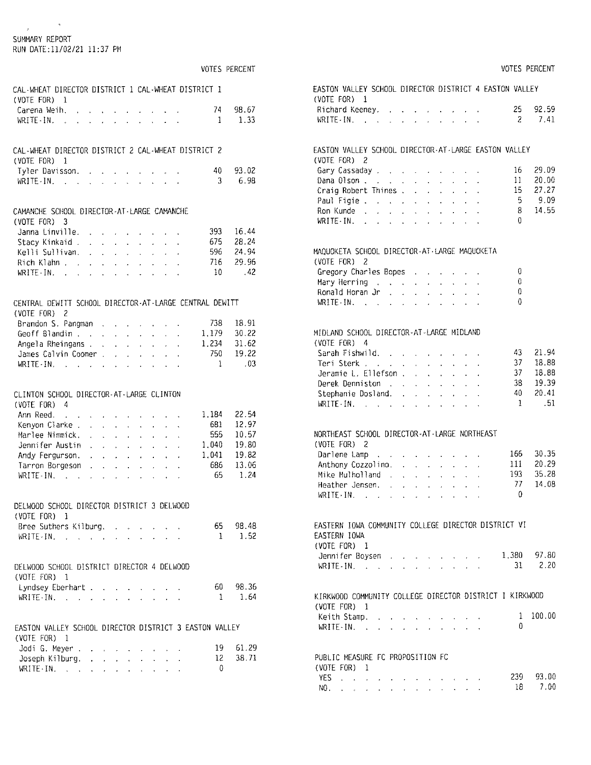#### SUMMARY REPORT

 $\mathfrak{p}$ 

RUN DATE:11/02/21 11:37 PM

|                                                                                                                                                                                                                                                                                                                                                                                                                                                                                                                             |                                                           |                                                                  |                                               |                            |                                  |                                               |                      | VOTES PERCENT   |          |
|-----------------------------------------------------------------------------------------------------------------------------------------------------------------------------------------------------------------------------------------------------------------------------------------------------------------------------------------------------------------------------------------------------------------------------------------------------------------------------------------------------------------------------|-----------------------------------------------------------|------------------------------------------------------------------|-----------------------------------------------|----------------------------|----------------------------------|-----------------------------------------------|----------------------|-----------------|----------|
| CAL-WHEAT DIRECTOR DISTRICT 1 CAL-WHEAT DISTRICT 1<br>(VOTE FOR)<br>Ĩ.                                                                                                                                                                                                                                                                                                                                                                                                                                                      |                                                           |                                                                  |                                               |                            |                                  |                                               |                      |                 |          |
| Carena Weih.                                                                                                                                                                                                                                                                                                                                                                                                                                                                                                                |                                                           |                                                                  |                                               |                            |                                  |                                               |                      | 74              | 98.67    |
| $\downarrow$<br>WRITE IN.                                                                                                                                                                                                                                                                                                                                                                                                                                                                                                   |                                                           |                                                                  |                                               |                            |                                  | design and a state of the state               |                      | 1               | 1.33     |
| $\sim$ $\sim$<br>$\ddot{\phantom{0}}$<br>$\mathbf{A}^{\mathrm{max}}$                                                                                                                                                                                                                                                                                                                                                                                                                                                        |                                                           |                                                                  |                                               |                            |                                  | the contract of the contract of               |                      |                 |          |
| CAL-WHEAT DIRECTOR DISTRICT 2 CAL-WHEAT DISTRICT 2                                                                                                                                                                                                                                                                                                                                                                                                                                                                          |                                                           |                                                                  |                                               |                            |                                  |                                               |                      |                 |          |
| $(VOTE$ $FOR$ ) $1$                                                                                                                                                                                                                                                                                                                                                                                                                                                                                                         |                                                           |                                                                  |                                               |                            |                                  |                                               |                      |                 |          |
| Tyler Davisson.                                                                                                                                                                                                                                                                                                                                                                                                                                                                                                             |                                                           |                                                                  |                                               |                            |                                  |                                               |                      | 40              | 93.02    |
| WRITE-IN.<br>and the second contract of the second contract of                                                                                                                                                                                                                                                                                                                                                                                                                                                              |                                                           |                                                                  |                                               |                            |                                  |                                               |                      | 3               | 6.98     |
| CAMANCHE SCHOOL DIRECTOR-AT-LARGE CAMANCHE                                                                                                                                                                                                                                                                                                                                                                                                                                                                                  |                                                           |                                                                  |                                               |                            |                                  |                                               |                      |                 |          |
| (VOTE FOR)                                                                                                                                                                                                                                                                                                                                                                                                                                                                                                                  |                                                           |                                                                  |                                               |                            |                                  |                                               |                      |                 |          |
| 3                                                                                                                                                                                                                                                                                                                                                                                                                                                                                                                           |                                                           |                                                                  |                                               |                            |                                  |                                               |                      |                 | 16.44    |
| Janna Linville.<br>$\mathbf{r}$                                                                                                                                                                                                                                                                                                                                                                                                                                                                                             |                                                           | <b>Contract Contract Contract</b>                                |                                               |                            |                                  |                                               |                      | 393<br>675      | 28.24    |
| Stacy Kinkaid .<br>$\mathbf{r}$                                                                                                                                                                                                                                                                                                                                                                                                                                                                                             | $\mathcal{L}^{(1)}$                                       | $\mathcal{L}^{\text{max}}$                                       | $\mathcal{L}_{\rm{max}}$                      | $\sim$                     |                                  |                                               |                      | 596 -           | 24.94    |
| Kelli Sullivan.                                                                                                                                                                                                                                                                                                                                                                                                                                                                                                             | $\mathbf{r} = \mathbf{r}$                                 |                                                                  | $\mathbf{r} = \mathbf{r} \times \mathbf{r}$ . |                            | $\sim$                           | $\sim$                                        |                      | 716             |          |
| Rich Klahn                                                                                                                                                                                                                                                                                                                                                                                                                                                                                                                  |                                                           |                                                                  |                                               |                            |                                  |                                               |                      |                 | 29.96    |
| WRITE-IN.                                                                                                                                                                                                                                                                                                                                                                                                                                                                                                                   |                                                           |                                                                  |                                               |                            |                                  |                                               |                      | $\overline{10}$ | .42      |
| CENTRAL DEWITT SCHOOL DIRECTOR-AT-LARGE CENTRAL DEWITT<br>(VOTE FOR) 2                                                                                                                                                                                                                                                                                                                                                                                                                                                      |                                                           |                                                                  |                                               |                            |                                  |                                               |                      |                 |          |
| Brandon S. Pangman.                                                                                                                                                                                                                                                                                                                                                                                                                                                                                                         |                                                           |                                                                  |                                               |                            |                                  |                                               |                      | 738             | 18.91    |
| Geoff Blandin                                                                                                                                                                                                                                                                                                                                                                                                                                                                                                               |                                                           |                                                                  | <b>Contract</b>                               | $\mathbf{r}$               |                                  |                                               |                      | 1.179           | 30.22    |
|                                                                                                                                                                                                                                                                                                                                                                                                                                                                                                                             |                                                           |                                                                  | <b>Service Control</b>                        |                            | $\sim$                           | $\sim$                                        | $\Delta$             | 1.234           | 31.62    |
| Angela Rheingans                                                                                                                                                                                                                                                                                                                                                                                                                                                                                                            |                                                           |                                                                  |                                               |                            |                                  | $\Delta \sim 10^{11}$ m $^{-1}$               | $\ddot{\phantom{0}}$ | 750             | 19.22    |
| James Calvin Coomer                                                                                                                                                                                                                                                                                                                                                                                                                                                                                                         |                                                           |                                                                  |                                               |                            |                                  | $\mathbf{A}^{(1)}$ and $\mathbf{A}^{(2)}$ and |                      |                 |          |
|                                                                                                                                                                                                                                                                                                                                                                                                                                                                                                                             |                                                           |                                                                  |                                               |                            |                                  | $\mathbf{u} = \mathbf{u} \cdot \mathbf{u}$ .  |                      | 1               | .03      |
| CLINTON SCHOOL DIRECTOR-AT-LARGE CLINTON                                                                                                                                                                                                                                                                                                                                                                                                                                                                                    |                                                           |                                                                  |                                               |                            |                                  |                                               |                      |                 |          |
| (VOTE FOR) 4                                                                                                                                                                                                                                                                                                                                                                                                                                                                                                                |                                                           |                                                                  |                                               |                            |                                  |                                               |                      |                 |          |
| Ann Reed.<br><b>College</b>                                                                                                                                                                                                                                                                                                                                                                                                                                                                                                 | $\mathbf{v}$                                              |                                                                  | $\mathbf{r}$                                  | $\mathbf{r}$               |                                  |                                               |                      | 1.184           | 22.54    |
| Kenyon Clarke .                                                                                                                                                                                                                                                                                                                                                                                                                                                                                                             | $\sqrt{2}$                                                | $\mathbf{r} = \mathbf{r} \times \mathbf{r}$ , where $\mathbf{r}$ |                                               | $\mathbf{r}$               | $\mathbf{r} = \mathbf{r}$        | $\mathbf{z}$ .                                |                      | 681             | 12.97    |
| Marlee Nimmick.<br>$\ddot{\phantom{0}}$                                                                                                                                                                                                                                                                                                                                                                                                                                                                                     | $\mathcal{L}^{\pm}$                                       | $\mathcal{L}^{\text{max}}$                                       |                                               | $\mathcal{L}^{\text{max}}$ | $\mathcal{L}^{\text{max}}$       |                                               |                      | 555             | 10.57    |
| Jennifer Austin                                                                                                                                                                                                                                                                                                                                                                                                                                                                                                             | $\ddot{\phantom{0}}$<br>$\mathbf{r}$                      | $\sim$                                                           | $\mathbf{r}$<br>$\ddot{\phantom{0}}$          | $\ddot{\phantom{0}}$       |                                  | $\epsilon$                                    | $\ddot{\phantom{0}}$ | 1.040           | 19.80    |
| Andy Fergurson.                                                                                                                                                                                                                                                                                                                                                                                                                                                                                                             |                                                           |                                                                  | <b>Contract</b>                               |                            | $\mathbf{v}$<br>$\Delta \sim 10$ | $\ddot{\phantom{0}}$                          |                      | 1.041           | 19.82    |
| Tarron Borgeson                                                                                                                                                                                                                                                                                                                                                                                                                                                                                                             | $\mathbf{r}$<br>and a strong control of the state of the  | $\sim$                                                           |                                               |                            |                                  |                                               |                      | 686             | 13.06    |
| $WRITE + IN$ , $\therefore$ $\therefore$ $\therefore$ $\therefore$ $\therefore$ $\therefore$ $\therefore$ $\therefore$ $\therefore$                                                                                                                                                                                                                                                                                                                                                                                         |                                                           |                                                                  |                                               |                            |                                  |                                               |                      | 65              | 1.24     |
|                                                                                                                                                                                                                                                                                                                                                                                                                                                                                                                             |                                                           |                                                                  |                                               |                            |                                  |                                               | $\bar{\phantom{a}}$  |                 |          |
| DELWOOD SCHOOL DIRECTOR DISTRICT 3 DELWOOD<br>(VOTE FOR)<br>-1                                                                                                                                                                                                                                                                                                                                                                                                                                                              |                                                           |                                                                  |                                               |                            |                                  |                                               |                      |                 |          |
|                                                                                                                                                                                                                                                                                                                                                                                                                                                                                                                             |                                                           |                                                                  |                                               |                            |                                  |                                               |                      |                 |          |
| Bree Suthers Kilburg                                                                                                                                                                                                                                                                                                                                                                                                                                                                                                        |                                                           |                                                                  |                                               |                            |                                  |                                               |                      |                 | 65 98.48 |
| $WRITE-IN.$ $\ldots$ $\ldots$                                                                                                                                                                                                                                                                                                                                                                                                                                                                                               |                                                           | $\Delta \sim 10$                                                 | $\mathbf{r}$                                  | $\sim$ 10 $\sim$           | $\sim$                           |                                               |                      | $\mathbf{1}$    | 1.52     |
|                                                                                                                                                                                                                                                                                                                                                                                                                                                                                                                             |                                                           |                                                                  |                                               |                            |                                  |                                               |                      |                 |          |
| DELWOOD SCHOOL DISTRICT DIRECTOR 4 DELWOOD                                                                                                                                                                                                                                                                                                                                                                                                                                                                                  |                                                           |                                                                  |                                               |                            |                                  |                                               |                      |                 |          |
| (VOTE FOR) 1                                                                                                                                                                                                                                                                                                                                                                                                                                                                                                                |                                                           |                                                                  |                                               |                            |                                  |                                               |                      |                 |          |
| Lyndsey Eberhart .                                                                                                                                                                                                                                                                                                                                                                                                                                                                                                          |                                                           |                                                                  |                                               |                            |                                  | the contract of the contract of the           |                      |                 | 60 98.36 |
| $\text{WRITE} \cdot \text{IN}, \quad \text{or} \quad \text{or} \quad \text{or} \quad \text{or} \quad \text{or} \quad \text{or} \quad \text{or} \quad \text{or} \quad \text{or} \quad \text{or} \quad \text{or} \quad \text{or} \quad \text{or} \quad \text{or} \quad \text{or} \quad \text{or} \quad \text{or} \quad \text{or} \quad \text{or} \quad \text{or} \quad \text{or} \quad \text{or} \quad \text{or} \quad \text{or} \quad \text{or} \quad \text{or} \quad \text{or} \quad \text{or} \quad \text{or} \quad \text$ |                                                           |                                                                  |                                               |                            |                                  |                                               |                      | $\mathbf{1}$    | 1.64     |
| EASTON VALLEY SCHOOL DIRECTOR DISTRICT 3 EASTON VALLEY                                                                                                                                                                                                                                                                                                                                                                                                                                                                      |                                                           |                                                                  |                                               |                            |                                  |                                               |                      |                 |          |
| $(VOTE$ FOR) $1$                                                                                                                                                                                                                                                                                                                                                                                                                                                                                                            |                                                           |                                                                  |                                               |                            |                                  |                                               |                      |                 |          |
| Jodi G. Meyer .                                                                                                                                                                                                                                                                                                                                                                                                                                                                                                             |                                                           |                                                                  | $\sim$                                        |                            |                                  |                                               |                      | 19 -            | 61.29    |
| Joseph Kilburg.<br>WRITE-IN.                                                                                                                                                                                                                                                                                                                                                                                                                                                                                                | $\mathbf{r}$<br>$\mathbf{r}$<br>. L<br>$\mathbf{r}^{(i)}$ | $\mathbf{r}$                                                     | $\ddot{\phantom{a}}$                          | $\mathcal{L}^{\text{max}}$ | $\mathbf{v}$                     |                                               |                      | 0               | 12 38.71 |

#### VOTES PERCENT EASTON VALLEY SCHOOL DIRECTOR DISTRICT 4 EASTON VALLEY  $(VOTE FOR) 1$ 25 92.59 Richard Keeney. . . . . . . . . . 2 7.41 WRITE IN,  $\cdots$   $\cdots$   $\cdots$ EASTON VALLEY SCHOOL DIRECTOR-AT-LARGE EASTON VALLEY  $(VOTE FOR) 2$ 16 29.09 Gary Cassaday . . . . . . . . . . 11 20.00 Dana Olson . . . . . . . . . . . Craig Robert Thines . . . . . . . 15 27.27  $-5$  $-9.09$ Paul Figie . . . . . . . . . . . 8 14.55 Ron Kunde . . . . . . . . . . .  $\text{WRITE} \cdot \text{IN}, \quad \text{or} \quad \text{or} \quad \text{or} \quad \text{or} \quad \text{or} \quad \text{or} \quad \text{or} \quad \text{or} \quad \text{or} \quad \text{or} \quad \text{or} \quad \text{or} \quad \text{or} \quad \text{or} \quad \text{or} \quad \text{or} \quad \text{or} \quad \text{or} \quad \text{or} \quad \text{or} \quad \text{or} \quad \text{or} \quad \text{or} \quad \text{or} \quad \text{or} \quad \text{or} \quad \text{or} \quad \text{or} \quad \text{or} \quad \text$  $\mathbf 0$ MAQUOKETA SCHOOL DIRECTOR-AT-LARGE MAQUOKETA (VOTE FOR) 2 Gregory Charles Bopes . . . . . .  $\mathbf{0}$ Mary Herring (2014) and (2014) and (2014) and (2014) and (2014) and (2014) and (2014) and (2014) and (2014) and (2014) and (2014) and (2014) and (2014) and (2014) and (2014) and (2014) and (2014) and (2014) and (2014) and  $\mathbf 0$ Ronald Horan Jr. . . . . . . . .  $\mathbf 0$ WRITE-IN, where  $\alpha$  is a set of the set of the  $\alpha$  $\Omega$ MIDLAND SCHOOL DIRECTOR-AT-LARGE MIDLAND  $(VOTF$   $FOR$ )  $4$ Sarah Fishwild. . . . . . . . . . 43 21.94  $\begin{array}{cc} 37 & 18.88 \\ 37 & 18.88 \end{array}$ Teri Sterk , , , , , , , , , , , , Jeramie L. Ellefson . . . . . . . .  $38$  19.39 Derek Denniston . . . . . . . . 40 20.41 Stephanie Dosland. . . . . . . .  $\text{WRITE} \cdot \text{IN}, \qquad \qquad \ldots \qquad \qquad \ldots \qquad \qquad \ldots \qquad \ldots \qquad \ldots \qquad \ldots$  $\overline{1}$ .51 NORTHEAST SCHOOL DIRECTOR-AT-LARGE NORTHEAST  $(VOTE$   $FOR$ )  $2$ Darlene Lamp  $\ldots$   $\ldots$   $\ldots$   $\ldots$ 30.35 166 Anthony Cozzolino. . . . . . . .  $111$ 20.29 193 Mike Mulholland and a contract of the Mike 35.28 Heather Jensen. . . . . . . . . . 77 14.08  $\theta$  $\text{WRITE} \cdot \text{IN}, \quad \text{and} \quad \text{and} \quad \text{and} \quad \text{and} \quad \text{and} \quad \text{and} \quad \text{and} \quad \text{and} \quad \text{and} \quad \text{and} \quad \text{and} \quad \text{and} \quad \text{and} \quad \text{and} \quad \text{and} \quad \text{and} \quad \text{and} \quad \text{and} \quad \text{and} \quad \text{and} \quad \text{and} \quad \text{and} \quad \text{and} \quad \text{and} \quad \text{and} \quad \text{and} \quad \text{and} \quad \text{and} \quad \text{and} \quad \text$ EASTERN IOWA COMMUNITY COLLEGE DIRECTOR DISTRICT VI EASTERN IOWA  $(VOTE FOR) 1$ Jennifer Boysen . . . . . . . . 1,380 97.80 2.20 WRITE-IN,  $\cdots$   $\cdots$   $\cdots$ 31 KIRKWOOD COMMUNITY COLLEGE DIRECTOR DISTRICT I KIRKWOOD  $(VOTE FOR) 1$  $1 100.00$ Keith Stamp. . . . . . . . . . .  $\Omega$ WRITE-IN,  $\cdots$   $\cdots$   $\cdots$ PUBLIC MEASURE FC PROPOSITION FC OUNTE FORM

| (VUIE FUKJ - 1-                                                                                                                                                                                                                |  |  |  |  |  |  |           |
|--------------------------------------------------------------------------------------------------------------------------------------------------------------------------------------------------------------------------------|--|--|--|--|--|--|-----------|
| YES a contract of the contract of the second state of the second state of the second state of the second state of the second state of the second state of the second state of the second state of the second state of the seco |  |  |  |  |  |  | 239 93.00 |
| NO.                                                                                                                                                                                                                            |  |  |  |  |  |  | $18$ 7.00 |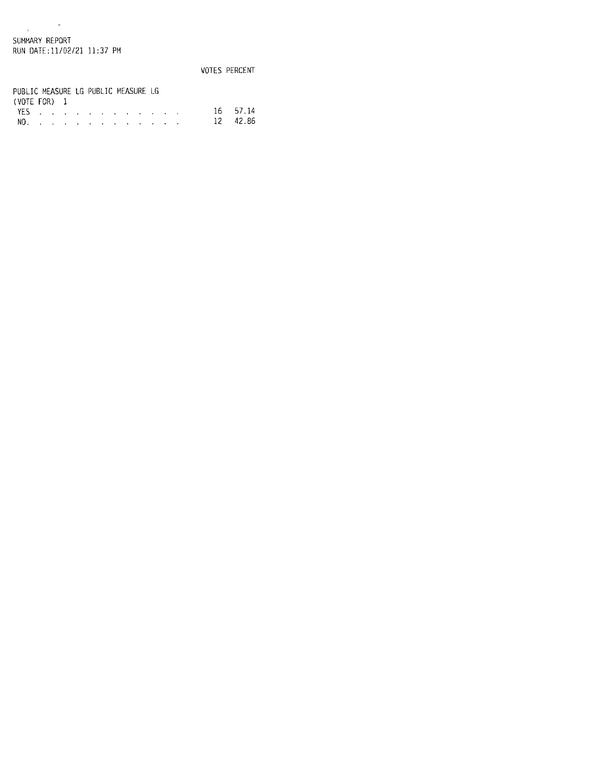$\label{eq:3.1} \begin{array}{ccccc} & & & & \\\hline \end{array}$ SUMMARY REPORT RUN DATE:11/02/21 11:37 PM

VOTES PERCENT PUBLIC MEASURE LG PUBLIC MEASURE LG  $(VOTE FOR) 1$ VES . . . . . . . . . . . . . 16 57.14<br>NO. . . . . . . . . . . . . . . 12 42.86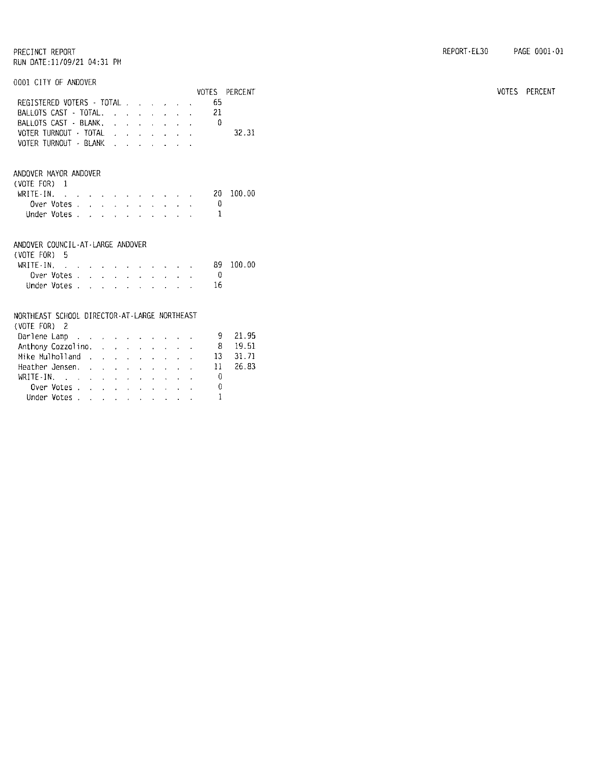0001 CITY OF ANDOVER

|                                                                                    |  |                                                                                                                     |  |                                                                 |  |              | VOTES PERCENT |
|------------------------------------------------------------------------------------|--|---------------------------------------------------------------------------------------------------------------------|--|-----------------------------------------------------------------|--|--------------|---------------|
| REGISTERED VOTERS - TOTAL                                                          |  |                                                                                                                     |  |                                                                 |  | 65           |               |
| BALLOTS CAST - TOTAL.                                                              |  |                                                                                                                     |  |                                                                 |  | 21           |               |
| BALLOTS CAST - BLANK.                                                              |  |                                                                                                                     |  |                                                                 |  | $\Box$ 0     |               |
| VOTER TURNOUT · TOTAL                                                              |  |                                                                                                                     |  |                                                                 |  |              | 32.31         |
| VOTER TURNOUT - BLANK                                                              |  |                                                                                                                     |  |                                                                 |  |              |               |
| ANDOVER MAYOR ANDOVER                                                              |  |                                                                                                                     |  |                                                                 |  |              |               |
| (VOTE FOR) 1                                                                       |  |                                                                                                                     |  |                                                                 |  |              |               |
| WRITE-IN. $\ldots$ $\ldots$ $\ldots$ $\ldots$                                      |  |                                                                                                                     |  |                                                                 |  | 20.          | 100.00        |
| Over Votes.                                                                        |  |                                                                                                                     |  |                                                                 |  | 0            |               |
| Under Votes                                                                        |  |                                                                                                                     |  | $\mathbf{r}$ and $\mathbf{r}$ and $\mathbf{r}$ and $\mathbf{r}$ |  | 1            |               |
| ANDOVER COUNCIL-AT-LARGE ANDOVER<br>(VOTE FOR) 5                                   |  |                                                                                                                     |  |                                                                 |  | 89           | 100.00        |
| WRITE - IN, $\cdots$ $\cdots$ $\cdots$ $\cdots$<br>Over Votes, , , , , , , , , , , |  |                                                                                                                     |  |                                                                 |  | $\bigcirc$   |               |
|                                                                                    |  |                                                                                                                     |  |                                                                 |  | 16           |               |
| Under Votes                                                                        |  |                                                                                                                     |  |                                                                 |  |              |               |
| NORTHEAST SCHOOL DIRECTOR-AT-LARGE NORTHEAST<br>(VOTE FOR) 2                       |  |                                                                                                                     |  |                                                                 |  |              |               |
| Darlene Lamp                                                                       |  |                                                                                                                     |  |                                                                 |  | 9            | 21.95         |
| Anthony Cozzolino.                                                                 |  |                                                                                                                     |  |                                                                 |  | -8           | 19.51         |
| Mike Mulholland                                                                    |  |                                                                                                                     |  |                                                                 |  | 13           | 31.71         |
| Heather Jensen.                                                                    |  |                                                                                                                     |  |                                                                 |  | 11           | 26.83         |
| WRITE-IN.                                                                          |  |                                                                                                                     |  |                                                                 |  | 0            |               |
| Over Votes                                                                         |  |                                                                                                                     |  |                                                                 |  | 0            |               |
| Under Votes.                                                                       |  |                                                                                                                     |  |                                                                 |  | $\mathbf{1}$ |               |
|                                                                                    |  | $\mathbf{a} = \mathbf{a} + \mathbf{a}$ , and $\mathbf{a} = \mathbf{a} + \mathbf{a}$ , and $\mathbf{a} = \mathbf{a}$ |  |                                                                 |  |              |               |

VOTES PERCENT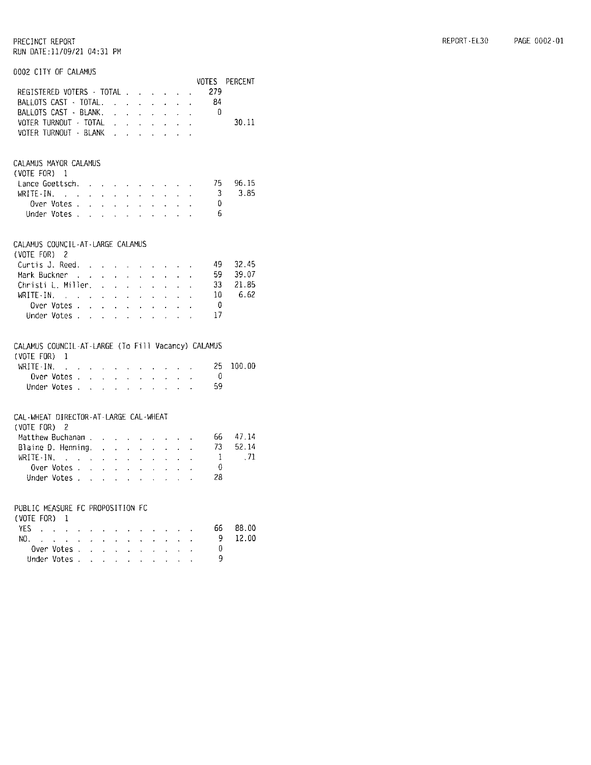## 0002 CITY OF CALAMUS

|                                                    |                      |                             |                                        |                                             |                                                          |                                 |                                        |                                                                                                 |                             |                | VOTES PERCENT |
|----------------------------------------------------|----------------------|-----------------------------|----------------------------------------|---------------------------------------------|----------------------------------------------------------|---------------------------------|----------------------------------------|-------------------------------------------------------------------------------------------------|-----------------------------|----------------|---------------|
| REGISTERED VOTERS · TOTAL                          |                      |                             |                                        |                                             |                                                          |                                 |                                        |                                                                                                 | $\sim$                      | 279            |               |
| BALLOTS CAST - TOTAL.                              |                      |                             |                                        |                                             | <b>Contract</b>                                          | $\sim$                          |                                        | $\mathbf{u}^{\prime}$ , $\mathbf{u}^{\prime}$ , $\mathbf{u}^{\prime}$ , $\mathbf{u}^{\prime}$ , |                             | - 84           |               |
| BALLOTS CAST - BLANK.                              |                      |                             | $\mathbf{r}$                           | $\ddot{\phantom{0}}$                        | $\ddot{\phantom{0}}$                                     | k.                              | $\ddot{\phantom{0}}$                   | $\mathcal{L}^{\pm}$                                                                             | $\mathcal{L}_{\mathcal{A}}$ | - 0            |               |
| VOTER TURNOUT - TOTAL                              |                      |                             | $\ddot{\phantom{0}}$                   | $\sim 10^{-1}$                              | $\epsilon$                                               | $\mathbf{v}$                    | $\cdot$                                | $\ddot{\phantom{0}}$                                                                            | $\mathcal{A}$               |                | 30.11         |
| VOTER TURNOUT - BLANK                              |                      |                             | $\cdot$                                |                                             | $\mathbf{r} = \mathbf{r}$                                | $\Delta$                        |                                        |                                                                                                 | ä.                          |                |               |
|                                                    |                      |                             |                                        |                                             |                                                          |                                 | ¥.                                     |                                                                                                 |                             |                |               |
| CALAMUS MAYOR CALAMUS                              |                      |                             |                                        |                                             |                                                          |                                 |                                        |                                                                                                 |                             |                |               |
| $(V0TE F0R)$ 1                                     |                      |                             |                                        |                                             |                                                          |                                 |                                        |                                                                                                 |                             |                |               |
| Lance Goettsch.                                    |                      |                             |                                        |                                             |                                                          |                                 |                                        |                                                                                                 |                             | 75             | 96.15         |
| WRITE-IN.<br>$\sim 10^{11}$ km $^{-1}$             | $\mathcal{A}$        |                             | $\mathbf{r} = \mathbf{r} \mathbf{r}$ . |                                             | $\mathbf{r} = \mathbf{r} \mathbf{r}$ .                   | $\sim$                          | $\mathcal{L}^{\pm}$                    | $\mathbf{v}$                                                                                    | $\epsilon$                  | 3              | 3.85          |
| Over Votes .                                       | $\sim$               | $\mathbf{v}$                | $\ddot{\phantom{0}}$                   | $\mathcal{L}^{\pm}$                         | $\ddot{\phantom{0}}$                                     | $\ddot{\phantom{0}}$            | $\ddot{\phantom{a}}$                   | a.                                                                                              |                             | $\theta$       |               |
| Under Votes                                        |                      | $\mathbf{r}$                |                                        | $\omega_{\rm{max}}$ and $\omega_{\rm{max}}$ |                                                          | $\mathbf{r}^{\mathrm{max}}$ and | $\ddot{\phantom{0}}$                   | $\ddot{\phantom{0}}$                                                                            | $\ddot{\phantom{0}}$        | -6             |               |
| CALAMUS COUNCIL-AT-LARGE CALAMUS                   |                      |                             |                                        |                                             |                                                          |                                 |                                        |                                                                                                 |                             |                |               |
| $\sim$ 2<br>(VOTE FOR)                             |                      |                             |                                        |                                             |                                                          |                                 |                                        |                                                                                                 |                             |                |               |
| Curtis J. Reed.                                    | $\sim 10^{-1}$       | $\mathbf{r}$                | $\mathbf{r}$                           |                                             | <b>Contract Contract Contract</b>                        |                                 | $\sim$ $-$                             |                                                                                                 | $\sim 10^{-1}$              | 49.            | 32.45         |
| Mark Buckner,                                      |                      | l.                          | у.                                     | $\mathbf{a}^{\dagger}$ .                    | $\mathbf{r}$                                             | $\ddot{\phantom{0}}$            | $\mathbf{r}$                           |                                                                                                 | L.                          | 59             | 39.07         |
| Christi L. Miller.                                 |                      | $\Delta$                    | $\mathbf{z}$                           | $\mathcal{L}^{\pm}$                         | $\mathbf{r}$                                             | $\mathbf{v}$                    | $\mathbf{r}$                           |                                                                                                 |                             | 33             | 21.85         |
| WRITE-IN.                                          |                      | $\ddot{\phantom{a}}$        | $\mathbf{L}$                           | $\sim$                                      |                                                          | ä,                              | l,                                     |                                                                                                 |                             | 10             | 6.62          |
| Over Votes .                                       | $\mathcal{L}$        | $\mathcal{L}^{\pm}$         | $\mathcal{L}^{\mathcal{L}}$            | $\Delta \sim 10$                            | $\ddot{\phantom{0}}$                                     | $\mathbf{r}$                    | $\blacksquare$                         | $\ddot{\phantom{0}}$                                                                            |                             | 0              |               |
| Under Votes .                                      | $\sim$               | $\sim$ 10 $\pm$             | $\mathbf{r}$                           | $\sim$                                      | $\mathbf{L}$                                             |                                 | $\ddot{\phantom{1}}$                   | $\ddot{\phantom{a}}$                                                                            |                             | 17             |               |
|                                                    |                      |                             |                                        |                                             |                                                          |                                 |                                        |                                                                                                 |                             |                |               |
| CALAMUS COUNCIL-AT-LARGE (To Fill Vacancy) CALAMUS |                      |                             |                                        |                                             |                                                          |                                 |                                        |                                                                                                 |                             |                |               |
| $(VOTE FOR) 1$                                     |                      |                             |                                        |                                             |                                                          |                                 |                                        |                                                                                                 |                             |                |               |
| WRITE-IN.<br>$\sim$ .                              |                      |                             |                                        |                                             | the contract of the contract of the con-                 |                                 |                                        |                                                                                                 |                             | 25             | 100.00        |
| Over Votes .                                       | $\mathbf{L}$         | $\mathbf{K}^{\mathrm{max}}$ | $\epsilon$                             |                                             | $\mathbf{v} = \mathbf{v} + \mathbf{v}$                   | $\mathbf{a}$                    | $\sim$                                 | $\mathbf{r} = \mathbf{r}$                                                                       |                             | - 0            |               |
| Under Votes.                                       | $\ddot{\phantom{a}}$ | $\sim$                      | $\mathbf{L}$                           | k.                                          | $\ddot{\phantom{1}}$                                     | ä,                              | $\ddot{\phantom{a}}$                   | $\ddot{\phantom{a}}$                                                                            | l.                          | 59             |               |
| CAL-WHEAT DIRECTOR-AT-LARGE CAL-WHEAT              |                      |                             |                                        |                                             |                                                          |                                 |                                        |                                                                                                 |                             |                |               |
| (VOTE FOR) 2                                       |                      |                             |                                        |                                             |                                                          |                                 |                                        |                                                                                                 |                             |                |               |
| Matthew Buchanan.                                  |                      | $\sim$                      | $\sim$                                 |                                             | $\mathbf{r} = \mathbf{r} \cdot \mathbf{r}$               |                                 | $\mathbf{z} = \mathbf{z} + \mathbf{z}$ |                                                                                                 | $\ddot{\phantom{a}}$        | 66             | 47.14         |
| Blaine D. Henning.                                 |                      | $\ddot{\phantom{0}}$        | $\ddot{\phantom{0}}$                   | $\mathbf{r}$                                | $\mathcal{L}^{\mathcal{L}}$                              | $\mathbf{r}$                    | $\cdot$                                | ä.                                                                                              |                             | 73             | 52.14         |
| $WRITE-N$ .                                        |                      | $\mathbf{r}^{\top}$         | $\mathbf{r}$                           | $\mathbf{v}^{\dagger}$                      | ä,                                                       | ä,                              | $\ddot{\phantom{0}}$                   | $\mathbf{r}^{\pm}$                                                                              | t,                          | -1             | .71           |
| Over Votes .                                       | $\mathbf{r}$         | $\ddot{\phantom{a}}$        | $\mathbf{a}^{\dagger}$ .               | $\mathbf{r}$                                | ¥.                                                       | i.                              | $\ddot{\phantom{0}}$                   | ä,                                                                                              |                             | $\overline{0}$ |               |
| Under Votes                                        |                      |                             |                                        | <b>All Contracts</b>                        |                                                          |                                 |                                        |                                                                                                 | $\ddot{\phantom{0}}$        | 28             |               |
|                                                    |                      |                             |                                        |                                             |                                                          | $\bar{\mathbf{r}}$              | $\ddot{\phantom{1}}$                   | $\ddot{\phantom{a}}$                                                                            |                             |                |               |
| PUBLIC MEASURE FC PROPOSITION FC                   |                      |                             |                                        |                                             |                                                          |                                 |                                        |                                                                                                 |                             |                |               |
| (VOTE FOR)<br>1                                    |                      |                             |                                        |                                             |                                                          |                                 |                                        |                                                                                                 |                             |                |               |
| YES<br>l,<br>$\mathcal{A}=\mathcal{A}$             |                      |                             |                                        |                                             |                                                          |                                 |                                        |                                                                                                 |                             | 66             | 88.00         |
| NO.                                                | l,                   | $\ddot{\phantom{0}}$        | $\ddot{\phantom{0}}$                   | $\ddot{\phantom{a}}$                        | ä.                                                       | $\mathbf{r}$                    | $\cdot$                                |                                                                                                 |                             | -9             | 12.00         |
| Over Votes .                                       | $\mathbf{r}$         | $\mathbb{Z}^{\mathbb{Z}}$   | $\mathcal{L}^{\pm}$                    |                                             | $\mathcal{L}^{\mathcal{L}}(\mathcal{L}^{\mathcal{L}})$ . | $\mathbf{L}^{\text{max}}$       | $\ddot{\phantom{0}}$                   | $\mathbf{L}^{\text{max}}$                                                                       |                             | $\overline{0}$ |               |
| Under Votes .                                      |                      | $\ddot{\phantom{a}}$        | $\ddot{\phantom{a}}$                   | $\ddot{\phantom{0}}$                        | $\ddot{\phantom{a}}$                                     | $\lambda$                       | $\ddot{\phantom{0}}$                   |                                                                                                 |                             | - 9            |               |
|                                                    |                      |                             |                                        |                                             |                                                          |                                 |                                        |                                                                                                 |                             |                |               |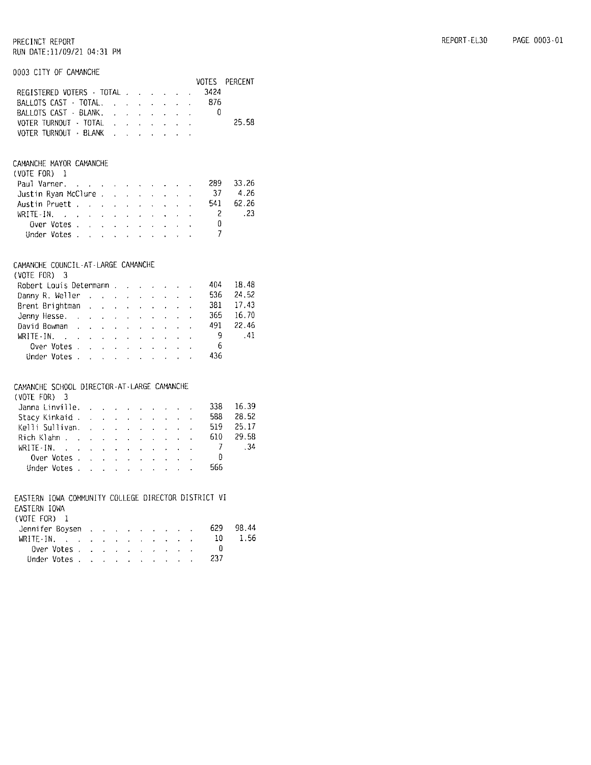#### 0003 CITY OF CAMANCHE

|  |  |  |  |                       | VOTES PERCENT                                                                                             |
|--|--|--|--|-----------------------|-----------------------------------------------------------------------------------------------------------|
|  |  |  |  |                       |                                                                                                           |
|  |  |  |  |                       |                                                                                                           |
|  |  |  |  |                       |                                                                                                           |
|  |  |  |  |                       | 25.58                                                                                                     |
|  |  |  |  |                       |                                                                                                           |
|  |  |  |  | VOTER TURNOUT · BLANK | REGISTERED VOTERS TOTAL 3424<br>BALLOTS CAST TOTAL, 876<br>BALLOTS CAST - BLANK.<br>VOTER TURNOUT - TOTAL |

#### CAMANCHE MAYOR CAMANCHE

| $(V01E$ FOR) $\pm$                       |  |  |  |  |                |        |
|------------------------------------------|--|--|--|--|----------------|--------|
| Paul Varner.                             |  |  |  |  | -289           | 33.26  |
| Justin Ryan McClure 37                   |  |  |  |  |                | -4.26  |
| Austin Pruett.                           |  |  |  |  | 541            | 62.26  |
| WRITE-IN, $\ldots$ , $\ldots$ , $\ldots$ |  |  |  |  | $\overline{2}$ | $-.23$ |
| Over Votes, , , , , , , , , , , ,        |  |  |  |  |                |        |
| Under Votes                              |  |  |  |  |                |        |

#### CAMANCHE COUNCIL-AT-LARGE CAMANCHE

| (VOTE FOR) 3                                   |  |  |  |  |  |           |
|------------------------------------------------|--|--|--|--|--|-----------|
| Robert Louis Determann                         |  |  |  |  |  | 404 18.48 |
| Danny R. Weller $\cdots$ . $\cdots$ . $\cdots$ |  |  |  |  |  | 536 24.52 |
| Brent Brightman                                |  |  |  |  |  | 381 17.43 |
| Jenny Hesse. 365 16.70                         |  |  |  |  |  |           |
| David Bowman,                                  |  |  |  |  |  | 491 22.46 |
| WRITE-IN. 9 . 41                               |  |  |  |  |  |           |
| Over Votes 6                                   |  |  |  |  |  |           |
| Under Votes 436                                |  |  |  |  |  |           |

#### CAMANCHE SCHOOL DIRECTOR-AT-LARGE CAMANCHE

| $(V0TE F0R)$ 3                                                                                                                                              |  |  |  |  |     |       |
|-------------------------------------------------------------------------------------------------------------------------------------------------------------|--|--|--|--|-----|-------|
| Janna Linville. $\therefore$ $\therefore$ $\therefore$ $\therefore$ $\therefore$ 338                                                                        |  |  |  |  |     | 16.39 |
| Stacy Kinkaid                                                                                                                                               |  |  |  |  | 588 | 28.52 |
| Kelli Sullivan. 519 25.17                                                                                                                                   |  |  |  |  |     |       |
| Rich Klahn 610 29.58                                                                                                                                        |  |  |  |  |     |       |
| WRITE-IN. $\therefore$ $\therefore$ $\therefore$ $\therefore$ $\therefore$ $\therefore$ $\therefore$ $\therefore$ $\therefore$ $\therefore$ $\therefore$ 34 |  |  |  |  |     |       |
| Over Votes $\ldots$ $\ldots$ $\ldots$ $\ldots$ 0                                                                                                            |  |  |  |  |     |       |
| Under Votes 566                                                                                                                                             |  |  |  |  |     |       |
|                                                                                                                                                             |  |  |  |  |     |       |

EASTERN IOWA COMMUNITY COLLEGE DIRECTOR DISTRICT VI

#### EASTERN IOWA  $(VOTE FOR)$  1

| IVULLIUIVI L    |  |  |  |  |     |       |
|-----------------|--|--|--|--|-----|-------|
| Jennifer Boysen |  |  |  |  | 629 | 98.44 |
|                 |  |  |  |  | 10. | -1.56 |
| Over Votes      |  |  |  |  |     |       |
| Under Votes     |  |  |  |  | 237 |       |
|                 |  |  |  |  |     |       |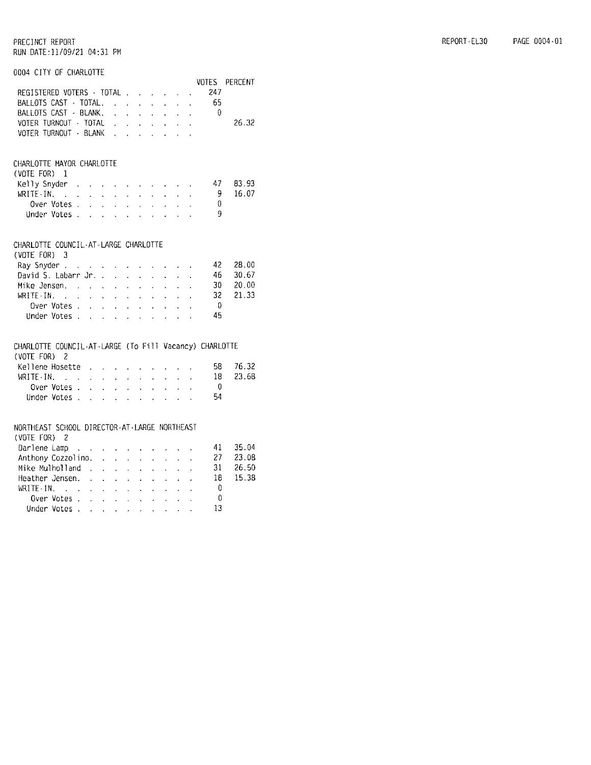#### 0004 CITY OF CHARLOTTE

|                                                                        |                           |                                                                                                                                                                                                                                      |                                               |                                             |                            |                                                                 |                                            |                      |                                                                                                                       |               | VOTES | PERCENT. |
|------------------------------------------------------------------------|---------------------------|--------------------------------------------------------------------------------------------------------------------------------------------------------------------------------------------------------------------------------------|-----------------------------------------------|---------------------------------------------|----------------------------|-----------------------------------------------------------------|--------------------------------------------|----------------------|-----------------------------------------------------------------------------------------------------------------------|---------------|-------|----------|
| REGISTERED VOTERS · TOTAL                                              |                           |                                                                                                                                                                                                                                      |                                               |                                             |                            |                                                                 |                                            |                      |                                                                                                                       |               | 247   |          |
| BALLOTS CAST - TOTAL.                                                  |                           |                                                                                                                                                                                                                                      |                                               |                                             |                            | <b>Contract Contract Contract Contract</b>                      |                                            |                      |                                                                                                                       | $\mathbf{r}$  | - 65  |          |
| BALLOTS CAST - BLANK.                                                  |                           |                                                                                                                                                                                                                                      |                                               |                                             |                            | $\mathbf{L}$                                                    | $\mathbf{r}$                               | $\sim$               | <b>Allen Control</b>                                                                                                  |               | - 0   |          |
| VOTER TURNOUT - TOTAL                                                  |                           |                                                                                                                                                                                                                                      |                                               | $\mathbf{z} = \mathbf{z}$ .                 |                            |                                                                 | $\mathbf{r} = \mathbf{r} \cdot \mathbf{r}$ | $\mathcal{L}^{\pm}$  | $\mathcal{L}_{\mathcal{A}}$                                                                                           | $\mathbf{r}$  |       | 26.32    |
| VOTER TURNOUT - BLANK                                                  |                           |                                                                                                                                                                                                                                      |                                               |                                             |                            | $\mathbf{r} = \mathbf{r} \times \mathbf{r}$                     |                                            | $\sim$               | $\mathcal{L}^{\mathcal{L}}$                                                                                           | $\mathbf{r}$  |       |          |
|                                                                        |                           |                                                                                                                                                                                                                                      |                                               |                                             |                            |                                                                 |                                            |                      |                                                                                                                       |               |       |          |
| CHARLOTTE MAYOR CHARLOTTE                                              |                           |                                                                                                                                                                                                                                      |                                               |                                             |                            |                                                                 |                                            |                      |                                                                                                                       |               |       |          |
| (VOTE FOR)                                                             | -1                        |                                                                                                                                                                                                                                      |                                               |                                             |                            |                                                                 |                                            |                      |                                                                                                                       |               |       |          |
| Kelly Snyder                                                           | $\sim$                    |                                                                                                                                                                                                                                      | $\ddot{\phantom{0}}$                          |                                             |                            | the company of the company of                                   |                                            |                      |                                                                                                                       |               | 47    | 83.93    |
| $WRITE-IN.$                                                            |                           | $\ddot{\phantom{0}}$                                                                                                                                                                                                                 |                                               | $\varphi_{\rm{max}}$ , $\varphi_{\rm{max}}$ |                            | $\epsilon$                                                      | $\epsilon$                                 | $\mathcal{L}^{\pm}$  | $\sim$                                                                                                                |               | 9     | 16.07    |
|                                                                        | Over Votes .              | l.                                                                                                                                                                                                                                   | $\mathbf{r}$                                  | $\mathbf{r}$                                | $\mathbf{r}$               | $\epsilon$                                                      | $\mathbf{r}$                               | $\mathbf{r}$         | $\sim$                                                                                                                |               | 0     |          |
|                                                                        | Under Votes .             | <u>and the second contract of the second contract of the second contract of the second contract of the second contract of the second contract of the second contract of the second contract of the second contract of the second</u> |                                               |                                             |                            |                                                                 |                                            |                      | $\mathcal{L} = \mathcal{L}$                                                                                           |               | 9     |          |
|                                                                        |                           |                                                                                                                                                                                                                                      |                                               |                                             |                            |                                                                 |                                            |                      |                                                                                                                       |               |       |          |
| CHARLOTTE COUNCIL-AT-LARGE CHARLOTTE                                   |                           |                                                                                                                                                                                                                                      |                                               |                                             |                            |                                                                 |                                            |                      |                                                                                                                       |               |       |          |
| (VOTE FOR)                                                             | 3                         |                                                                                                                                                                                                                                      |                                               |                                             |                            |                                                                 |                                            |                      |                                                                                                                       |               |       |          |
| Ray Snyder                                                             |                           |                                                                                                                                                                                                                                      |                                               | $\mathcal{L}^{\pm}$                         |                            | $\mathbf{L}^{\text{max}}$ and $\mathbf{L}^{\text{max}}$         |                                            |                      | $\mathbf{a}^{\prime}$ , $\mathbf{a}^{\prime}$ , $\mathbf{a}^{\prime}$ , $\mathbf{a}^{\prime}$ , $\mathbf{a}^{\prime}$ |               | 42    | 28.00    |
| David S. Labarr Jr. .                                                  |                           |                                                                                                                                                                                                                                      |                                               | $\mathbf{r}$                                | $\mathbf{A}^{\mathbf{r}}$  | $\mathbf{r}$                                                    | $\mathbf{r}$                               | ä.                   | $\mathbf{x}^{(i)}$                                                                                                    |               | 46    | 30.67    |
| Mike Jensen.                                                           |                           |                                                                                                                                                                                                                                      |                                               | $\mathbf{r}$                                | $\Delta \sim$              | $\mathcal{L}^{\mathcal{L}}$                                     | $\mathbf{r}$                               | $\mathbf{L}$         | $\ddot{\phantom{a}}$                                                                                                  |               | 30    | 20.00    |
| WRITE-IN.                                                              | $\sim$ $\sim$             | $\mathcal{L}^{\mathcal{L}}$                                                                                                                                                                                                          |                                               |                                             |                            | $\mathbf{r}$ and $\mathbf{r}$ and $\mathbf{r}$ and $\mathbf{r}$ | $\mathbf{r}$                               | $\ddot{\phantom{0}}$ | $\sim$                                                                                                                |               | 32    | 21.33    |
|                                                                        | Over Votes .              | $\ddot{\phantom{0}}$                                                                                                                                                                                                                 | $\sim$                                        | $\sim$                                      | $\mathcal{L}^{\text{max}}$ | $\ddot{\phantom{0}}$                                            | $\star$ .                                  | $\ddot{\phantom{a}}$ | $\sim$                                                                                                                |               | -0    |          |
|                                                                        | Under Votes               |                                                                                                                                                                                                                                      | $\sim$ $\sim$                                 | $\ddot{\phantom{0}}$                        | $\mathbf{r}$               | $\ddot{\phantom{a}}$                                            | $\mathcal{L}^{\text{max}}$                 | $\ddot{\phantom{a}}$ | $\ddot{\phantom{a}}$                                                                                                  |               | 45    |          |
|                                                                        |                           |                                                                                                                                                                                                                                      |                                               |                                             |                            |                                                                 |                                            |                      |                                                                                                                       |               |       |          |
| CHARLOTTE COUNCIL-AT-LARGE (To Fill Vacancy) CHARLOTTE<br>(VOTE FOR) 2 |                           |                                                                                                                                                                                                                                      |                                               |                                             |                            |                                                                 |                                            |                      |                                                                                                                       |               |       |          |
|                                                                        |                           |                                                                                                                                                                                                                                      |                                               |                                             |                            |                                                                 |                                            |                      |                                                                                                                       |               | 58    | 76.32    |
| Kellene Hosette<br>WRITE-IN.                                           |                           | $\sim$                                                                                                                                                                                                                               |                                               |                                             |                            | the company of the company of                                   |                                            |                      |                                                                                                                       |               | 18    | 23.68    |
|                                                                        | $\mathcal{L}=\mathcal{L}$ |                                                                                                                                                                                                                                      | $\mathbf{r} = \mathbf{r} \times \mathbf{r}$ . |                                             |                            | $\mathcal{L}^{\text{max}}$ and $\mathcal{L}^{\text{max}}$       | $\mathbf{L}^{\text{max}}$                  | $\ddot{\phantom{0}}$ | $\mathbf{r}$                                                                                                          | $\epsilon$    | -0    |          |
|                                                                        | Over Votes .              | l,                                                                                                                                                                                                                                   | ¥.                                            | $\mathbf{r}$                                | $\mathbf{z}^{(i)}$ .       | $\ddot{\phantom{0}}$                                            | $\mathbf{r}$                               | ä,                   |                                                                                                                       |               |       |          |
|                                                                        | Under Votes .             | $\mathcal{L}$                                                                                                                                                                                                                        | $\ddot{\phantom{a}}$                          | $\ddot{\phantom{a}}$                        | $\mathbf{r}$               | a.                                                              | t.                                         |                      |                                                                                                                       |               | 54    |          |
| NORTHEAST SCHOOL DIRECTOR-AT-LARGE NORTHEAST                           |                           |                                                                                                                                                                                                                                      |                                               |                                             |                            |                                                                 |                                            |                      |                                                                                                                       |               |       |          |
| (VOTE FOR)                                                             | 2                         |                                                                                                                                                                                                                                      |                                               |                                             |                            |                                                                 |                                            |                      |                                                                                                                       |               |       |          |
| Darlene Lamp                                                           |                           | $\mathcal{L}(\mathcal{L}^{\mathcal{L}}(\mathcal{L}^{\mathcal{L}}(\mathcal{L}^{\mathcal{L}}(\mathcal{L}^{\mathcal{L}}(\mathcal{L}^{\mathcal{L}}(\mathcal{L}^{\mathcal{L}})))$                                                         |                                               |                                             |                            |                                                                 |                                            |                      |                                                                                                                       |               | 41    | 35.04    |
| Anthony Cozzolino.                                                     |                           |                                                                                                                                                                                                                                      |                                               |                                             | $\mathcal{L}^{\text{max}}$ | $\mathcal{L}^{\text{max}}$                                      | $\mathbf{L}^{\text{max}}$                  | $\mathbf{r}$         | $\mathbf{r}$                                                                                                          | $\mathbf{v}$  | 27    | 23.08    |
| Mike Mulholland                                                        |                           | $\sim 10^{-1}$                                                                                                                                                                                                                       | $\epsilon$                                    | $\ddot{\phantom{0}}$                        | $\mathbf{r}$               | $\mathbf{r}$                                                    | a.                                         |                      |                                                                                                                       |               | 31    | 26.50    |
| Heather Jensen.                                                        |                           |                                                                                                                                                                                                                                      |                                               | $\sim$                                      | $\mathcal{L}^{\pm}$        | $\ddot{\phantom{a}}$                                            | $\mathbf{r}$                               | l.                   | l.                                                                                                                    |               | 18    | 15,38    |
| WRITE-IN.                                                              | $\sim 10^{-1}$ km $^{-1}$ |                                                                                                                                                                                                                                      | $\mathbf{L} = \mathbf{L} \times \mathbf{L}$   |                                             |                            | $\mathbf{r} = \mathbf{r} \mathbf{r}$ .                          | $\mathbf{A}^{\text{max}}$                  | $\ddot{\phantom{0}}$ | $\mathbf{r}$                                                                                                          | $\cdot$       | Ũ     |          |
|                                                                        | Over Votes .              | <b>Contract Contract</b>                                                                                                                                                                                                             |                                               |                                             |                            | <b>All America</b>                                              |                                            | $\mathbf{r}$         | k.                                                                                                                    | $\mathcal{L}$ | 0     |          |
|                                                                        | Under Votes .             | Ù.                                                                                                                                                                                                                                   |                                               | $\mathcal{A}$                               | ÷.                         | $\ddot{\phantom{0}}$                                            | $\mathbf{v}$                               |                      |                                                                                                                       |               | 13    |          |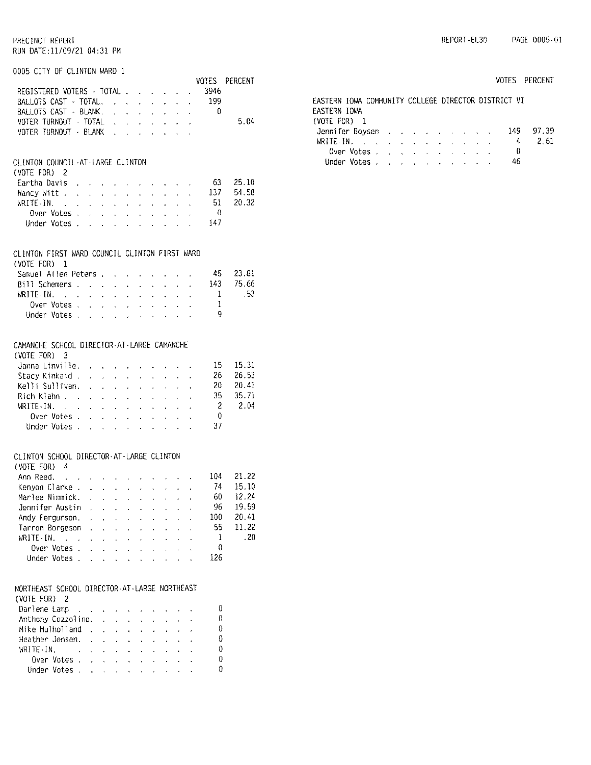| REPORT-EL30 | PAGE 0005-01 |
|-------------|--------------|
|             |              |

| KUN DAIL:11/U9/Z1 U4:31 PM                               |                            |                                               |                            |                                        |                            |                                                                           |                                                               |                      |                            |                      |              |           |
|----------------------------------------------------------|----------------------------|-----------------------------------------------|----------------------------|----------------------------------------|----------------------------|---------------------------------------------------------------------------|---------------------------------------------------------------|----------------------|----------------------------|----------------------|--------------|-----------|
| 0005 CITY OF CLINTON WARD 1                              |                            |                                               |                            |                                        |                            |                                                                           |                                                               |                      |                            |                      |              |           |
|                                                          |                            |                                               |                            |                                        |                            |                                                                           |                                                               |                      |                            |                      | VOTES        | PERCENT   |
| REGISTERED VOTERS - TOTAL                                |                            |                                               |                            |                                        |                            |                                                                           |                                                               | $\mathbf{z}^{(n)}$   | $\sim$                     | $\omega_{\rm{eff}}$  | 3946         |           |
| BALLOTS CAST - TOTAL.                                    |                            |                                               |                            |                                        |                            |                                                                           | k.                                                            |                      | $\ddot{\phantom{0}}$       | $\mathbf{v}$         | -199         |           |
| BALLOTS CAST - BLANK.                                    |                            |                                               |                            | $\mathcal{L}^{\text{max}}$             |                            |                                                                           | $\mathbf{r}$                                                  | $\mathbf{L}$         | $\mathbf{r}$               | $\sim 10^{-11}$      | $\mathbf{0}$ |           |
| VOTER TURNOUT - TOTAL .                                  |                            |                                               |                            |                                        | $\mathcal{L}^{\text{max}}$ |                                                                           | $\mathcal{L}^{\text{max}}$ , where $\mathcal{L}^{\text{max}}$ | $\ddot{\phantom{0}}$ | $\omega_{\rm{max}}$        |                      |              | 5.04      |
| VOTER TURNOUT - BLANK .                                  |                            |                                               |                            |                                        |                            |                                                                           | <b>All Carried Control</b>                                    | $\ddot{\phantom{0}}$ |                            |                      |              |           |
|                                                          |                            |                                               |                            |                                        |                            |                                                                           |                                                               |                      |                            |                      |              |           |
| CLINTON COUNCIL-AT-LARGE CLINTON                         |                            |                                               |                            |                                        |                            |                                                                           |                                                               |                      |                            |                      |              |           |
| (VOTE FOR) 2                                             |                            |                                               |                            |                                        |                            |                                                                           |                                                               |                      |                            |                      |              |           |
| Eartha Davis                                             |                            |                                               |                            | $\sim$                                 | $\mathbf{r}$               | $\cdot$                                                                   | $\sim$                                                        |                      |                            |                      | - 63         | 25.10     |
| Nancy Witt                                               |                            | $\mathbf{r}$                                  | $\mathcal{L}^{\pm}$        | $\sim$                                 | $\mathbf{r}$               | $\ddot{\phantom{0}}$                                                      | $\ddot{\phantom{0}}$                                          | $\mathbf{r}$         | $\mathbf{r}$               | $\ddot{\phantom{0}}$ | 137          | 54.58     |
| $WRITE-IN.$ .                                            |                            |                                               |                            | and a strain                           | $\mathcal{L}^{\text{max}}$ | z.                                                                        | $\mathbf{r}$                                                  | $\ddot{\phantom{0}}$ | L.                         | $\sim 10^{-1}$       | - 51         | 20.32     |
| Over Votes .                                             |                            | $\mathbf{A}^{\text{max}}$                     | $\mathbf{v}^{(i)}$         | $\sim$                                 | $\mathbf{q} = \mathbf{q}$  | $\ddot{\phantom{0}}$                                                      | ä,                                                            | ä,                   |                            |                      | - 0          |           |
| Under Votes .                                            |                            | $\ddot{\phantom{a}}$                          | $\ddot{\phantom{a}}$       | ä,                                     |                            | $\cdot$                                                                   | ä,                                                            |                      |                            | L.                   | 147          |           |
|                                                          |                            |                                               |                            |                                        |                            |                                                                           |                                                               |                      |                            |                      |              |           |
| CLINTON FIRST WARD COUNCIL CLINTON FIRST WARD            |                            |                                               |                            |                                        |                            |                                                                           |                                                               |                      |                            |                      |              |           |
| $(VOTE$ $FOR$ ) $1$                                      |                            |                                               |                            |                                        |                            |                                                                           |                                                               |                      |                            |                      |              |           |
| Samuel Allen Peters                                      |                            |                                               |                            |                                        |                            |                                                                           |                                                               |                      |                            |                      | -45          | 23.81     |
|                                                          |                            |                                               |                            |                                        |                            |                                                                           |                                                               |                      |                            |                      |              |           |
| Bill Schemers                                            |                            |                                               |                            |                                        |                            | $\mathbf{u}^{\prime}$ and $\mathbf{u}^{\prime}$ and $\mathbf{u}^{\prime}$ | $\mathbf{a}^{\mathrm{obs}}$                                   | $\mathbf{r}$         | $\mathcal{L}^{\text{max}}$ |                      |              | 143 75.66 |
| WRITE-IN.                                                |                            | $\mathbf{v} = \mathbf{v}$                     |                            | $\cdot$                                | $\mathbf{r}$               | $\mathcal{L}^{\pm}$                                                       | ¥.                                                            | ¢                    | ¥.                         | ¥.                   | $\mathbf{1}$ | -53       |
| Over Votes .                                             |                            | $\mathbf{r}$                                  | $\ddot{\phantom{0}}$       | $\ddot{\phantom{a}}$                   | $\mathbf{r}$               | $\ddot{\phantom{a}}$                                                      | $\ddot{\phantom{a}}$                                          |                      |                            |                      | 1            |           |
| Under Votes .                                            |                            | $\mathbf{r}$                                  | $\sim 10^{-1}$             | <b>Contract Contract</b>               |                            |                                                                           | $\mathbf{r}$                                                  | $\mathbf{r}$         | $\mathbf{r}$               |                      | 9            |           |
|                                                          |                            |                                               |                            |                                        |                            |                                                                           |                                                               |                      |                            |                      |              |           |
| CAMANCHE SCHOOL DIRECTOR-AT-LARGE CAMANCHE               |                            |                                               |                            |                                        |                            |                                                                           |                                                               |                      |                            |                      |              |           |
| $(VOTE FOR)$ 3                                           |                            |                                               |                            |                                        |                            |                                                                           |                                                               |                      |                            |                      |              |           |
| Janna Linville. .                                        |                            |                                               |                            |                                        |                            |                                                                           |                                                               |                      |                            |                      | 15 -         | 15.31     |
|                                                          |                            |                                               |                            |                                        |                            | $\sim$                                                                    |                                                               |                      |                            |                      | 26           | 26.53     |
| Stacy Kinkaid.                                           |                            | $\mathbf{z}$ .                                | $\mathcal{L}^{\text{max}}$ | $\mathcal{L}_{\mathcal{A}}$            | $\mathbf{r}$               | $\epsilon$                                                                | $\mathbf{r}$                                                  | $\mathbf{v}$         | $\mathbf{r} = \mathbf{r}$  |                      |              | 20.41     |
| Kelli Sullivan.                                          |                            | ¥.                                            | $\ddot{\phantom{0}}$       | $\ddot{\phantom{0}}$                   |                            |                                                                           |                                                               |                      |                            |                      | 20 -<br>35   |           |
| Rich Klahn                                               |                            | $\mathbf{r} = \mathbf{r} \times \mathbf{r}$ . |                            | $\mathcal{L}$                          | $\sim$                     | $\sim$                                                                    | ¥.                                                            | $\ddot{\phantom{0}}$ | $\ddot{\phantom{0}}$       |                      |              | 35.71     |
| WRITE-IN.<br>$\sim 10^{-1}$ km $^{-1}$                   |                            |                                               | a contacto                 | $\ddot{\phantom{a}}$                   | $\mathbf{v}$               | $\ddot{\phantom{a}}$                                                      | ä,                                                            | a.                   | $\mathbf{A}^{\text{max}}$  | $\ddot{\phantom{0}}$ | - 2          | 2.04      |
| Over Votes .                                             |                            | in 19                                         | $\mathcal{L}^{\text{max}}$ | $\ddot{\phantom{a}}$                   | $\omega_{\rm{max}}$        | $\ddot{\phantom{a}}$                                                      | ¥.                                                            | $\sim$               |                            |                      | $\Omega$     |           |
| Under Votes                                              |                            |                                               |                            | $\cdot$                                | à.                         | $\ddot{\phantom{0}}$                                                      | t.                                                            | $\ddot{\phantom{0}}$ |                            |                      | 37           |           |
|                                                          |                            |                                               |                            |                                        |                            |                                                                           |                                                               |                      |                            |                      |              |           |
| CLINTON SCHOOL DIRECTOR-AT-LARGE CLINTON<br>(VOTE FOR) 4 |                            |                                               |                            |                                        |                            |                                                                           |                                                               |                      |                            |                      |              |           |
| Ann Reed.                                                |                            |                                               |                            |                                        |                            |                                                                           |                                                               |                      |                            |                      |              | 104 21.22 |
| and the companion of the companion of the companion      |                            |                                               |                            |                                        |                            |                                                                           |                                                               |                      |                            |                      |              |           |
| Kenyon Clarke.                                           |                            | $\ddot{\phantom{0}}$                          |                            |                                        |                            |                                                                           |                                                               |                      |                            |                      | 74           | 15.10     |
| Marlee Nimmick.                                          |                            | $\ddot{\phantom{a}}$                          |                            | l.                                     | ł.                         | $\cdot$                                                                   | í.                                                            |                      |                            |                      | 60           | 12.24     |
| Jennifer Austin                                          |                            | J.                                            |                            | $\ddot{\phantom{a}}$                   | l.                         | ä,                                                                        |                                                               |                      |                            |                      | 96           | 19.59     |
| Andy Fergurson.                                          |                            | k.                                            | $\overline{a}$             | $\overline{a}$                         | ä,                         | ÷.                                                                        | l,                                                            | $\ddot{\phantom{0}}$ |                            |                      | 100          | 20.41     |
| Tarron Borgeson                                          |                            | l.                                            | $\ddot{\phantom{a}}$       | $\ddot{\phantom{a}}$                   | ä.                         |                                                                           | ¥                                                             | Ĭ.                   | Ŷ.                         |                      | 55           | 11.22     |
| WRITE-IN.<br>$\mathcal{L}^{\text{max}}$                  |                            |                                               | à.                         | $\ddot{\phantom{0}}$                   | ä,                         | ¥.                                                                        | l.                                                            | ä,                   |                            |                      | 1            | .20       |
| Over Votes.                                              |                            | $\ddot{\phantom{a}}$                          |                            | $\ddot{\phantom{a}}$                   | l,                         | $\ddot{\phantom{a}}$                                                      |                                                               | $\ddot{\phantom{0}}$ |                            |                      | U            |           |
| Under Votes .                                            |                            | $\mathcal{L}^{\text{max}}$                    | $\mathbf{r}$               | $\overline{a}$                         | $\overline{a}$             | $\overline{a}$                                                            | $\overline{a}$                                                | $\overline{a}$       |                            |                      | 126          |           |
|                                                          |                            |                                               |                            |                                        |                            |                                                                           |                                                               |                      |                            |                      |              |           |
|                                                          |                            |                                               |                            |                                        |                            |                                                                           |                                                               |                      |                            |                      |              |           |
| NORTHEAST SCHOOL DIRECTOR-AT-LARGE NORTHEAST             |                            |                                               |                            |                                        |                            |                                                                           |                                                               |                      |                            |                      |              |           |
| (VOTE FOR) 2                                             |                            |                                               |                            |                                        |                            |                                                                           |                                                               |                      |                            |                      |              |           |
| Darlene Lamp                                             | $\sim 10^{-11}$ km $^{-1}$ |                                               |                            |                                        |                            |                                                                           |                                                               |                      |                            |                      | 0            |           |
| Anthony Cozzolino.                                       |                            |                                               | $\ddot{\phantom{0}}$       | $\ddot{\phantom{0}}$                   |                            | $\ddot{\phantom{0}}$                                                      |                                                               |                      |                            |                      | 0            |           |
| Mike Mulholland                                          |                            | $\sim$ 100 $\mu$                              |                            | $\ddot{\phantom{0}}$                   | $\ddot{\phantom{a}}$       | $\ddot{\phantom{a}}$                                                      | l,                                                            |                      |                            |                      | 0            |           |
| Heather Jensen.                                          |                            | $\ddot{\phantom{a}}$                          | $\mathbf{r}$               | $\ddot{\phantom{0}}$                   | $\ddot{\phantom{0}}$       | $\ddot{\phantom{a}}$                                                      | $\ddot{\phantom{a}}$                                          | $\ddot{\phantom{a}}$ | $\ddot{\phantom{a}}$       |                      | 0            |           |
| WRITE-IN.<br>$\Delta \sim 10$                            |                            | $\mathbf{r}$                                  | $\mathbf{r}$               | ÷.                                     | $\ddot{\phantom{0}}$       | $\ddot{\phantom{0}}$                                                      | l.                                                            | l,                   | ò.                         |                      | 0            |           |
| Over Votes .                                             |                            |                                               |                            |                                        |                            |                                                                           |                                                               |                      |                            |                      | 0            |           |
|                                                          |                            | i.                                            | $\mathbf{v}^{(i)}$         | $\mathbf{a}^{\left(1\right)}$          | $\mathbf{v}^{\top}$        | k.                                                                        | $\mathbf{v}^{(i)}$                                            |                      |                            |                      | 0            |           |
| Under Votes .                                            |                            | $\mathbf{r}$                                  |                            | $\mathbf{r} = \mathbf{r} \mathbf{r}$ . | $\mathcal{L}^{(1)}$        | $\overline{a}$                                                            | $\mathbf{r}^{(1)}$                                            |                      |                            |                      |              |           |

|                                                     |            |                                                  |  |  |  |  |     | VOTES PERCENT |
|-----------------------------------------------------|------------|--------------------------------------------------|--|--|--|--|-----|---------------|
| EASTERN IOWA COMMUNITY COLLEGE DIRECTOR DISTRICT VI |            |                                                  |  |  |  |  |     |               |
| EASTERN IOWA                                        |            |                                                  |  |  |  |  |     |               |
| (VOTE FOR) 1                                        |            |                                                  |  |  |  |  |     |               |
| Jennifer Boysen                                     |            |                                                  |  |  |  |  | 149 | 97.39         |
|                                                     |            |                                                  |  |  |  |  | 4   | 2.61          |
|                                                     | Over Votes |                                                  |  |  |  |  | 0   |               |
| linder Votes                                        |            | and the company of the company of the company of |  |  |  |  | 46  |               |
|                                                     |            |                                                  |  |  |  |  |     |               |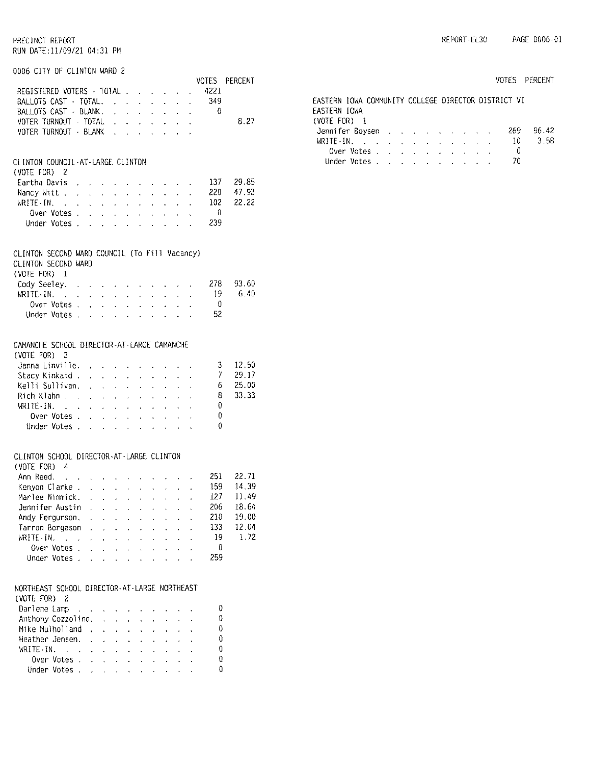| 0006 CITY OF CLINTON WARD 2                                 |                      |                                 |                                                             |                                              |                                                                                                                     |                                          |                                                                                       |                                                               |                                     |        |                |
|-------------------------------------------------------------|----------------------|---------------------------------|-------------------------------------------------------------|----------------------------------------------|---------------------------------------------------------------------------------------------------------------------|------------------------------------------|---------------------------------------------------------------------------------------|---------------------------------------------------------------|-------------------------------------|--------|----------------|
|                                                             |                      |                                 |                                                             |                                              |                                                                                                                     |                                          |                                                                                       |                                                               |                                     | 4221   | VOTES PERCENT  |
| REGISTERED VOTERS - TOTAL                                   |                      |                                 |                                                             |                                              |                                                                                                                     |                                          |                                                                                       |                                                               |                                     | 349    |                |
| BALLOTS CAST - TOTAL.<br>BALLOTS CAST - BLANK.              |                      |                                 | $\mathbf{r}$                                                |                                              |                                                                                                                     | $\mathbf{r}$                             | $\mathbf{L}^{\text{max}}$                                                             | $\sim$                                                        | $\mathcal{A}^{\mathrm{c}}$ and      | - 0    |                |
| VOTER TURNOUT - TOTAL                                       |                      |                                 |                                                             | $\sim 10^{-1}$                               | $\mathcal{L}^{\pm}$                                                                                                 | $\mathcal{L}^{\mathcal{L}}$              | $\ddot{\phantom{0}}$<br>$\mathcal{L}^{\text{max}}$ , where $\mathcal{L}^{\text{max}}$ | $\sim$<br>$\sim$                                              | $\sim$<br>$\sim$                    |        | 8.27           |
| VOTER TURNOUT - BLANK                                       |                      |                                 |                                                             |                                              |                                                                                                                     |                                          |                                                                                       |                                                               |                                     |        |                |
|                                                             |                      |                                 |                                                             |                                              |                                                                                                                     |                                          |                                                                                       |                                                               |                                     |        |                |
|                                                             |                      |                                 |                                                             |                                              |                                                                                                                     |                                          |                                                                                       |                                                               |                                     |        |                |
| CLINTON COUNCIL-AT-LARGE CLINTON<br>(VOTE FOR)<br>- 2       |                      |                                 |                                                             |                                              |                                                                                                                     |                                          |                                                                                       |                                                               |                                     |        |                |
| Eartha Davis                                                |                      |                                 |                                                             |                                              |                                                                                                                     |                                          | design and a state of the state                                                       |                                                               |                                     | 137    | 29.85          |
| Nancy Witt                                                  | $\ddot{\phantom{0}}$ | $\mathcal{L}^{(1)}$             | $\epsilon$                                                  | $\hat{\mathcal{E}}_{\text{eff}}$             | $\mathcal{L}^{\pm}$                                                                                                 | $\mathcal{L}^{\mathcal{L}}$              | $\ddot{\phantom{0}}$                                                                  | ¥.                                                            |                                     | 220    | 47.93          |
| WRITE·IN.<br>$\ddot{\phantom{0}}$                           | $\ddot{\phantom{0}}$ |                                 | $\Delta \sim 10^{11}$ km $^{-1}$                            |                                              | $\sim$                                                                                                              | $\sim$                                   | $\mathbf{z}$                                                                          | $\ddot{\phantom{0}}$                                          | $\mathbf{r}$                        | 102    | 22.22          |
| Over Votes                                                  |                      |                                 |                                                             |                                              |                                                                                                                     |                                          |                                                                                       | $\mathbf{z}^{\left(1\right)}$ , $\mathbf{z}^{\left(2\right)}$ |                                     | 0      |                |
| Under Votes                                                 |                      |                                 |                                                             |                                              |                                                                                                                     |                                          |                                                                                       | $\mathbf{z} = \mathbf{z} + \mathbf{z}$ .                      |                                     | 239    |                |
| CLINTON SECOND WARD COUNCIL (To Fill Vacancy)               |                      |                                 |                                                             |                                              |                                                                                                                     |                                          |                                                                                       |                                                               |                                     |        |                |
| CLINTON SECOND WARD<br>(VOTE FOR) 1                         |                      |                                 |                                                             |                                              |                                                                                                                     |                                          |                                                                                       |                                                               |                                     |        |                |
| Cody Seeley                                                 |                      |                                 |                                                             |                                              |                                                                                                                     |                                          |                                                                                       |                                                               |                                     | 278    | 93.60          |
| $\sim$ $\sim$<br>$\sim$ $\sim$<br>WRITE-IN.                 |                      |                                 |                                                             |                                              |                                                                                                                     |                                          | والموالية والتواريق والمواليق والموالي                                                |                                                               |                                     | - 19   | 6.40           |
| Over Votes .                                                | $\ddot{\phantom{a}}$ |                                 |                                                             |                                              |                                                                                                                     |                                          |                                                                                       |                                                               |                                     | - 0    |                |
| Under Votes,                                                |                      |                                 | $\mathcal{A}^{\mathcal{A}}$ and $\mathcal{A}^{\mathcal{A}}$ |                                              | $\mathbf{r} = \left\{ \mathbf{r} \in \mathbb{R}^d \mid \mathbf{r} \in \mathbb{R}^d \right\}$<br><b>All American</b> |                                          | $\mathbf{L}^{(1)}$<br>$\sim$                                                          | $\bullet$                                                     | $\sim$<br>$\mathbf{v} = \mathbf{v}$ | 52     |                |
|                                                             |                      |                                 |                                                             |                                              |                                                                                                                     |                                          |                                                                                       |                                                               |                                     |        |                |
| CAMANCHE SCHOOL DIRECTOR-AT-LARGE CAMANCHE                  |                      |                                 |                                                             |                                              |                                                                                                                     |                                          |                                                                                       |                                                               |                                     |        |                |
| (VOTE FOR) 3                                                |                      |                                 |                                                             |                                              |                                                                                                                     |                                          |                                                                                       |                                                               |                                     |        |                |
| Janna Linville.                                             |                      |                                 |                                                             |                                              |                                                                                                                     |                                          | and the company of the company of the company of the company of the company of        |                                                               |                                     | -3     | 12.50          |
| Stacy Kinkaid                                               |                      |                                 | $\sim 10^{11}$ km s $^{-1}$                                 |                                              |                                                                                                                     |                                          | and a strategic and a strategic                                                       |                                                               |                                     | - 7    | 29.17          |
| Kelli Sullivan.                                             |                      | <b>Carl Carl</b>                | $\Delta \sim 10$                                            | $\mathbf{v} = \mathbf{0}$                    |                                                                                                                     | $\mathbf{z} = \mathbf{z} + \mathbf{z}$ . |                                                                                       | $\mathbf{r} = \mathbf{r} \mathbf{r} + \mathbf{r} \mathbf{r}$  |                                     | 6      | 25.00<br>33.33 |
| Rich Klahn                                                  | $\sim$               | $\sim$                          | $\sim$                                                      | $\Delta \sim 10^4$                           | $\mathcal{L}^{\pm}$                                                                                                 | $\sim$                                   | $\mathbf{r}$                                                                          | $\mathbf{a}$                                                  |                                     | 8<br>0 |                |
| WRITE-IN.<br>Over Votes .                                   |                      | $\mathbf{r}^{\mathrm{max}}$ and | $\mathcal{A}^{\mathcal{A}}$                                 |                                              | <b>Contract</b>                                                                                                     | $\sim$                                   | $\sim$                                                                                | $\mathbf{A}^{\mathrm{max}}$                                   | $\mathbf{r}$                        | 0      |                |
| Under Votes                                                 |                      |                                 |                                                             |                                              |                                                                                                                     |                                          | and the state of the state of the state of                                            |                                                               |                                     | 0      |                |
|                                                             |                      |                                 |                                                             |                                              |                                                                                                                     |                                          |                                                                                       |                                                               |                                     |        |                |
| CLINTON SCHOOL DIRECTOR-AT-LARGE CLINTON<br>(VOTE FOR)<br>4 |                      |                                 |                                                             |                                              |                                                                                                                     |                                          |                                                                                       |                                                               |                                     |        |                |
| Ann Reed.<br>$\mathcal{L}_{\rm{max}}$                       |                      |                                 |                                                             |                                              |                                                                                                                     |                                          |                                                                                       |                                                               |                                     |        | 251 22.71      |
| Kenyon Clarke                                               |                      |                                 | $\mathbf{v}$                                                | $\mathbf{r}$<br>$\mathcal{A}^{\mathrm{max}}$ | $\sim$<br>$\sim$                                                                                                    | $\sim 10^{-1}$                           |                                                                                       | $\sim 100$<br>$\Delta \sim 100$ km s $^{-1}$                  | $\sim$                              | 159    | 14.39          |
| Marlee Nimmick.                                             |                      |                                 | $\epsilon$                                                  | $\star$                                      | $\mathbf{v}$                                                                                                        | ä,                                       | $\ddot{\phantom{0}}$                                                                  |                                                               |                                     | 127    | 11.49          |
| Jennifer Austin                                             |                      | $\ddot{\phantom{0}}$            | $\ddot{\phantom{0}}$                                        | $\mathcal{L}_{\mathcal{A}}$                  | $\epsilon$                                                                                                          | s.                                       | $\ddot{\phantom{0}}$                                                                  |                                                               |                                     | 206    | 18.64          |
| Andy Fergurson.                                             |                      |                                 | $\ddot{\phantom{a}}$                                        | ä,                                           | ł.                                                                                                                  | ¥.                                       | ¥.                                                                                    | $\omega$ .                                                    |                                     | 210    | 19.00          |
| Tarron Borgeson                                             | l.                   | $\ddot{\phantom{0}}$            | $\ddot{\phantom{0}}$                                        | ä.                                           | $\ddot{\phantom{0}}$                                                                                                | ¥.                                       | $\ddot{\phantom{a}}$                                                                  | $\mathbf{L}$                                                  |                                     | 133    | 12.04          |
| WRITE-IN.<br>$\mathbf{r} = \mathbf{r}$                      |                      | ł.                              | $\ddot{\phantom{0}}$                                        | $\mathbf{v}^{\pm}$                           | v.                                                                                                                  | ¥.                                       | $\ddot{\phantom{0}}$                                                                  | k.                                                            |                                     | 19     | 1.72           |
| Over Votes .                                                |                      | l,                              | $\ddot{\phantom{0}}$                                        | $\bar{\star}$                                | $\overline{\phantom{a}}$                                                                                            | ¥.                                       |                                                                                       |                                                               |                                     | -0     |                |
| Under Votes.                                                |                      |                                 | $\ddot{\phantom{a}}$                                        | $\mathbf{r}$                                 | $\ddot{\phantom{a}}$                                                                                                | $\ddot{\phantom{a}}$                     |                                                                                       |                                                               |                                     | 259    |                |
| NORTHEAST SCHOOL DIRECTOR-AT-LARGE NORTHEAST                |                      |                                 |                                                             |                                              |                                                                                                                     |                                          |                                                                                       |                                                               |                                     |        |                |
| (VOTE FOR) 2                                                |                      |                                 |                                                             |                                              |                                                                                                                     |                                          |                                                                                       |                                                               |                                     |        |                |
| Darlene Lamp                                                |                      |                                 |                                                             |                                              |                                                                                                                     |                                          |                                                                                       |                                                               |                                     | 0      |                |
| Anthony Cozzolino.                                          |                      | $\sim$                          | $\sim 10^{-10}$                                             | $\ddot{\phantom{0}}$                         | v.                                                                                                                  | k.                                       |                                                                                       |                                                               |                                     | 0      |                |
| Mike Mulholland .                                           |                      | $\mathbf{r}$                    | $\sim$                                                      | $\epsilon$                                   | $\ddot{\phantom{0}}$                                                                                                | $\ddot{\phantom{0}}$                     | $\ddot{\phantom{0}}$                                                                  |                                                               | ¥                                   | 0      |                |
| Heather Jensen.                                             |                      |                                 |                                                             |                                              | $\ddot{\phantom{0}}$                                                                                                |                                          |                                                                                       |                                                               |                                     | Û      |                |

 $\,0$  $\,0\,$  $\,0\,$ 

|  |  |  |  | 269        | 96.42                                                                  |
|--|--|--|--|------------|------------------------------------------------------------------------|
|  |  |  |  | 10.        | 3. 58                                                                  |
|  |  |  |  | 0          |                                                                        |
|  |  |  |  | 70         |                                                                        |
|  |  |  |  | Over Votes | EASTERN IOWA COMMUNITY COLLEGE DIRECTOR DISTRICT VI<br>Jennifer Boysen |

VOTES PERCENT

 $\sim 10$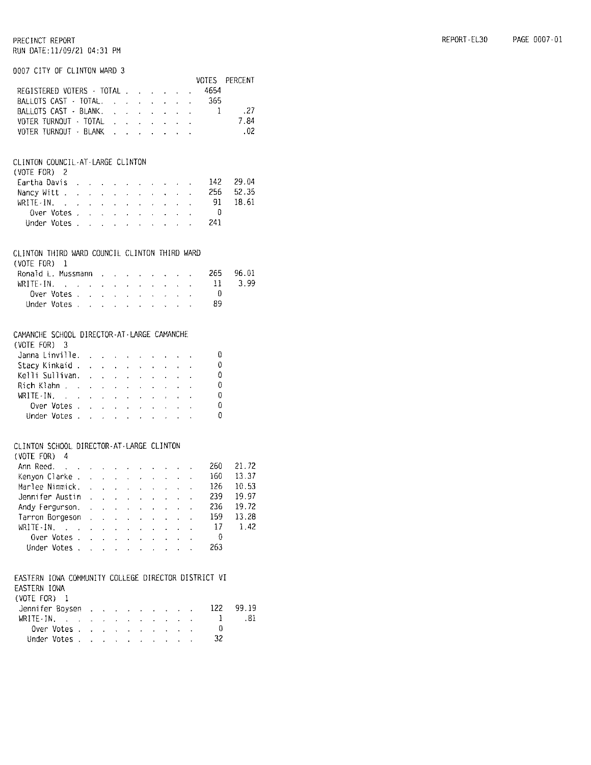#### 0007 CITY OF CLINTON WARD 3

|                                                                                     |                                                         |                                        |                                                                                            |                                                           |                                                           |                                               |                                                           |                                            |                                                               | VOTES               | PERCENT |
|-------------------------------------------------------------------------------------|---------------------------------------------------------|----------------------------------------|--------------------------------------------------------------------------------------------|-----------------------------------------------------------|-----------------------------------------------------------|-----------------------------------------------|-----------------------------------------------------------|--------------------------------------------|---------------------------------------------------------------|---------------------|---------|
| REGISTERED VOTERS · TOTAL                                                           |                                                         |                                        |                                                                                            |                                                           |                                                           | $\mathcal{L}^{\text{max}}$                    |                                                           | $\mathbf{r} = \mathbf{r} \cdot \mathbf{r}$ | $\bullet$ .                                                   | 4654                |         |
| BALLOTS CAST - TOTAL.                                                               |                                                         |                                        |                                                                                            |                                                           | $\mathbf{A}$                                              | $\mathbf{r}$                                  |                                                           | $\mathcal{L}^{\text{max}}$                 | $\ddot{\phantom{0}}$                                          | 365                 |         |
| BALLOTS CAST - BLANK.                                                               |                                                         |                                        |                                                                                            |                                                           | $\mathbf{r}$                                              | $\mathbf{r}$                                  |                                                           |                                            |                                                               | $\ldots$ $\ldots$ 1 | .27     |
| VOTER TURNOUT - TOTAL .                                                             |                                                         |                                        |                                                                                            | $\sim$                                                    | $\ddot{\phantom{0}}$                                      | $\bullet$ .                                   | $\mathbf{z}$ .                                            |                                            | $\mathbf{r} = \mathbf{r}$ .                                   |                     | 7.84    |
| VOTER TURNOUT - BLANK .                                                             |                                                         |                                        |                                                                                            | $\mathbf{L}^{\text{max}}$                                 | $\cdot$                                                   | $\sim$                                        | $\ddot{\phantom{0}}$                                      | $\ddot{\phantom{0}}$                       | $\mathbf{A}^{\mathrm{eff}}$                                   |                     | 02      |
|                                                                                     |                                                         |                                        |                                                                                            |                                                           |                                                           |                                               |                                                           |                                            |                                                               |                     |         |
| CLINTON COUNCIL-AT-LARGE CLINTON                                                    |                                                         |                                        |                                                                                            |                                                           |                                                           |                                               |                                                           |                                            |                                                               |                     |         |
| (VOTE FOR) 2                                                                        |                                                         |                                        |                                                                                            |                                                           |                                                           |                                               |                                                           |                                            |                                                               |                     |         |
| Eartha Davis                                                                        |                                                         |                                        | and a strategic control of the                                                             |                                                           |                                                           |                                               |                                                           | $\mathbf{z} = \mathbf{z}$ .                |                                                               | 142.                | 29.04   |
| Nancy Witt                                                                          | and the company of the                                  |                                        |                                                                                            |                                                           |                                                           | $\mathbf{r} = \mathbf{r} \times \mathbf{r}$ . | $\ddot{\phantom{0}}$                                      | $\ddot{\phantom{0}}$                       |                                                               | 256                 | 52.35   |
| $WRITE - IN.$                                                                       | $\ddot{\phantom{a}}$                                    |                                        | $\mathbf{z} = \mathbf{z} + \mathbf{z}$                                                     | $\mathbf{z}$                                              | $\ddot{\phantom{0}}$                                      | $\mathcal{L}^{\pm}$                           | $\mathcal{L}^{\pm}$                                       | $\cdot$                                    | ł.                                                            | -91                 | 18.61   |
| Over Votes .                                                                        | $\Delta$                                                | $\ddot{\phantom{0}}$                   | $\ddot{\phantom{a}}$                                                                       | $\mathbf{r}$                                              | $\mathcal{L}^{\pm}$                                       | $\alpha$                                      | $\ddot{\phantom{0}}$                                      |                                            |                                                               | - 0                 |         |
| Under Votes                                                                         |                                                         |                                        |                                                                                            |                                                           |                                                           |                                               | <b>Contractor</b>                                         |                                            |                                                               | - 241               |         |
| CLINTON THIRD WARD COUNCIL CLINTON THIRD WARD<br>(VOTE FOR)<br>1                    |                                                         |                                        |                                                                                            |                                                           |                                                           |                                               |                                                           |                                            |                                                               |                     |         |
| Ronald L. Mussmann                                                                  |                                                         |                                        | $\mathbf{r} = \mathbf{r} \cdot \mathbf{r}$ .                                               | $\mathbf{r} = \mathbf{r}$                                 |                                                           | $\mathbf{r} = \mathbf{r} \cdot \mathbf{r}$    |                                                           | ×.                                         | $\sim$                                                        | 265.                | 96.01   |
| $WRITE - IN.$                                                                       |                                                         |                                        |                                                                                            | $\mathbf{r}^{(1)}$ .                                      |                                                           | $\mathbf{z} = \mathbf{z} + \mathbf{z}$        | $\mathbf{a}^{\mathrm{max}}$                               |                                            | $\mathbf{r}^{\left(1\right)}$ , $\mathbf{r}^{\left(2\right)}$ | $11 \,$             | 3.99    |
| Over Votes .                                                                        | $\Delta$                                                | $\ddot{\phantom{a}}$                   | $\ddot{\phantom{0}}$                                                                       | $\mathbf{v}^{(i)}$                                        | $\epsilon$                                                | ä,                                            | ä,                                                        | $\ddot{\phantom{a}}$                       |                                                               | $\theta$            |         |
| Under Votes ,                                                                       |                                                         |                                        |                                                                                            |                                                           | <b>Contract</b>                                           | $\sim$                                        | $\sim 10^{-11}$                                           | $\mathcal{L}^{\mathcal{L}}$                |                                                               | - 89                |         |
|                                                                                     |                                                         |                                        |                                                                                            |                                                           |                                                           |                                               |                                                           |                                            |                                                               |                     |         |
| CAMANCHE SCHOOL DIRECTOR-AT-LARGE CAMANCHE                                          |                                                         |                                        |                                                                                            |                                                           |                                                           |                                               |                                                           |                                            |                                                               |                     |         |
| (VOTE FOR)<br>3                                                                     |                                                         |                                        |                                                                                            |                                                           |                                                           |                                               |                                                           |                                            |                                                               |                     |         |
| Janna Linville.                                                                     |                                                         |                                        | $\mathbf{r}$ .                                                                             | $\mathbf{c} = \mathbf{0}$                                 | $\ddot{\phantom{0}}$                                      |                                               |                                                           |                                            |                                                               | 0                   |         |
| Stacy Kinkaid                                                                       |                                                         | $\mathcal{L}^{\text{max}}$             |                                                                                            | $\mathbf{r} = \mathbf{r} \times \mathbf{r}$               | $\mathcal{L}^{\text{max}}$                                | $\mathbf{r}$                                  | $\ddot{\phantom{0}}$                                      |                                            |                                                               | 0                   |         |
| Kelli Sullivan.                                                                     | $\ddot{\phantom{0}}$                                    | t.                                     | $\ddot{\phantom{0}}$                                                                       |                                                           | $\ddot{\phantom{0}}$                                      | $\ddot{\phantom{0}}$                          | $\ddot{\phantom{0}}$                                      |                                            |                                                               | 0                   |         |
| Rich Klahn                                                                          | $\ddot{\phantom{a}}$                                    | $\sim$                                 | $\mathcal{L}$                                                                              | $\sim$                                                    | $\sim$                                                    | $\ddot{\phantom{a}}$                          | $\sim$                                                    | $\ddot{\phantom{0}}$                       |                                                               | 0                   |         |
| WRITE-IN.<br>$\mathcal{L}_{\rm eff}$ and $\mathcal{L}_{\rm eff}$                    |                                                         | $\mathbf{r} = \mathbf{r} \mathbf{r}$ . | $\mathbf{z}$ .                                                                             |                                                           | $\mathbf{r} = \mathbf{r} \mathbf{r}$ , where $\mathbf{r}$ |                                               | $\overline{A}$                                            | $\ddot{\phantom{0}}$                       |                                                               | 0                   |         |
| Over Votes.                                                                         | $\ddot{\phantom{a}}$                                    | $\Delta \sim 10$                       |                                                                                            | $\mathcal{L}^{\text{max}}$ and $\mathcal{L}^{\text{max}}$ | $\mathcal{L}^{\text{max}}$                                | $\mathcal{L}^{\text{max}}$                    | $\mathbf{z} = \mathbf{z}$                                 | $\mathbf{L}^{\text{max}}$                  | ä,                                                            | 0                   |         |
| Under Votes                                                                         |                                                         |                                        |                                                                                            | $\mathbf{r} = \mathbf{r} \mathbf{r}$ .                    |                                                           |                                               | $\mathbf{z} = \mathbf{z} + \mathbf{z}$ . The $\mathbf{z}$ |                                            |                                                               | Ð                   |         |
| CLINTON SCHOOL DIRECTOR-AT-LARGE CLINTON                                            |                                                         |                                        |                                                                                            |                                                           |                                                           |                                               |                                                           |                                            |                                                               |                     |         |
| (VOTE FOR) 4                                                                        |                                                         |                                        |                                                                                            |                                                           |                                                           |                                               |                                                           |                                            |                                                               |                     |         |
| $\mathcal{L}_{\text{max}}$<br>Ann Reed.                                             |                                                         | $\mathbf{r} = \mathbf{r} \mathbf{r}$ . |                                                                                            |                                                           |                                                           |                                               |                                                           |                                            |                                                               | 260                 | 21.72   |
| Kenyon Clarke                                                                       |                                                         |                                        |                                                                                            |                                                           |                                                           |                                               | $\mathbf{r} = \mathbf{r} \mathbf{r}$ .                    | $\mathbf{r}$                               | V.                                                            | 160                 | 13.37   |
| Marlee Nimmick. .                                                                   |                                                         | $\mathbf{r}$                           | $\mathcal{L}^{\text{max}}$                                                                 | $\mathbf{r}^{(1)}$                                        | $\mathbf{r}$                                              | $\mathcal{L}^{(1)}$                           | $\ddot{\phantom{0}}$                                      | $\chi$ .                                   | ¥,                                                            | 126                 | 10.53   |
| Jennifer Austin                                                                     |                                                         |                                        | $\mathcal{L}^{\mathcal{L}}$                                                                | $\mathbf{r}$                                              | $\sim$                                                    | t,                                            | $\ddot{\phantom{0}}$                                      | $\ddot{\phantom{0}}$                       |                                                               | 239                 | 19.97   |
| Andy Fergurson.                                                                     |                                                         |                                        |                                                                                            |                                                           |                                                           |                                               |                                                           |                                            |                                                               | 236                 | 19,72   |
| Tarron Borgeson                                                                     |                                                         |                                        |                                                                                            |                                                           |                                                           |                                               |                                                           |                                            |                                                               | 159                 | 13.28   |
| WRITE-IN.                                                                           |                                                         |                                        |                                                                                            |                                                           |                                                           |                                               |                                                           |                                            |                                                               | 17                  | 1.42    |
| $\Delta \sim 100$                                                                   | $\mathcal{L}(\mathbf{A})$ and $\mathcal{L}(\mathbf{A})$ |                                        | $\sim$                                                                                     |                                                           | $\mathbf{z} = \mathbf{z} + \mathbf{z}$                    | $\mathbf{A}^{\mathrm{eff}}$                   | $\mathbf{z}$                                              | $\mathcal{L}^{\text{max}}$                 | $\mathbf{v}^{\top}$                                           | $\overline{0}$      |         |
| Over Votes.                                                                         | L.                                                      |                                        | $\begin{pmatrix} 1 & 0 & 0 \\ 0 & 0 & 0 \\ 0 & 0 & 0 \end{pmatrix}$<br>$\mathcal{L}^{(1)}$ |                                                           | $\epsilon_{\rm{eff}}$ , $\epsilon_{\rm{eff}}$             | $\Delta \sim 1$                               | $\mathbf{L}^{\text{max}}$                                 | $\mathbf{v}^{(i)}$                         |                                                               |                     |         |
| Under Votes                                                                         |                                                         |                                        |                                                                                            | a.                                                        | $\sim$                                                    | $\sim 10^{-11}$                               |                                                           | $\mathbf{L} = \mathbf{L}$                  |                                                               | 263                 |         |
| EASTERN IOWA COMMUNITY COLLEGE DIRECTOR DISTRICT VI<br>EASTERN IOWA<br>(VOTE FOR) 1 |                                                         |                                        |                                                                                            |                                                           |                                                           |                                               |                                                           |                                            |                                                               |                     |         |
| Jennifer Boysen                                                                     |                                                         |                                        |                                                                                            |                                                           |                                                           |                                               |                                                           |                                            |                                                               | 122                 | 99.19   |
| WRITE-IN.                                                                           |                                                         |                                        | <b>CALCA CALCA</b>                                                                         |                                                           |                                                           |                                               |                                                           |                                            |                                                               | ı                   | .81     |
|                                                                                     | $\Delta \sim 10^{11}$ km s $^{-1}$                      | $\sim$                                 | $\mathcal{L}^{\text{max}}$                                                                 | $\mathcal{L}^{\pm}$                                       | $\sim$                                                    | $\sim$                                        |                                                           |                                            |                                                               | 0                   |         |
| Over Votes .                                                                        | $\sim$                                                  | $\mathbf{r}$                           | $\sim$                                                                                     | $\sim$                                                    | $\sim$                                                    | $\sim$                                        | $\ddot{\phantom{0}}$                                      | $\sim$                                     |                                                               |                     |         |
| Under Votes                                                                         |                                                         |                                        |                                                                                            |                                                           |                                                           |                                               |                                                           |                                            |                                                               | 32                  |         |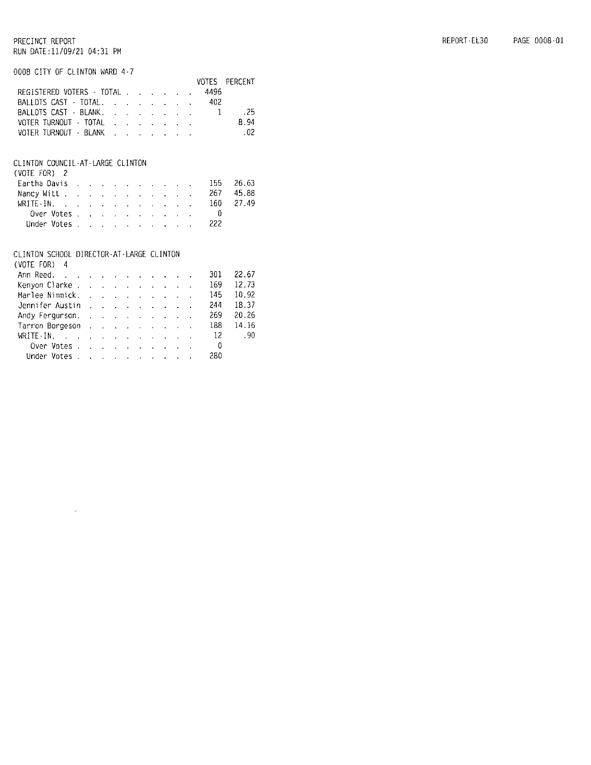0008 CITY OF CLINTON WARD 4-7

|                           |  |  |      | VOTES PERCENT |
|---------------------------|--|--|------|---------------|
| REGISTERED VOTERS - TOTAL |  |  | 4496 |               |
| BALLOTS CAST TOTAL.       |  |  | 402. |               |
| BALLOTS CAST - BLANK, 1   |  |  |      | . 25          |
| VOTER TURNOUT FOTAL       |  |  |      | 8.94          |
| VOTER TURNOUT - BLANK     |  |  |      | .02           |
|                           |  |  |      |               |

#### CLINTON COUNCIL-AT-LARGE CLINTON

| (VOTE FOR) 2                             |  |  |  |  |  |     |           |
|------------------------------------------|--|--|--|--|--|-----|-----------|
| Eartha Davis 155 26.63                   |  |  |  |  |  |     |           |
| Nancy Witt                               |  |  |  |  |  |     | 267 45.88 |
| WRITE-IN, $\cdots$ , $\cdots$ , $\cdots$ |  |  |  |  |  |     | 160 27.49 |
|                                          |  |  |  |  |  |     |           |
| Under Votes                              |  |  |  |  |  | 222 |           |
|                                          |  |  |  |  |  |     |           |

#### CLINTON SCHOOL DIRECTOR-AT-LARGE CLINTON

 $\mathcal{L}$ 

| $(VOTE$ FOR) 4                                                                                                 |  |  |  |  |                          |       |
|----------------------------------------------------------------------------------------------------------------|--|--|--|--|--------------------------|-------|
| Ann Reed.                                                                                                      |  |  |  |  | 301                      | 22.67 |
| Kenyon Clarke                                                                                                  |  |  |  |  | 169                      | 12.73 |
| Marlee Nimmick.                                                                                                |  |  |  |  | 145                      | 10.92 |
| Jennifer Austin                                                                                                |  |  |  |  | 244                      | 18.37 |
| Andy Fergurson, Albert Albert Andy Fergurson, Albert Albert Albert Albert Albert Albert Albert Albert Albert A |  |  |  |  | 269                      | 20.26 |
| Tarron Borgeson                                                                                                |  |  |  |  | 188                      | 14.16 |
| WRITE-IN, $\ldots$ , $\ldots$ , $\ldots$ , $\ldots$                                                            |  |  |  |  |                          | - 90  |
| Over Votes.                                                                                                    |  |  |  |  | $\overline{\phantom{a}}$ |       |
| Under Votes.                                                                                                   |  |  |  |  | 280                      |       |
|                                                                                                                |  |  |  |  |                          |       |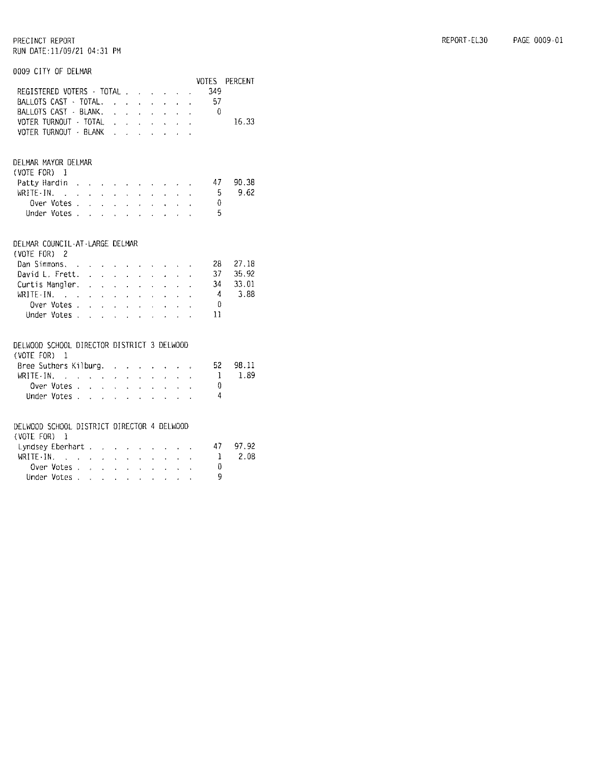0009 CITY OF DELMAR

| UUUY UITY OF DELMAK                                                                                                             |        |                                                                                                 |               |                                            |                          |                           |                           |                                                                                                                             |                                                               |                      |                      |                        |
|---------------------------------------------------------------------------------------------------------------------------------|--------|-------------------------------------------------------------------------------------------------|---------------|--------------------------------------------|--------------------------|---------------------------|---------------------------|-----------------------------------------------------------------------------------------------------------------------------|---------------------------------------------------------------|----------------------|----------------------|------------------------|
| REGISTERED VOTERS - TOTAL<br>BALLOTS CAST - TOTAL,<br>BALLOTS CAST - BLANK. 0<br>VOTER TURNOUT - TOTAL<br>VOTER TURNOUT - BLANK |        |                                                                                                 |               |                                            |                          |                           |                           | $\mathcal{L}^{\mathcal{L}}$ and $\mathcal{L}^{\mathcal{L}}$ and $\mathcal{L}^{\mathcal{L}}$ and $\mathcal{L}^{\mathcal{L}}$ |                                                               | $\ddot{\phantom{0}}$ | 349<br>- 57          | VOTES PERCENT<br>16.33 |
|                                                                                                                                 |        |                                                                                                 |               |                                            |                          |                           |                           |                                                                                                                             |                                                               |                      |                      |                        |
| DELMAR MAYOR DELMAR<br>(VOTE FOR)<br>$\mathbf{I}$                                                                               |        |                                                                                                 |               |                                            |                          |                           |                           |                                                                                                                             |                                                               |                      | 47                   | 90.38                  |
| Patty Hardin<br>WRITE-IN.                                                                                                       | $\sim$ | $\ddot{\phantom{0}}$                                                                            |               |                                            |                          |                           |                           | and a series of the series of                                                                                               | <b>Service</b> State                                          | $\mathbf{v}$         | - 5                  | 9.62                   |
| Over Votes                                                                                                                      |        |                                                                                                 |               | $\mathcal{L}^{\mathcal{L}}$                |                          |                           |                           | $\ddot{\phantom{0}}$                                                                                                        |                                                               |                      | $\theta$             |                        |
| Over Votes<br>Under Votes                                                                                                       |        |                                                                                                 |               |                                            |                          |                           |                           | $\mathcal{L}^{(1)}$                                                                                                         | $\mathcal{L}^{\text{max}}$                                    |                      | $-5$                 |                        |
| DELMAR COUNCIL-AT-LARGE DELMAR<br>(VOTE FOR) 2                                                                                  |        |                                                                                                 |               |                                            |                          |                           |                           |                                                                                                                             |                                                               |                      |                      |                        |
| Dan Simmons, .                                                                                                                  |        | $\mathbf{r}$                                                                                    |               | $\mathbf{r} = \mathbf{r} \cdot \mathbf{r}$ |                          | <b>Contract Contract</b>  |                           |                                                                                                                             | <b>Service Control</b>                                        |                      | 28                   | 27.18                  |
| David L. Frett.                                                                                                                 |        |                                                                                                 |               |                                            |                          |                           |                           | $\mathbf{r}$                                                                                                                | $\mathbf{L}^{\text{max}}$                                     |                      | 37                   | 35.92                  |
| Curtis Mangler.                                                                                                                 |        |                                                                                                 |               |                                            |                          |                           | $\mathbf{A}^{\text{max}}$ | $\mathbf{r}$                                                                                                                | $\mathbf{r}$                                                  |                      | 34                   | 33.01<br>3.88          |
| WRITE-IN, $\cdots$ and $\cdots$ and $\cdots$<br>Over Votes.                                                                     |        |                                                                                                 |               |                                            |                          |                           |                           | <b>Contract</b>                                                                                                             | $\mathbf{r}^{\left(1\right)}$ , $\mathbf{r}^{\left(2\right)}$ |                      | $\mathcal{A}$<br>- 0 |                        |
| Under Votes                                                                                                                     |        | $\mathbf{A}$                                                                                    |               | $\mathbf{r} = \mathbf{r}$                  | $\alpha$ and $\alpha$    | <b>Contract Contract</b>  | $\ddot{\phantom{a}}$      | and a strategic<br>$\sim$ $\sim$                                                                                            | $\sim$ $\sim$ $\sim$                                          | $\ddot{\phantom{a}}$ | 11                   |                        |
| DELWOOD SCHOOL DIRECTOR DISTRICT 3 DELWOOD<br>(VOTE FOR)<br>-1                                                                  |        |                                                                                                 |               |                                            |                          |                           |                           |                                                                                                                             |                                                               |                      |                      |                        |
| Bree Suthers Kilburg. .                                                                                                         |        |                                                                                                 |               |                                            | $\mathbf{r}$             | $\mathbf{r}$              |                           |                                                                                                                             |                                                               |                      | 52                   | 98.11                  |
| $WRITE-IN.$                                                                                                                     |        | $\mathcal{A}^{\mathcal{A}}$ , where $\mathcal{A}^{\mathcal{A}}$ and $\mathcal{A}^{\mathcal{A}}$ |               |                                            | $\mathbf{r}$             | $\ddot{\phantom{0}}$      | $\ddot{\phantom{0}}$      | $\epsilon$                                                                                                                  |                                                               |                      | $\mathbf{1}$         | 1.89                   |
| Over Votes .<br>Under Votes                                                                                                     |        | $\sim$                                                                                          | $\mathcal{L}$ | $\sim$                                     | <b>Contract</b>          |                           | $\Delta$                  | $\sim$                                                                                                                      | $\mathbf{A}$                                                  |                      | ⇑<br>$\overline{4}$  |                        |
|                                                                                                                                 |        |                                                                                                 |               |                                            |                          |                           |                           |                                                                                                                             |                                                               |                      |                      |                        |
| DELWOOD SCHOOL DISTRICT DIRECTOR 4 DELWOOD<br>(VOTE FOR) 1                                                                      |        |                                                                                                 |               |                                            |                          |                           |                           |                                                                                                                             |                                                               |                      |                      |                        |
| Lyndsey Eberhart                                                                                                                |        |                                                                                                 |               |                                            |                          |                           |                           |                                                                                                                             | $\cdot$ $\cdot$ $\cdot$                                       |                      | - 47                 | 97.92                  |
| WRITE · IN.                                                                                                                     |        | <b><i>Contract Contract Contract</i></b>                                                        |               |                                            |                          | $\epsilon$                | a co                      |                                                                                                                             | $\mathbf{L} = \mathbf{L} \times \mathbf{L}$                   |                      | - 1                  | 2.08                   |
| Over Votes<br>Under Votes                                                                                                       |        |                                                                                                 |               |                                            | <b>Contract Contract</b> | $\mathbf{r}$              | $\mathbf{r}^{(1)}$        | $\mathbf{r}$                                                                                                                | $\mathcal{L}^{\text{max}}(\mathcal{A})$                       |                      | 0<br>Q               |                        |
|                                                                                                                                 |        |                                                                                                 |               |                                            |                          | $\mathbf{A}^{\text{max}}$ |                           | $\mathbf{r}=(\mathbf{r}_1,\ldots,\mathbf{r}_N)$ . $\mathbf{r}_N$                                                            |                                                               |                      |                      |                        |

| REPORT-EL30 | PAGE 0009-01 |
|-------------|--------------|
|             |              |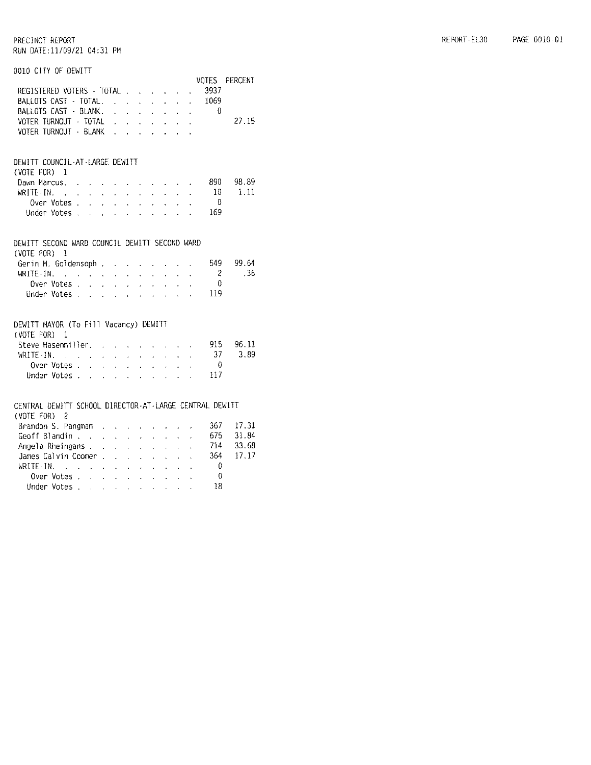#### 0010 CITY OF DEWITT

|                                                                        |                                                                                                                                                                                                                                |                 |                                                           |                                        |                                                                                       |                            |                            |              |                           | VOTES            | <b>PERCENT</b> |
|------------------------------------------------------------------------|--------------------------------------------------------------------------------------------------------------------------------------------------------------------------------------------------------------------------------|-----------------|-----------------------------------------------------------|----------------------------------------|---------------------------------------------------------------------------------------|----------------------------|----------------------------|--------------|---------------------------|------------------|----------------|
| REGISTERED VOTERS - TOTAL                                              |                                                                                                                                                                                                                                |                 |                                                           |                                        |                                                                                       |                            |                            |              | $\sim$                    | 3937             |                |
| BALLOTS CAST - TOTAL.                                                  |                                                                                                                                                                                                                                |                 |                                                           |                                        | $\mathbf{A}^{\text{max}}$                                                             | $\Delta \sim 10^4$         | $\mathbf{L}^{(1)}$         | $\mathbf{a}$ | $\mathbf{r}$              | 1069             |                |
| BALLOTS CAST - BLANK.                                                  |                                                                                                                                                                                                                                |                 |                                                           |                                        | $\sim$                                                                                | $\mathcal{L}^{\pm}$        | $\mathbf{r}$               | $\sim$       | $\mathbf{a}$ .            | $\sim$ 0         |                |
| VOTER TURNOUT - TOTAL                                                  |                                                                                                                                                                                                                                |                 |                                                           |                                        |                                                                                       |                            |                            |              |                           |                  | 27.15          |
| VOTER TURNOUT · BLANK                                                  |                                                                                                                                                                                                                                |                 |                                                           |                                        |                                                                                       |                            |                            |              |                           |                  |                |
|                                                                        |                                                                                                                                                                                                                                |                 |                                                           |                                        |                                                                                       |                            |                            |              |                           |                  |                |
| DEWITT COUNCIL-AT-LARGE DEWITT                                         |                                                                                                                                                                                                                                |                 |                                                           |                                        |                                                                                       |                            |                            |              |                           |                  |                |
| (VOTE FOR) 1                                                           |                                                                                                                                                                                                                                |                 |                                                           |                                        |                                                                                       |                            |                            |              |                           |                  |                |
| Dawn Marcus.                                                           |                                                                                                                                                                                                                                |                 |                                                           |                                        | the contract of the contract of the con-                                              |                            |                            |              |                           | - 890            | 98.89          |
| WRITE · IN.                                                            | the contract of the contract of the                                                                                                                                                                                            |                 |                                                           |                                        |                                                                                       |                            | $\mathcal{L}^{\text{max}}$ |              | $\mathbf{A} = \mathbf{A}$ | $10\,$           | 1.11           |
| Over Votes .                                                           | $\sim$ 10 $\pm$                                                                                                                                                                                                                |                 |                                                           |                                        | $\mathbf{z} = \mathbf{z} + \mathbf{z}$ , where $\mathbf{z} = \mathbf{z} + \mathbf{z}$ |                            | $\mathbf{L}$               |              |                           | - 0              |                |
| Under Votes                                                            |                                                                                                                                                                                                                                |                 | $\mathcal{L}^{\text{max}}$ and $\mathcal{L}^{\text{max}}$ | $\mathcal{L}^{\text{max}}$             |                                                                                       | $\sim 100$                 |                            |              |                           | 169              |                |
|                                                                        |                                                                                                                                                                                                                                |                 |                                                           |                                        |                                                                                       |                            |                            |              |                           |                  |                |
| DEWITT SECOND WARD COUNCIL DEWITT SECOND WARD                          |                                                                                                                                                                                                                                |                 |                                                           |                                        |                                                                                       |                            |                            |              |                           |                  |                |
| (VOTE FOR)<br>-1                                                       |                                                                                                                                                                                                                                |                 |                                                           |                                        |                                                                                       |                            |                            |              |                           |                  |                |
| Gerin M. Goldensoph                                                    |                                                                                                                                                                                                                                |                 |                                                           |                                        |                                                                                       | $\sim 10$                  |                            |              |                           | 549              | 99.64          |
| WRITE-IN. $\cdots$ $\cdots$                                            |                                                                                                                                                                                                                                |                 |                                                           |                                        |                                                                                       | $\mathbf{v}$               | $\mathbf{r}$               | $\sim$       | $\mathcal{L}^{\pm}$       | -2               | .36            |
|                                                                        |                                                                                                                                                                                                                                |                 |                                                           | an an an<br>an an an                   |                                                                                       | $\sim 10^{-1}$             | $\mathbf{r} = \mathbf{r}$  |              |                           | $\theta$         |                |
| Under Votes.                                                           |                                                                                                                                                                                                                                |                 |                                                           |                                        |                                                                                       |                            |                            |              |                           | 119              |                |
|                                                                        |                                                                                                                                                                                                                                |                 |                                                           |                                        |                                                                                       |                            |                            |              |                           |                  |                |
| DEWITT MAYOR (To Fill Vacancy) DEWITT                                  |                                                                                                                                                                                                                                |                 |                                                           |                                        |                                                                                       |                            |                            |              |                           |                  |                |
| (VOTE FOR) 1                                                           |                                                                                                                                                                                                                                |                 |                                                           |                                        |                                                                                       |                            |                            |              |                           |                  |                |
| Steve Hasenmiller, 915                                                 |                                                                                                                                                                                                                                |                 |                                                           |                                        |                                                                                       |                            |                            |              |                           |                  | 96.11          |
| WRITE-IN.                                                              | and the company of the company of the company of the company of the company of the company of the company of the company of the company of the company of the company of the company of the company of the company of the comp |                 |                                                           |                                        |                                                                                       |                            |                            |              |                           | 37               | 3.89           |
| Over Votes .                                                           | $\sim$                                                                                                                                                                                                                         | $\sim 10^{-11}$ |                                                           | $\mathbf{z} = \mathbf{z} \mathbf{z}$ . |                                                                                       | and a strong control of    |                            |              |                           | - 0              |                |
| Under Votes                                                            |                                                                                                                                                                                                                                |                 |                                                           |                                        |                                                                                       |                            |                            |              |                           | 117              |                |
|                                                                        |                                                                                                                                                                                                                                |                 |                                                           |                                        |                                                                                       |                            |                            |              |                           |                  |                |
| CENTRAL DEWITT SCHOOL DIRECTOR-AT-LARGE CENTRAL DEWITT<br>(VOTE FOR) 2 |                                                                                                                                                                                                                                |                 |                                                           |                                        |                                                                                       |                            |                            |              |                           |                  |                |
| Brandon S. Pangman                                                     |                                                                                                                                                                                                                                |                 |                                                           |                                        |                                                                                       |                            |                            |              |                           | 367.             | 17.31          |
|                                                                        |                                                                                                                                                                                                                                |                 |                                                           | $\mathcal{L}^{\text{max}}$             | $\cdot$                                                                               | $\mathcal{L}^{\text{max}}$ |                            |              |                           | 675              | 31.84          |
| Geoff Blandin<br>Angela Rheingans                                      |                                                                                                                                                                                                                                |                 | $\ddot{\phantom{0}}$                                      | $\sim$                                 | $\mathbf{r}$                                                                          | k.                         | $\ddot{\phantom{0}}$       | $\mathbf{r}$ | $\ddot{\phantom{0}}$      | 714              | 33.68          |
| James Calvin Coomer                                                    |                                                                                                                                                                                                                                |                 |                                                           |                                        |                                                                                       |                            |                            |              |                           | 3 <sub>0</sub> 4 | 17.17          |
| WRITE-IN.                                                              | and the contract of the contract of the contract of                                                                                                                                                                            |                 |                                                           |                                        |                                                                                       |                            |                            |              |                           | - 0              |                |
| Over Votes                                                             |                                                                                                                                                                                                                                |                 |                                                           |                                        |                                                                                       |                            |                            |              |                           | 0                |                |
| Under Votes                                                            |                                                                                                                                                                                                                                |                 |                                                           |                                        |                                                                                       |                            |                            | $\mathbf{v}$ |                           | 18               |                |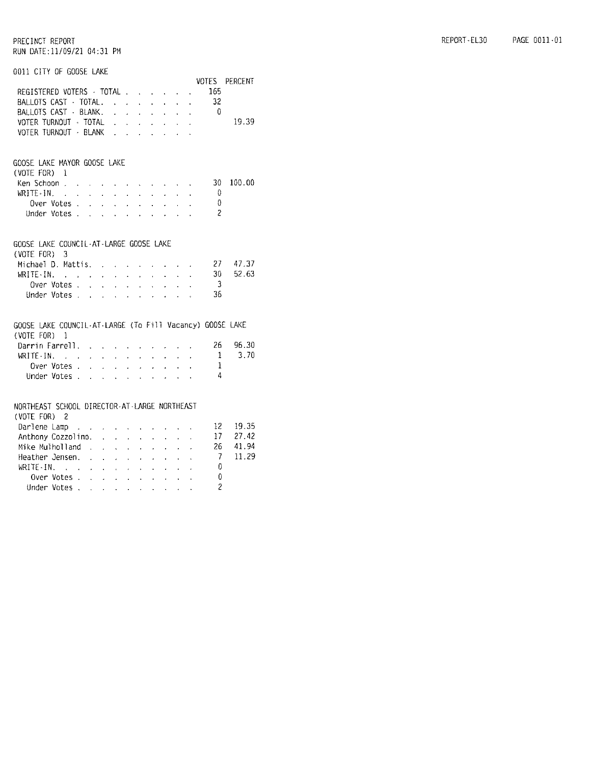| 0011 CITY OF GOOSE LAKE                                                                                                                        |  |              |                           |                                                           |              |                           |                                                                               |                          |                 |               |
|------------------------------------------------------------------------------------------------------------------------------------------------|--|--------------|---------------------------|-----------------------------------------------------------|--------------|---------------------------|-------------------------------------------------------------------------------|--------------------------|-----------------|---------------|
|                                                                                                                                                |  |              |                           |                                                           |              |                           |                                                                               |                          |                 | VOTES PERCENT |
| REGISTERED VOTERS - TOTAL                                                                                                                      |  |              |                           |                                                           |              |                           |                                                                               |                          | 165             |               |
| BALLOTS CAST - TOTAL.                                                                                                                          |  |              |                           |                                                           |              |                           |                                                                               |                          | 32              |               |
| BALLOTS CAST · BLANK. 0                                                                                                                        |  |              |                           |                                                           |              |                           |                                                                               |                          |                 |               |
| VOTER TURNOUT · TOTAL                                                                                                                          |  |              |                           |                                                           |              |                           |                                                                               |                          |                 | 19.39         |
| VOTER TURNOUT - BLANK                                                                                                                          |  |              |                           |                                                           |              |                           |                                                                               |                          |                 |               |
|                                                                                                                                                |  |              |                           |                                                           |              |                           |                                                                               |                          |                 |               |
|                                                                                                                                                |  |              |                           |                                                           |              |                           |                                                                               |                          |                 |               |
| GOOSE LAKE MAYOR GOOSE LAKE                                                                                                                    |  |              |                           |                                                           |              |                           |                                                                               |                          |                 |               |
| $(V0TE F0R)$ 1                                                                                                                                 |  |              |                           |                                                           |              |                           |                                                                               |                          |                 |               |
| Ken Schoon                                                                                                                                     |  |              |                           |                                                           |              |                           |                                                                               |                          | 30-             | 100.00        |
| $WRITE-IN$ , , , , , , , , , , , ,                                                                                                             |  |              |                           |                                                           |              |                           |                                                                               |                          | - 0             |               |
| Over Votes                                                                                                                                     |  |              |                           |                                                           |              |                           |                                                                               |                          | $\theta$        |               |
| Under Votes                                                                                                                                    |  |              |                           |                                                           |              |                           |                                                                               |                          | $\overline{c}$  |               |
|                                                                                                                                                |  |              |                           |                                                           |              |                           |                                                                               |                          |                 |               |
|                                                                                                                                                |  |              |                           |                                                           |              |                           |                                                                               |                          |                 |               |
| GOOSE LAKE COUNCIL-AT-LARGE GOOSE LAKE                                                                                                         |  |              |                           |                                                           |              |                           |                                                                               |                          |                 |               |
| $(VOTE FOR)$ 3                                                                                                                                 |  |              |                           |                                                           |              |                           |                                                                               |                          |                 |               |
| Michael D. Mattis.                                                                                                                             |  |              |                           |                                                           |              |                           |                                                                               |                          | 27 -            | 47.37         |
| $WRITE \cdot IN.$                                                                                                                              |  |              | $\mathbf{r} = \mathbf{r}$ |                                                           |              |                           | and a strategic and                                                           | $\sim$                   | 30 <sup>1</sup> | 52.63         |
| Over Votes                                                                                                                                     |  | $\mathbf{L}$ | $\mathbf{r}$              | $\mathbf{r}$                                              | $\mathbf{r}$ | $\mathbf{r}^{(1)}$        |                                                                               | $\Delta \sim$            | $\overline{3}$  |               |
| Under Votes                                                                                                                                    |  |              |                           | <b>All Cards</b>                                          |              | $\mathbf{r} = \mathbf{r}$ | $\mathbf{r}$                                                                  |                          | 36              |               |
|                                                                                                                                                |  |              |                           |                                                           |              |                           |                                                                               |                          |                 |               |
|                                                                                                                                                |  |              |                           |                                                           |              |                           |                                                                               |                          |                 |               |
| GOOSE LAKE COUNCIL-AT-LARGE (To Fill Vacancy) GOOSE LAKE                                                                                       |  |              |                           |                                                           |              |                           |                                                                               |                          |                 |               |
| (VOTE FOR) 1                                                                                                                                   |  |              |                           |                                                           |              |                           |                                                                               |                          |                 |               |
| Darrin Farrell.                                                                                                                                |  |              |                           |                                                           |              |                           |                                                                               | <b>Contract Contract</b> | 26              | 96.30         |
| WRITE-IN, $\mathbf{r} = \mathbf{r} \cdot \mathbf{r} + \mathbf{r} \cdot \mathbf{r} + \mathbf{r} \cdot \mathbf{r} + \mathbf{r} \cdot \mathbf{r}$ |  |              |                           |                                                           |              |                           |                                                                               |                          | -1              | 3.70          |
| Over Votes                                                                                                                                     |  |              |                           | $\mathcal{L}^{\text{max}}$ and $\mathcal{L}^{\text{max}}$ |              |                           | $\mathbf{z} = \mathbf{z} + \mathbf{z} + \mathbf{z} + \mathbf{z} + \mathbf{z}$ |                          | 1               |               |
| Under Votes                                                                                                                                    |  |              |                           |                                                           |              |                           |                                                                               |                          | - 4             |               |
|                                                                                                                                                |  |              |                           |                                                           |              |                           |                                                                               |                          |                 |               |
|                                                                                                                                                |  |              |                           |                                                           |              |                           |                                                                               |                          |                 |               |
| NORTHEAST SCHOOL DIRECTOR-AT-LARGE NORTHEAST                                                                                                   |  |              |                           |                                                           |              |                           |                                                                               |                          |                 |               |
| (VOTE FOR) 2                                                                                                                                   |  |              |                           |                                                           |              |                           |                                                                               |                          | $12 -$          | 19.35         |
| Darlene Lamp                                                                                                                                   |  |              |                           |                                                           |              |                           |                                                                               |                          | 17 <sup>2</sup> | 27.42         |
| Anthony Cozzolino.                                                                                                                             |  |              |                           |                                                           |              |                           |                                                                               |                          |                 |               |

| Mike Mulholland  |  |  |  |  |  | 26 41.94 |
|------------------|--|--|--|--|--|----------|
|                  |  |  |  |  |  |          |
| Heather Jensen.  |  |  |  |  |  | 7 11.29  |
| WRITE $\cdot$ IN |  |  |  |  |  |          |
| Over Votes       |  |  |  |  |  |          |
| Under Votes,     |  |  |  |  |  |          |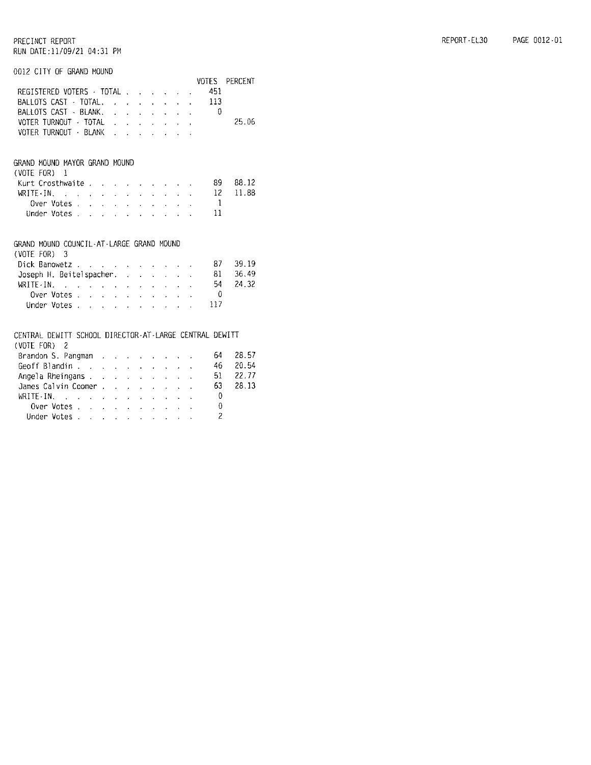#### 0012 CITY OF GRAND MOUND

|                                                                                                                                                                                                                                                                                                        |  |  |  |  |  |                                                  | VOTES PERCENT |
|--------------------------------------------------------------------------------------------------------------------------------------------------------------------------------------------------------------------------------------------------------------------------------------------------------|--|--|--|--|--|--------------------------------------------------|---------------|
| REGISTERED VOTERS - TOTAL                                                                                                                                                                                                                                                                              |  |  |  |  |  | 451                                              |               |
| BALLOTS CAST - TOTAL. 113                                                                                                                                                                                                                                                                              |  |  |  |  |  |                                                  |               |
| BALLOTS CAST - BLANK. 0                                                                                                                                                                                                                                                                                |  |  |  |  |  |                                                  |               |
| VOTER TURNOUT - TOTAL <i>. .</i> .                                                                                                                                                                                                                                                                     |  |  |  |  |  |                                                  | 25.06         |
| VOTER TURNOUT - BLANK                                                                                                                                                                                                                                                                                  |  |  |  |  |  |                                                  |               |
|                                                                                                                                                                                                                                                                                                        |  |  |  |  |  |                                                  |               |
| GRAND MOUND MAYOR GRAND MOUND                                                                                                                                                                                                                                                                          |  |  |  |  |  |                                                  |               |
| $(VOTE FOR)$ 1                                                                                                                                                                                                                                                                                         |  |  |  |  |  |                                                  |               |
| Kurt Crosthwaite89                                                                                                                                                                                                                                                                                     |  |  |  |  |  |                                                  | 88.12         |
|                                                                                                                                                                                                                                                                                                        |  |  |  |  |  | 12                                               | 11.88         |
| WRITE-IN.<br>Over Votes                                                                                                                                                                                                                                                                                |  |  |  |  |  | $\overline{\phantom{a}}$                         |               |
| Under Votes                                                                                                                                                                                                                                                                                            |  |  |  |  |  | 11                                               |               |
|                                                                                                                                                                                                                                                                                                        |  |  |  |  |  |                                                  |               |
| GRAND MOUND COUNCIL-AT-LARGE GRAND MOUND                                                                                                                                                                                                                                                               |  |  |  |  |  |                                                  |               |
| (VOTE FOR) 3                                                                                                                                                                                                                                                                                           |  |  |  |  |  |                                                  |               |
| Dick Banowetz                                                                                                                                                                                                                                                                                          |  |  |  |  |  | - 87                                             | 39.19         |
| Joseph H. Beitelspacher. 81                                                                                                                                                                                                                                                                            |  |  |  |  |  |                                                  | 36.49         |
| WRITE-IN, $\frac{1}{2}$ , $\frac{1}{2}$ , $\frac{1}{2}$ , $\frac{1}{2}$ , $\frac{1}{2}$ , $\frac{1}{2}$ , $\frac{1}{2}$ , $\frac{1}{2}$ , $\frac{1}{2}$ , $\frac{1}{2}$ , $\frac{1}{2}$ , $\frac{1}{2}$ , $\frac{1}{2}$ , $\frac{1}{2}$ , $\frac{1}{2}$ , $\frac{1}{2}$ , $\frac{1}{2}$ , $\frac{1}{2$ |  |  |  |  |  |                                                  | 24.32         |
|                                                                                                                                                                                                                                                                                                        |  |  |  |  |  | Over Votes $\ldots$ $\ldots$ $\ldots$ $\ldots$ 0 |               |
| Under Votes                                                                                                                                                                                                                                                                                            |  |  |  |  |  | 117                                              |               |
|                                                                                                                                                                                                                                                                                                        |  |  |  |  |  |                                                  |               |
| CENTRAL DEWITT SCHOOL DIRECTOR-AT-LARGE CENTRAL DEWITT                                                                                                                                                                                                                                                 |  |  |  |  |  |                                                  |               |
| (VOTE FOR) 2                                                                                                                                                                                                                                                                                           |  |  |  |  |  |                                                  |               |
| Brandon S. Pangman (Allen Collection Collection Collection Collection Collection Collection Collection Collection                                                                                                                                                                                      |  |  |  |  |  | 64                                               | 28.57         |
| Geoff Blandin                                                                                                                                                                                                                                                                                          |  |  |  |  |  | 46                                               | 20.54         |
| Angela Rheingans                                                                                                                                                                                                                                                                                       |  |  |  |  |  | 51                                               | 22.77         |
| James Calvin Coomer 63                                                                                                                                                                                                                                                                                 |  |  |  |  |  |                                                  | 28.13         |
| WRITE-IN, , , , , , , , , , , , , , 0                                                                                                                                                                                                                                                                  |  |  |  |  |  |                                                  |               |
| Over Votes                                                                                                                                                                                                                                                                                             |  |  |  |  |  | $\sim$ 0                                         |               |
| Under Votes                                                                                                                                                                                                                                                                                            |  |  |  |  |  | $\overline{c}$                                   |               |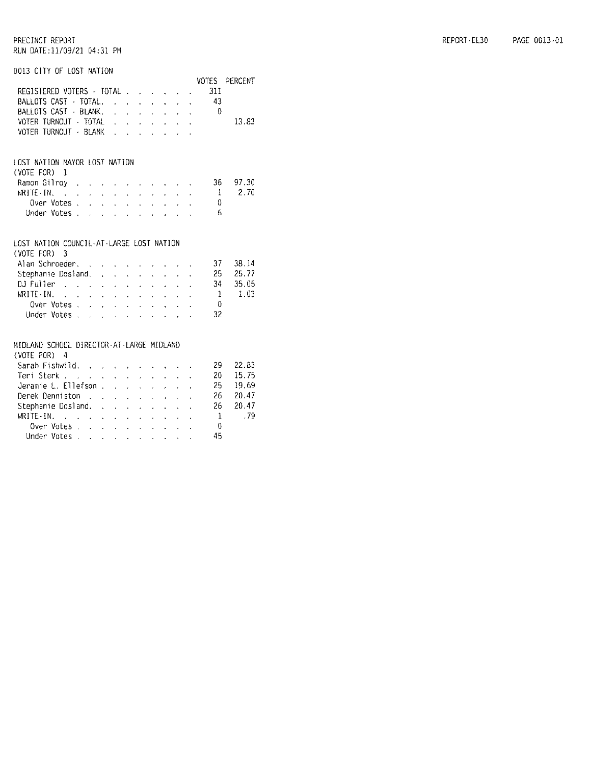|  |  | 0013 CITY OF LOST NATION |  |
|--|--|--------------------------|--|
|  |  |                          |  |

| REGISTERED VOTERS - TOTAL                                                                              |                            |                              |                            |                                               |                                                                                 |                      |                                             |                                        |                      | VOTES<br>311 | PERCENT        |
|--------------------------------------------------------------------------------------------------------|----------------------------|------------------------------|----------------------------|-----------------------------------------------|---------------------------------------------------------------------------------|----------------------|---------------------------------------------|----------------------------------------|----------------------|--------------|----------------|
| BALLOTS CAST - TOTAL.                                                                                  |                            |                              |                            |                                               |                                                                                 |                      |                                             |                                        | ä.                   | 43           |                |
| BALLOTS CAST - BLANK.                                                                                  |                            |                              |                            |                                               | $\mathbf{r} = \mathbf{r} + \mathbf{r} + \mathbf{r} + \mathbf{r} + \mathbf{r}$   |                      |                                             |                                        | $\ddot{\phantom{0}}$ |              |                |
|                                                                                                        |                            |                              |                            |                                               | $\mathbf{r} = \mathbf{r} - \mathbf{r}$ , $\mathbf{r} = \mathbf{r} - \mathbf{r}$ |                      |                                             |                                        |                      | - 0          |                |
| VOTER TURNOUT - TOTAL                                                                                  |                            |                              |                            |                                               | $\mathbf{r}$ and $\mathbf{r}$ and $\mathbf{r}$ and $\mathbf{r}$                 |                      |                                             |                                        |                      |              | 13.83          |
| VOTER TURNOUT - BLANK                                                                                  |                            |                              | $\mathbf{r}$               |                                               | $\mathbf{r}$ and $\mathbf{r}$ and $\mathbf{r}$ and $\mathbf{r}$                 |                      |                                             |                                        |                      |              |                |
| LOST NATION MAYOR LOST NATION                                                                          |                            |                              |                            |                                               |                                                                                 |                      |                                             |                                        |                      |              |                |
| (VOTE FOR)<br>$\mathbb{I}$                                                                             |                            |                              |                            |                                               |                                                                                 |                      |                                             |                                        |                      |              |                |
| Ramon Gilrov                                                                                           |                            |                              |                            |                                               |                                                                                 |                      |                                             |                                        |                      | 36           | 97.30          |
| $WRITE-IN.$                                                                                            |                            | $\mathcal{L}^{\text{max}}$ . |                            | $\mathbf{r} = \mathbf{r} \times \mathbf{r}$ . |                                                                                 |                      | $\mathbf{L} = \mathbf{L} \times \mathbf{L}$ |                                        |                      | 1            | 2.70           |
| Over Votes .                                                                                           | $\mathcal{L}^{\text{max}}$ | $\mathcal{L}^{\text{max}}$   | $\hat{E}_{\rm{eff}}$       | $\mathbf{r}$                                  | $\mathbf{r}$                                                                    | $\mathbf{r}$         | $\mathbf{r}$                                |                                        |                      | 0            |                |
| Under Votes .                                                                                          | $\sim 10^{-11}$            | $\mathcal{L}^{\text{max}}$   |                            | $\mathcal{L}^{\text{max}}$                    | $\mathbf{r}$                                                                    | ÷.                   | $\mathbf{A}^{\text{max}}$                   |                                        |                      | 6            |                |
| LOST NATION COUNCIL-AT-LARGE LOST NATION<br>(VOTE FOR)<br>3<br>Alan Schroeder. .<br>Stephanie Dosland. |                            | <b>Service State</b>         |                            | $\mathbf{r}$                                  | $\ddot{\phantom{0}}$                                                            |                      |                                             | $\mathbf{u} = \mathbf{u} \mathbf{u}$ . |                      | 37<br>25     | 38.14<br>25.77 |
| DJ Fuller                                                                                              |                            |                              |                            |                                               |                                                                                 |                      |                                             |                                        |                      | 34           | 35.05          |
| WRITE-IN.<br>المناسب والمناسب والمناسب والمناسب والمناسب                                               |                            |                              |                            |                                               |                                                                                 |                      |                                             |                                        |                      | -1           | 1.03           |
| Over Votes.                                                                                            |                            |                              |                            |                                               |                                                                                 |                      |                                             |                                        |                      | $\Omega$     |                |
| Under Votes                                                                                            |                            |                              |                            |                                               |                                                                                 |                      |                                             |                                        |                      | 32           |                |
| MIDLAND SCHOOL DIRECTOR-AT-LARGE MIDLAND<br>$(VOTE$ $FOR$ )<br>4                                       |                            |                              |                            |                                               |                                                                                 |                      |                                             |                                        |                      |              |                |
| Sarah Fishwild.                                                                                        |                            |                              |                            |                                               |                                                                                 |                      |                                             |                                        |                      | 29.          | 22.83          |
| Teri Sterk                                                                                             |                            | $\mathcal{L}^{\text{max}}$   |                            | $\mathbf{r} = \mathbf{r} \mathbf{r}$          | $\mathbf{r}$                                                                    | $\ddot{\phantom{0}}$ | $\mathbf{r}$                                |                                        |                      | 20           | 15.75          |
| Jeramie L. Ellefson                                                                                    |                            |                              |                            |                                               | $\mathbf{L}$                                                                    | $\ddot{\phantom{0}}$ | $\mathbf{r}$                                |                                        |                      | 25           | 19.69          |
| Derek Denniston                                                                                        |                            |                              |                            | $\mathbf{r} = \mathbf{r} \times \mathbf{r}$   | $\mathbf{r}$                                                                    | $\ddot{\phantom{a}}$ | $\mathbf{L}$                                |                                        |                      | 26           | 20.47          |
| Stephanie Dosland.                                                                                     |                            |                              |                            |                                               | $\mathbf{r}$                                                                    | $\mathbf{r}$         |                                             |                                        |                      | 26           | 20.47          |
| $WRITE-IN.$                                                                                            |                            | $\mathbf{L}^{(1)}$           | $\mathcal{L}^{\text{max}}$ | $\varphi^{(1)}$                               | $\mathbf{L}^{\text{max}}$                                                       | $\mathbf{r}$         | $\mathbf{L}$                                |                                        |                      | $\mathbf{1}$ | . 79           |
| Over Votes .                                                                                           | $\mathbf{r}$               | $\sim$                       | $\mathcal{L}^{\text{max}}$ |                                               | $\mathcal{L}^{\text{max}}$ and $\mathcal{L}^{\text{max}}$                       |                      |                                             |                                        |                      | 0            |                |
| Under Votes                                                                                            |                            |                              |                            |                                               |                                                                                 |                      |                                             |                                        |                      | 45           |                |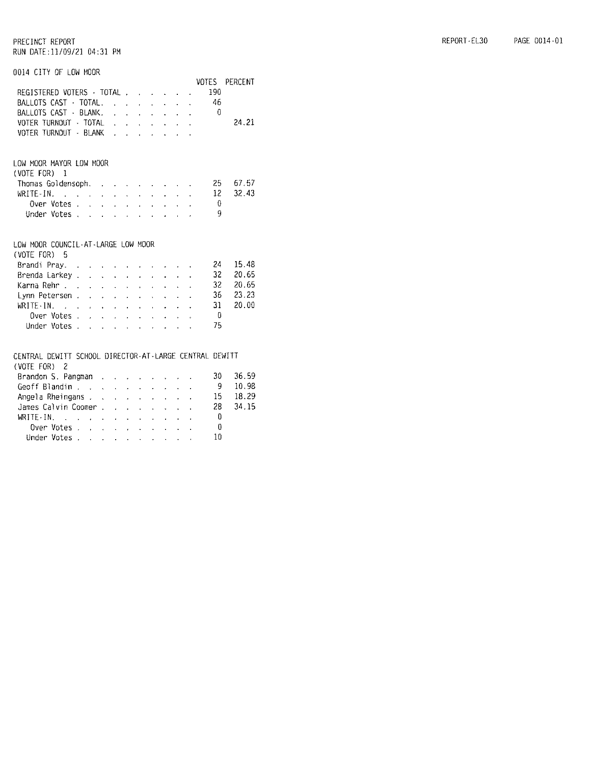|                                                                                                                                                                                                                               |                                         |  |  |                                             | VOTES |                   | PERCENT |
|-------------------------------------------------------------------------------------------------------------------------------------------------------------------------------------------------------------------------------|-----------------------------------------|--|--|---------------------------------------------|-------|-------------------|---------|
| REGISTERED VOTERS - TOTAL                                                                                                                                                                                                     |                                         |  |  |                                             |       | 190               |         |
| BALLOTS CAST - TOTAL.                                                                                                                                                                                                         |                                         |  |  |                                             |       | 46                |         |
| BALLOTS CAST - BLANK. 0                                                                                                                                                                                                       |                                         |  |  |                                             |       |                   |         |
| VOTER TURNOUT - TOTAL                                                                                                                                                                                                         |                                         |  |  |                                             |       |                   | 24.21   |
| VOTER TURNOUT - BLANK                                                                                                                                                                                                         |                                         |  |  |                                             |       |                   |         |
|                                                                                                                                                                                                                               |                                         |  |  |                                             |       |                   |         |
| LOW MOOR MAYOR LOW MOOR                                                                                                                                                                                                       |                                         |  |  |                                             |       |                   |         |
| (VOTE FOR) 1                                                                                                                                                                                                                  |                                         |  |  |                                             |       |                   |         |
| Thomas Goldensoph, research and research and research and research and research                                                                                                                                               |                                         |  |  |                                             |       | 25                | 67.57   |
| WRITE-IN.                                                                                                                                                                                                                     |                                         |  |  |                                             |       | $12 \overline{ }$ | 32.43   |
| Over Votes                                                                                                                                                                                                                    |                                         |  |  | and a strategic                             |       | $\overline{0}$    |         |
| Under Votes                                                                                                                                                                                                                   |                                         |  |  |                                             |       | 9                 |         |
|                                                                                                                                                                                                                               |                                         |  |  |                                             |       |                   |         |
| LOW MOOR COUNCIL-AT-LARGE LOW MOOR                                                                                                                                                                                            |                                         |  |  |                                             |       |                   |         |
| (VOTE FOR)<br>5                                                                                                                                                                                                               |                                         |  |  |                                             |       |                   |         |
| Brandi Pray.                                                                                                                                                                                                                  |                                         |  |  |                                             |       | 24                | 15.48   |
| Brenda Larkey                                                                                                                                                                                                                 |                                         |  |  |                                             |       | 32                | 20.65   |
| Kanna Rehn                                                                                                                                                                                                                    |                                         |  |  |                                             |       | 32                | 20.65   |
| Lynn Petersen                                                                                                                                                                                                                 |                                         |  |  |                                             |       | 36                | 23.23   |
| WRITE-IN, when the contract of the contract of the set of the set of the set of the set of the set of the set of the set of the set of the set of the set of the set of the set of the set of the set of the set of the set o |                                         |  |  |                                             |       | 31                | 20.00   |
| Over Votes .                                                                                                                                                                                                                  | and a series of the companies of        |  |  |                                             |       | - 0               |         |
| Under Votes                                                                                                                                                                                                                   |                                         |  |  |                                             |       | 75                |         |
|                                                                                                                                                                                                                               |                                         |  |  |                                             |       |                   |         |
| CENTRAL DEWITT SCHOOL DIRECTOR-AT-LARGE CENTRAL DEWITT                                                                                                                                                                        |                                         |  |  |                                             |       |                   |         |
| (VOTE FOR)<br>$\overline{2}$                                                                                                                                                                                                  |                                         |  |  |                                             |       |                   |         |
| Brandon S. Pangman                                                                                                                                                                                                            |                                         |  |  |                                             |       | 30                | 36.59   |
| Geoff Blandin                                                                                                                                                                                                                 |                                         |  |  |                                             |       | - 9               | 10.98   |
| Angela Rheingans                                                                                                                                                                                                              |                                         |  |  |                                             |       | 15                | 18.29   |
| James Calvin Coomer                                                                                                                                                                                                           |                                         |  |  |                                             |       | 28                | 34.15   |
|                                                                                                                                                                                                                               |                                         |  |  | $\omega_{\rm{eff}}$ and $\omega_{\rm{eff}}$ |       | $\theta$          |         |
| WRITE-IN.<br>Over Votes                                                                                                                                                                                                       |                                         |  |  |                                             |       | 0                 |         |
| Under Votes,                                                                                                                                                                                                                  | فالمتواصل والمتواطن والمتواطن والمتواطن |  |  |                                             |       | 10                |         |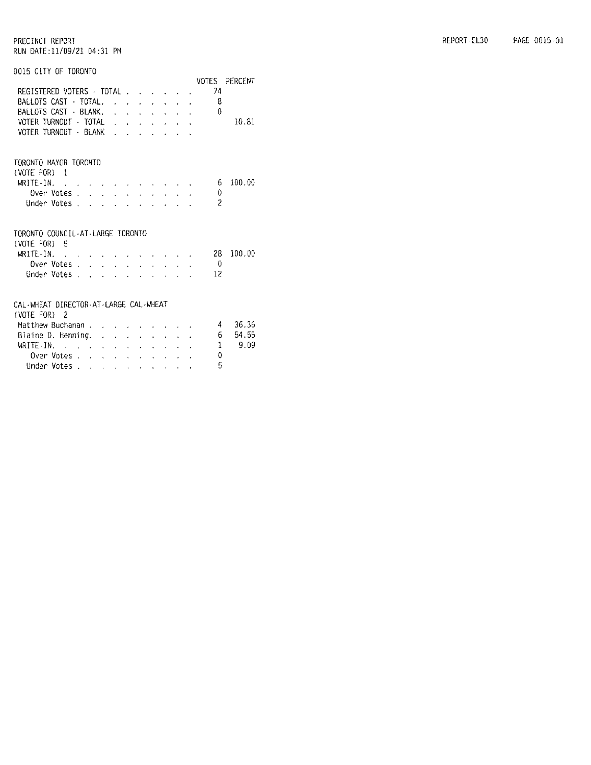#### REPORT-EL30 PAGE 0015-01

|  |  |  | 0015 CITY OF TORONTO |  |
|--|--|--|----------------------|--|
|--|--|--|----------------------|--|

|                                                       |                                                  |  |  |  |  | VOTES  | <b>PERCENT</b> |
|-------------------------------------------------------|--------------------------------------------------|--|--|--|--|--------|----------------|
| REGISTERED VOTERS - TOTAL                             |                                                  |  |  |  |  | 74     |                |
| BALLOTS CAST - TOTAL,                                 |                                                  |  |  |  |  | 8      |                |
| BALLOTS CAST - BLANK.                                 |                                                  |  |  |  |  | ₿      |                |
| VOTER TURNOUT - TOTAL                                 |                                                  |  |  |  |  |        | 10.81          |
| VOTER TURNOUT - BLANK                                 |                                                  |  |  |  |  |        |                |
|                                                       |                                                  |  |  |  |  |        |                |
| TORONTO MAYOR TORONTO                                 |                                                  |  |  |  |  |        |                |
| $(VOTE FOR)$ 1                                        |                                                  |  |  |  |  |        |                |
| WRITE-IN. $\cdots$                                    |                                                  |  |  |  |  | - 6    | 100.00         |
| Over Votes.                                           |                                                  |  |  |  |  | 0      |                |
| Under Votes, , , , , , , , , ,                        |                                                  |  |  |  |  | 2      |                |
| TORONTO COUNCIL-AT-LARGE TORONTO<br>$(VOTE FOR)$ 5    |                                                  |  |  |  |  |        |                |
| WRITE-IN. $\cdots$ $\cdots$                           |                                                  |  |  |  |  | 28.    | 100.00         |
|                                                       |                                                  |  |  |  |  | - 0    |                |
| Over Votes.                                           |                                                  |  |  |  |  |        |                |
| Under Votes                                           |                                                  |  |  |  |  | 12     |                |
| CAL-WHEAT DIRECTOR-AT-LARGE CAL-WHEAT<br>(VOTE FOR) 2 |                                                  |  |  |  |  |        |                |
| Matthew Buchanan                                      |                                                  |  |  |  |  | $\sim$ | 36.36          |
| Blaine D. Henning. $\ldots$ $\ldots$ $\ldots$         |                                                  |  |  |  |  | 6      | 54.55          |
| WRITE-IN.                                             | الأنابة القارنة القاربة القرارة القرارة والقرارة |  |  |  |  | 1      | 9.09           |
| Over Votes                                            |                                                  |  |  |  |  | 0      |                |
| Under Votes.                                          | والمتواطن والمتواطن والتواصل والتواطن            |  |  |  |  | 5      |                |
|                                                       |                                                  |  |  |  |  |        |                |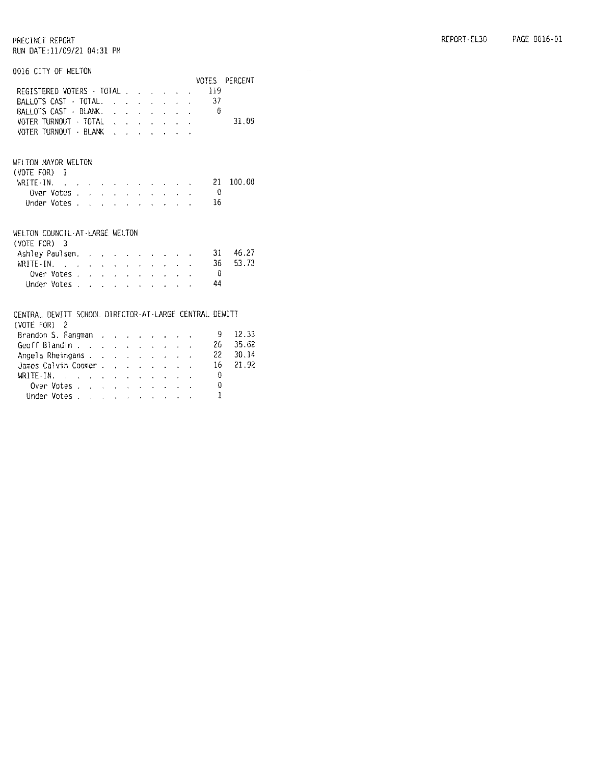$\tilde{\mathcal{A}}$ 

#### PRECINCT REPORT RUN DATE:11/09/21 04:31 PM

#### 0016 CITY OF WELTON

|                                                        |  |  |  |  | VOTES  | <b>PERCENT</b> |
|--------------------------------------------------------|--|--|--|--|--------|----------------|
| REGISTERED VOTERS - TOTAL                              |  |  |  |  | 119    |                |
| BALLOTS CAST - TOTAL.                                  |  |  |  |  | 37     |                |
| BALLOTS CAST · BLANK. 0                                |  |  |  |  |        |                |
| VOTER TURNOUT - TOTAL                                  |  |  |  |  |        | 31.09          |
| VOTER TURNOUT - BLANK                                  |  |  |  |  |        |                |
|                                                        |  |  |  |  |        |                |
| WELTON MAYOR WELTON                                    |  |  |  |  |        |                |
| (VOTE FOR) 1                                           |  |  |  |  |        |                |
| WRITE-IN.                                              |  |  |  |  | 21.    | 100.00         |
| Over Votes                                             |  |  |  |  | - 0    |                |
| Under Votes                                            |  |  |  |  | 16     |                |
|                                                        |  |  |  |  |        |                |
| WELTON COUNCIL-AT-LARGE WELTON                         |  |  |  |  |        |                |
| $(V0TE FOR)$ 3                                         |  |  |  |  |        |                |
| Ashley Paulsen.                                        |  |  |  |  | $31 -$ | 46.27          |
| WRITE-IN. $\cdots$ $\cdots$ $\cdots$                   |  |  |  |  | 36     | 53.73          |
| Over Votes,                                            |  |  |  |  | - 0    |                |
| Under Votes,                                           |  |  |  |  | 44     |                |
|                                                        |  |  |  |  |        |                |
| CENTRAL DEWITT SCHOOL DIRECTOR-AT-LARGE CENTRAL DEWITT |  |  |  |  |        |                |
| (VOTE FOR) 2                                           |  |  |  |  |        |                |
| Brandon S. Pangman                                     |  |  |  |  | 9.     | 12.33          |
| Geoff Blandin                                          |  |  |  |  | 26.    | 35.62          |
| Angela Rheingans                                       |  |  |  |  | 22.    | 30.14          |
| James Calvin Coomer                                    |  |  |  |  | 16     | 21.92          |
| WRITE-IN. $\cdots$ $\cdots$ $\cdots$                   |  |  |  |  | 0      |                |
| Over Votes                                             |  |  |  |  | 0      |                |
| Under Votes                                            |  |  |  |  | 1      |                |
|                                                        |  |  |  |  |        |                |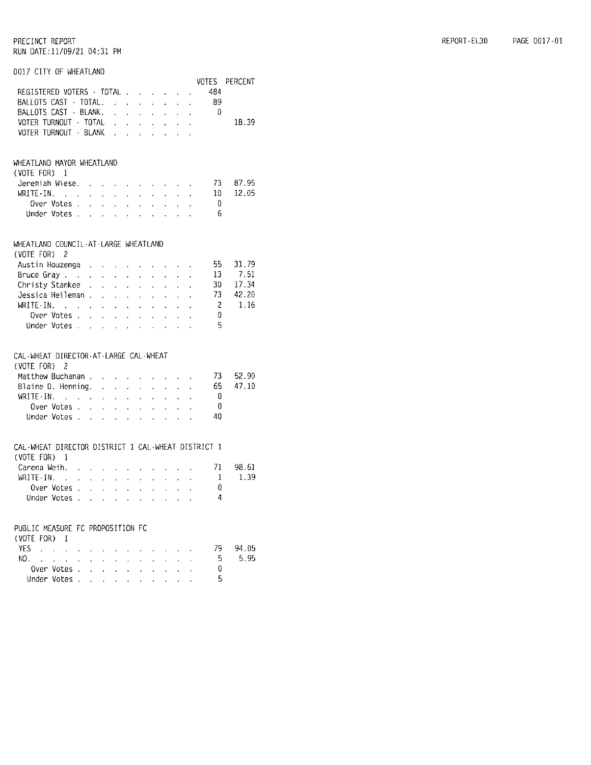#### 0017 CITY OF WHEATLAND

|                                                                    |                     |                           |                      |                                                                      |                    |                             |                     |                                                                                                                                               |                     |                      | VOTES | PERCENT |
|--------------------------------------------------------------------|---------------------|---------------------------|----------------------|----------------------------------------------------------------------|--------------------|-----------------------------|---------------------|-----------------------------------------------------------------------------------------------------------------------------------------------|---------------------|----------------------|-------|---------|
| REGISTERED VOTERS - TOTAL                                          |                     |                           |                      |                                                                      |                    |                             |                     |                                                                                                                                               |                     |                      | 484   |         |
| BALLOTS CAST - TOTAL.                                              |                     |                           |                      |                                                                      |                    | $\mathcal{L}^{\mathcal{L}}$ | $\mathbf{r}$        | $\mathcal{L}^{\pm}$                                                                                                                           | $\mathbf{v}$        | $\ddot{\phantom{0}}$ | - 89  |         |
| BALLOTS CAST - BLANK.                                              |                     |                           |                      |                                                                      |                    |                             |                     |                                                                                                                                               |                     |                      | - 0   |         |
| VOTER TURNOUT - TOTAL                                              |                     |                           |                      |                                                                      |                    |                             |                     |                                                                                                                                               |                     |                      |       | 18.39   |
| VOTER TURNOUT - BLANK                                              |                     |                           |                      |                                                                      |                    |                             |                     |                                                                                                                                               |                     |                      |       |         |
|                                                                    |                     |                           |                      |                                                                      |                    |                             |                     |                                                                                                                                               |                     |                      |       |         |
|                                                                    |                     |                           |                      |                                                                      |                    |                             |                     |                                                                                                                                               |                     |                      |       |         |
| WHEATLAND MAYOR WHEATLAND                                          |                     |                           |                      |                                                                      |                    |                             |                     |                                                                                                                                               |                     |                      |       |         |
| $(VOTE FOR) 1$                                                     |                     |                           |                      |                                                                      |                    |                             |                     |                                                                                                                                               |                     |                      |       |         |
| Jeremiah Wiese.                                                    |                     |                           |                      |                                                                      |                    |                             |                     | and the company of the company of the company of the company of the company of the company of                                                 |                     |                      | 73    | 87.95   |
| $WRITE-IN.$                                                        |                     |                           |                      |                                                                      |                    |                             |                     | and a strategic and a strategic                                                                                                               |                     |                      | 10    | 12.05   |
| Over Votes .                                                       |                     |                           |                      | $\mathbf{r} = \mathbf{r} + \mathbf{r}$ and $\mathbf{r} = \mathbf{r}$ |                    |                             |                     | المناصب المناصب المناصر                                                                                                                       |                     |                      | - 0   |         |
| Under Votes                                                        |                     |                           |                      |                                                                      |                    |                             |                     | and a strain and a strain                                                                                                                     |                     |                      | 6     |         |
|                                                                    |                     |                           |                      |                                                                      |                    |                             |                     |                                                                                                                                               |                     |                      |       |         |
|                                                                    |                     |                           |                      |                                                                      |                    |                             |                     |                                                                                                                                               |                     |                      |       |         |
| WHEATLAND COUNCIL-AT-LARGE WHEATLAND                               |                     |                           |                      |                                                                      |                    |                             |                     |                                                                                                                                               |                     |                      |       |         |
| (VOTE FOR) 2                                                       |                     |                           |                      |                                                                      |                    |                             |                     |                                                                                                                                               |                     |                      |       |         |
| Austin Houzenga                                                    |                     |                           |                      |                                                                      |                    |                             |                     |                                                                                                                                               |                     |                      | 55    | 31.79   |
| Bruce Gray                                                         |                     |                           |                      |                                                                      |                    |                             |                     | $\Delta \sim 10^{11}$ km s $^{-1}$                                                                                                            | $\mathbf{r}$        |                      | 13    | 7.51    |
| Christy Stankee .                                                  |                     |                           |                      |                                                                      |                    |                             |                     | and a strain and a strain and                                                                                                                 |                     | ¥.                   | 30    | 17.34   |
| Jessica Heileman                                                   |                     |                           |                      | $\sim$                                                               |                    |                             |                     | $\mathbf{r}^{\prime}$ , $\mathbf{r}^{\prime}$ , $\mathbf{r}^{\prime}$ , $\mathbf{r}^{\prime}$ , $\mathbf{r}^{\prime}$ , $\mathbf{r}^{\prime}$ | $\sim$              |                      | 73.   | 42.20   |
| $WRITE-IN$ .                                                       |                     |                           | $\ddot{\phantom{0}}$ | $\mathcal{L}^{\text{max}}$                                           |                    | $\sim$                      | $\mathcal{L}^{\pm}$ | $\sim$                                                                                                                                        | $\mathcal{L}^{\pm}$ |                      | -2    | 1.16    |
| Over Votes.                                                        |                     |                           |                      |                                                                      |                    |                             |                     |                                                                                                                                               |                     |                      | - 0   |         |
| Under Votes,                                                       |                     |                           |                      |                                                                      |                    |                             |                     |                                                                                                                                               |                     |                      | 5     |         |
|                                                                    |                     |                           |                      |                                                                      |                    |                             |                     |                                                                                                                                               |                     |                      |       |         |
|                                                                    |                     |                           |                      |                                                                      |                    |                             |                     |                                                                                                                                               |                     |                      |       |         |
| CAL-WHEAT DIRECTOR-AT-LARGE CAL-WHEAT                              |                     |                           |                      |                                                                      |                    |                             |                     |                                                                                                                                               |                     |                      |       |         |
| (VOTE FOR)<br>2                                                    |                     |                           |                      |                                                                      |                    |                             |                     |                                                                                                                                               |                     |                      |       |         |
| Matthew Buchanan .                                                 |                     |                           | $\sim$               | $\sim$                                                               |                    | $\mathbf{v} = \mathbf{v}$ . |                     | <b>Contract Contract</b>                                                                                                                      |                     |                      | 73    | 52.90   |
| Blaine D. Henning. .                                               |                     |                           |                      | $\Delta \sim 10$                                                     | $\mathbf{v}^{(i)}$ | $\sim$                      | $\mathbf{A}^{(1)}$  | $\sim$                                                                                                                                        | $\sim$              |                      | 65    | 47.10   |
|                                                                    |                     |                           |                      |                                                                      |                    |                             |                     |                                                                                                                                               |                     |                      | - 0   |         |
| Over Votes                                                         |                     |                           |                      |                                                                      |                    |                             |                     |                                                                                                                                               |                     |                      | 0     |         |
| Under Votes                                                        |                     |                           |                      |                                                                      |                    |                             |                     |                                                                                                                                               |                     |                      | 40    |         |
|                                                                    |                     |                           |                      |                                                                      |                    |                             |                     |                                                                                                                                               |                     |                      |       |         |
|                                                                    |                     |                           |                      |                                                                      |                    |                             |                     |                                                                                                                                               |                     |                      |       |         |
| CAL-WHEAT DIRECTOR DISTRICT 1 CAL-WHEAT DISTRICT 1<br>(VOTE FOR) 1 |                     |                           |                      |                                                                      |                    |                             |                     |                                                                                                                                               |                     |                      |       |         |
|                                                                    |                     |                           |                      |                                                                      |                    |                             |                     |                                                                                                                                               |                     |                      |       |         |
| Carena Weih                                                        |                     |                           |                      |                                                                      |                    |                             |                     |                                                                                                                                               |                     |                      | 71    | 98.61   |
| WRITE-IN.<br>$\sim 10^{-11}$                                       | $\mathcal{L}^{\pm}$ |                           |                      | <b>Contract Contract</b>                                             |                    |                             |                     | $\mathbf{u} = \mathbf{u} \mathbf{u} + \mathbf{u} \mathbf{u} + \mathbf{u} \mathbf{u} + \mathbf{u} \mathbf{u}$                                  |                     |                      | 1     | 1.39    |
| Over Votes                                                         |                     |                           |                      |                                                                      |                    |                             |                     |                                                                                                                                               |                     |                      | 0     |         |
| Under Votes                                                        |                     |                           |                      |                                                                      |                    |                             |                     | and a strong state of the state                                                                                                               |                     |                      | 4     |         |
|                                                                    |                     |                           |                      |                                                                      |                    |                             |                     |                                                                                                                                               |                     |                      |       |         |
| PUBLIC MEASURE FC PROPOSITION FC                                   |                     |                           |                      |                                                                      |                    |                             |                     |                                                                                                                                               |                     |                      |       |         |
| (VOTE FOR) 1                                                       |                     |                           |                      |                                                                      |                    |                             |                     |                                                                                                                                               |                     |                      |       |         |
| YES                                                                |                     |                           |                      |                                                                      |                    |                             |                     |                                                                                                                                               |                     |                      | 79 -  | 94.05   |
| NO.<br>$\ddot{\phantom{a}}$                                        |                     |                           |                      |                                                                      |                    |                             |                     |                                                                                                                                               |                     |                      | 5     | 5.95    |
| Over Votes .                                                       |                     |                           |                      |                                                                      |                    |                             |                     |                                                                                                                                               |                     |                      | 0     |         |
|                                                                    |                     | $\ddot{\phantom{a}}$      | ä.                   | ä.                                                                   |                    |                             |                     |                                                                                                                                               |                     |                      | 5     |         |
| Under Votes .                                                      |                     | $\mathbf{z} = \mathbf{z}$ | $\ddot{\phantom{0}}$ |                                                                      |                    |                             |                     |                                                                                                                                               |                     |                      |       |         |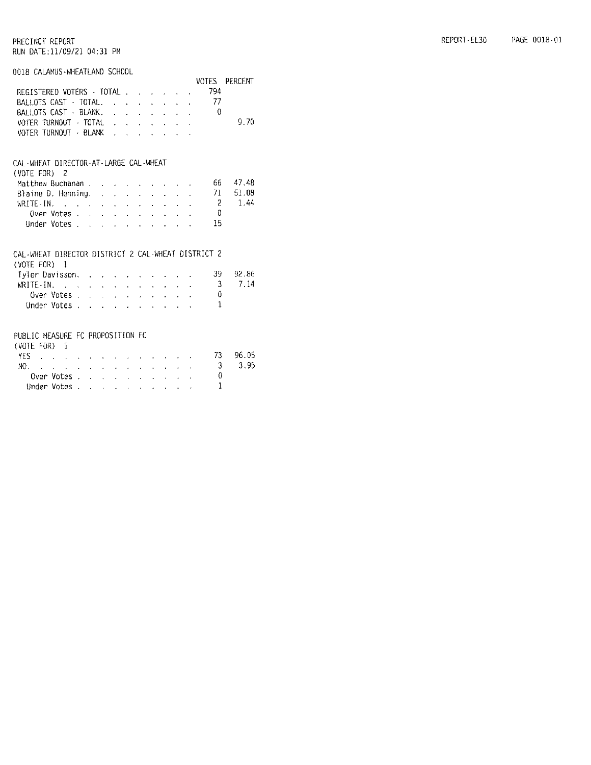#### 0018 CALAMUS - WHEATLAND SCHOOL

|                                                        |                      |  |  |                                                                                                                 |  |  | VOTES                   | PERCENT |
|--------------------------------------------------------|----------------------|--|--|-----------------------------------------------------------------------------------------------------------------|--|--|-------------------------|---------|
| REGISTERED VOTERS · TOTAL                              |                      |  |  |                                                                                                                 |  |  | 794                     |         |
| BALLOTS CAST TOTAL                                     |                      |  |  |                                                                                                                 |  |  | - 77                    |         |
| BALLOTS CAST - BLANK.                                  |                      |  |  |                                                                                                                 |  |  | 0                       |         |
| VOTER TURNOUT - TOTAL                                  |                      |  |  |                                                                                                                 |  |  |                         | 9.70    |
| VOTER TURNOUT · BLANK                                  |                      |  |  |                                                                                                                 |  |  |                         |         |
|                                                        |                      |  |  |                                                                                                                 |  |  |                         |         |
| CAL-WHEAT DIRECTOR-AT-LARGE CAL-WHEAT                  |                      |  |  |                                                                                                                 |  |  |                         |         |
| (VOTE FOR) 2                                           |                      |  |  |                                                                                                                 |  |  |                         |         |
|                                                        |                      |  |  |                                                                                                                 |  |  | 66 —                    | 47.48   |
| Matthew Buchanan                                       |                      |  |  |                                                                                                                 |  |  | 71                      | 51.08   |
| Blaine D. Henning.                                     |                      |  |  |                                                                                                                 |  |  |                         |         |
|                                                        |                      |  |  |                                                                                                                 |  |  | $\overline{c}$          | 1.44    |
| Over Votes.                                            |                      |  |  |                                                                                                                 |  |  | $\Omega$                |         |
| Under Votes                                            |                      |  |  |                                                                                                                 |  |  | 15                      |         |
|                                                        |                      |  |  |                                                                                                                 |  |  |                         |         |
| CAL-WHEAT DIRECTOR DISTRICT 2 CAL-WHEAT DISTRICT 2     |                      |  |  |                                                                                                                 |  |  |                         |         |
| $(V0TE F0R)$ 1                                         |                      |  |  |                                                                                                                 |  |  |                         |         |
| Tyler Davisson.                                        |                      |  |  |                                                                                                                 |  |  | 39.                     | 92.86   |
| WRITE-IN. $\cdots$ $\cdots$ $\cdots$ $\cdots$ $\cdots$ |                      |  |  |                                                                                                                 |  |  | 3                       | 7.14    |
| Over Votes                                             |                      |  |  |                                                                                                                 |  |  | 0                       |         |
| Under Votes                                            |                      |  |  | and the state of the state of the state of the state of the state of the state of the state of the state of the |  |  | $\mathbf{1}$            |         |
|                                                        |                      |  |  |                                                                                                                 |  |  |                         |         |
|                                                        |                      |  |  |                                                                                                                 |  |  |                         |         |
| PUBLIC MEASURE FC PROPOSITION FC                       |                      |  |  |                                                                                                                 |  |  |                         |         |
| $(VOTE FOR)$ 1                                         |                      |  |  |                                                                                                                 |  |  |                         |         |
| YES                                                    | and a strategic con- |  |  | فالتقارف المتناف المنافر المنافر                                                                                |  |  | 73                      | 96.05   |
| NO. <i>. . .</i>                                       |                      |  |  |                                                                                                                 |  |  | $\overline{\mathbf{3}}$ | 3.95    |
| Over Votes.                                            |                      |  |  |                                                                                                                 |  |  | 0                       |         |
| Under Votes.                                           |                      |  |  | the contract of the contract of the                                                                             |  |  | $\mathbf{1}$            |         |
|                                                        |                      |  |  |                                                                                                                 |  |  |                         |         |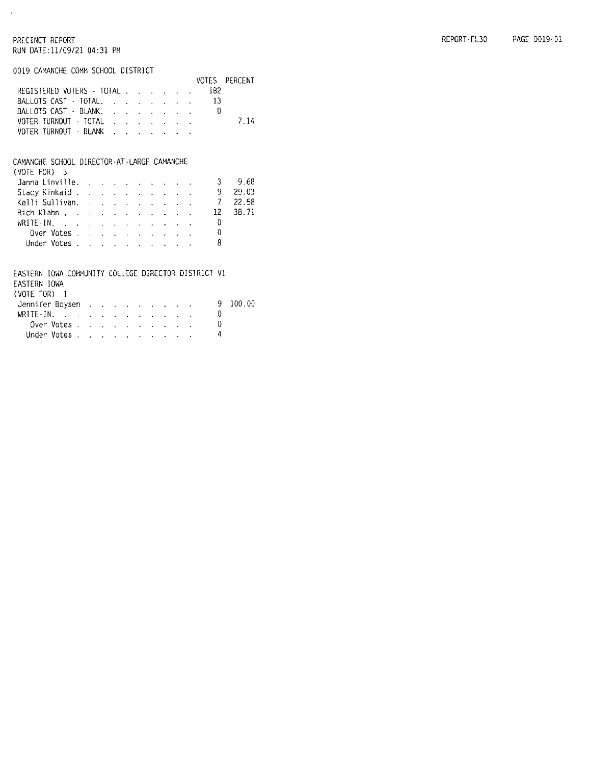$\mathcal{C}$ 

0019 CAMANCHE COMM SCHOOL DISTRICT

|                                     |  |  |  |     | VOTES PERCENT |
|-------------------------------------|--|--|--|-----|---------------|
| REGISTERED VOTERS · TOTAL           |  |  |  | 182 |               |
| BALLOTS CAST - TOTAL. 13            |  |  |  |     |               |
| BALLOTS CAST BLANK, , , , , , , , , |  |  |  |     |               |
| VOTER TURNOUT - TOTAL               |  |  |  |     | 7.14          |
| VOTER TURNOUT - BLANK               |  |  |  |     |               |
|                                     |  |  |  |     |               |

#### CAMANCHE SCHOOL DIRECTOR-AT-LARGE CAMANCHE

| (VOIE FOR) 3                                          |  |  |  |  |   |        |
|-------------------------------------------------------|--|--|--|--|---|--------|
| Janna Linville. $\ldots$ $\ldots$ $\ldots$ $\ldots$ 3 |  |  |  |  |   | - 9.68 |
| Stacy Kinkaid 9                                       |  |  |  |  |   | 29.03  |
| Kelli Sullivan. 7 22.58                               |  |  |  |  |   |        |
| Rich Klahn 12 38.71                                   |  |  |  |  |   |        |
| WRITE-IN, $\cdots$ , $\cdots$                         |  |  |  |  |   |        |
| Over Votes, $\ldots$ , $\ldots$ , $\ldots$            |  |  |  |  |   |        |
| Under Votes                                           |  |  |  |  | 8 |        |

### EASTERN IOWA COMMUNITY COLLEGE DIRECTOR DISTRICT VI

EASTERN IOWA

|  | (VOIE FOR) |  |  |
|--|------------|--|--|
|  |            |  |  |

| (VOIL FUK) L                                                    |  |  |  |  |  |              |
|-----------------------------------------------------------------|--|--|--|--|--|--------------|
| Jennifer Boysen                                                 |  |  |  |  |  | $9 - 100.00$ |
| WRITE-IN. $\ldots$ $\ldots$ $\ldots$ $\ldots$ $\ldots$ $\ldots$ |  |  |  |  |  |              |
| Over Votes                                                      |  |  |  |  |  |              |
| Under Votes                                                     |  |  |  |  |  |              |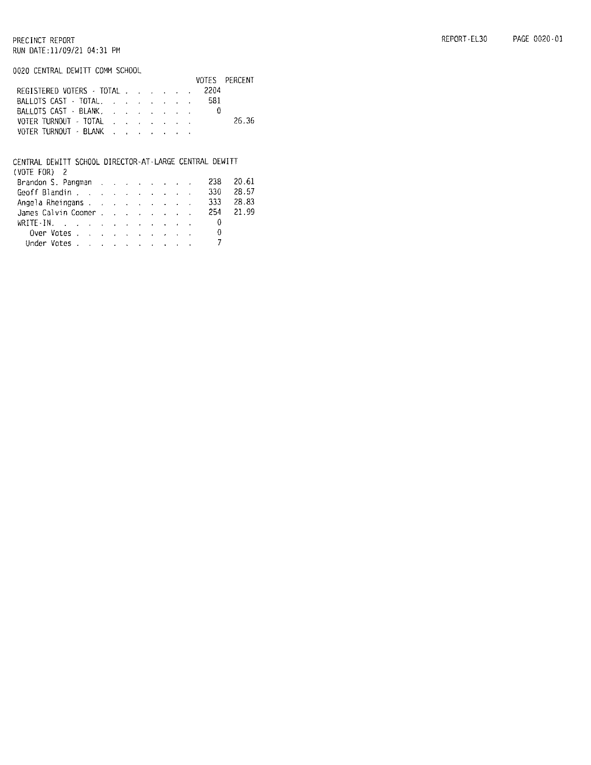0020 CENTRAL DEWITT COMM SCHOOL

|                                       |  |  |  |     | VOTES PERCENT |
|---------------------------------------|--|--|--|-----|---------------|
| REGISTERED VOTERS TOTAL 2204          |  |  |  |     |               |
| BALLOTS CAST · TOTAL,                 |  |  |  | 581 |               |
| BALLOTS CAST - BLANK,                 |  |  |  |     |               |
|                                       |  |  |  |     | -26.36        |
| VOTER TURNOUT - BLANK , , , , , , , , |  |  |  |     |               |

#### CENTRAL DEWITT SCHOOL DIRECTOR-AT-LARGE CENTRAL DEWITT

| (VOTE FOR) 2                                     |  |  |  |  |      |           |
|--------------------------------------------------|--|--|--|--|------|-----------|
| Brandon S. Pangman                               |  |  |  |  | -238 | 20.61     |
| Geoff Blandin 330                                |  |  |  |  |      | -28.57    |
| Angela Rheingans 333                             |  |  |  |  |      | -28.83    |
| James Calvin Coomer                              |  |  |  |  |      | 254 21.99 |
| WRITE-IN. 0                                      |  |  |  |  |      |           |
| Over Votes $\ldots$ $\ldots$ $\ldots$ $\ldots$ 0 |  |  |  |  |      |           |
| Under Votes                                      |  |  |  |  |      |           |
|                                                  |  |  |  |  |      |           |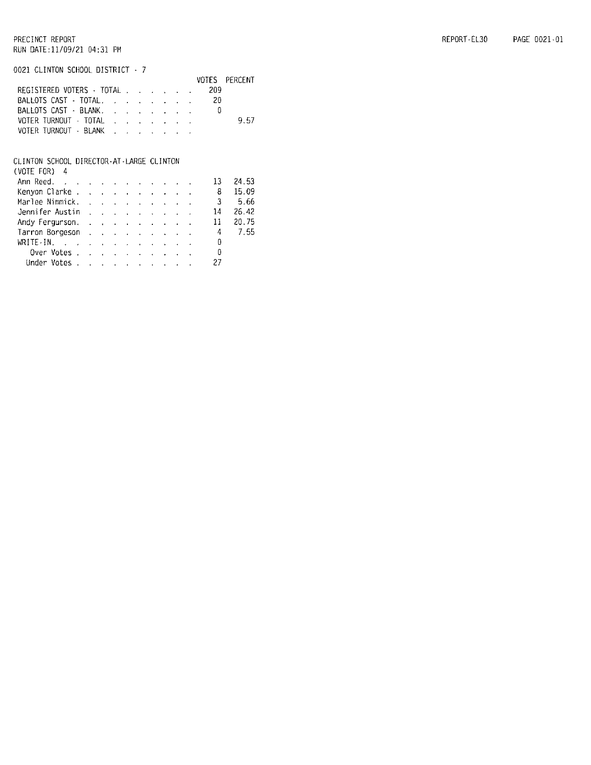0021 CLINTON SCHOOL DISTRICT - 7

|                       |                                       |  |  |  |     | VOTES PERCENT |
|-----------------------|---------------------------------------|--|--|--|-----|---------------|
|                       | REGISTERED VOTERS · TOTAL             |  |  |  | 209 |               |
|                       | BALLOTS CAST TOTAL , , , , , , ,      |  |  |  | 20  |               |
|                       | BALLOTS CAST · BLANK, , , , , , , , , |  |  |  | B   |               |
|                       | VOTER TURNOUT - TOTAL                 |  |  |  |     | 9.57          |
| VOTER TURNOUT - BLANK |                                       |  |  |  |     |               |
|                       |                                       |  |  |  |     |               |

#### CLINTON SCHOOL DIRECTOR-AT-LARGE CLINTON

| (VOTE FOR) 4                                                                         |  |  |  |  |    |       |
|--------------------------------------------------------------------------------------|--|--|--|--|----|-------|
| Ann Reed.                                                                            |  |  |  |  | 13 | 24.53 |
| Kenyon Clarke.                                                                       |  |  |  |  | 8  | 15.09 |
| Marlee Nimmick.                                                                      |  |  |  |  | 3  | -5.66 |
| Jennifer Austin                                                                      |  |  |  |  | 14 | 26.42 |
| Andy Fergurson, and a subset of the state of the American American American American |  |  |  |  | 11 | 20.75 |
| Tarron Borgeson                                                                      |  |  |  |  | 4  | 7.55  |
| WRITE-IN. $\cdots$ $\cdots$ $\cdots$                                                 |  |  |  |  | 0  |       |
| Over Votes                                                                           |  |  |  |  | 0  |       |
| Under Votes                                                                          |  |  |  |  | 27 |       |
|                                                                                      |  |  |  |  |    |       |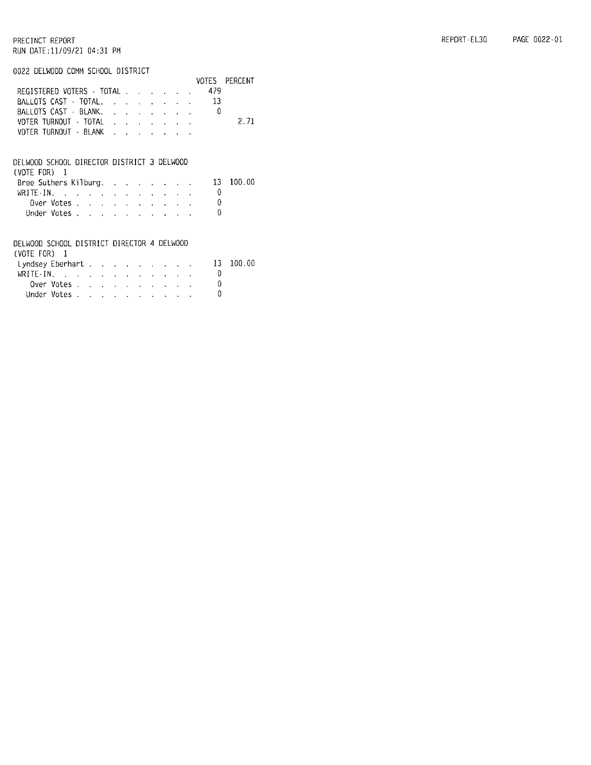0022 DELWOOD COMM SCHOOL DISTRICT

|                                                                 |            |  |  |                           |  |                                 |  | VOTES | PERCENT |
|-----------------------------------------------------------------|------------|--|--|---------------------------|--|---------------------------------|--|-------|---------|
| REGISTERED VOTERS $\cdot$ TOTAL $\ldots$                        |            |  |  |                           |  |                                 |  | 479   |         |
| BALLOTS CAST - TOTAL.                                           |            |  |  |                           |  | and a state of the state of the |  | 13    |         |
| BALLOTS CAST - BLANK.                                           |            |  |  |                           |  |                                 |  | n     |         |
| VOTER TURNOUT · TOTAL                                           |            |  |  |                           |  |                                 |  |       | 2.71    |
| VOTER TURNOUT - BLANK                                           |            |  |  |                           |  |                                 |  |       |         |
|                                                                 |            |  |  |                           |  |                                 |  |       |         |
| DELWOOD SCHOOL DIRECTOR DISTRICT 3 DELWOOD                      |            |  |  |                           |  |                                 |  |       |         |
| (VOTE FOR)                                                      | - 1        |  |  |                           |  |                                 |  |       |         |
| Bree Suthers Kilburg.                                           |            |  |  |                           |  |                                 |  | 13.   | 100.00  |
| WRITE-IN, $\cdots$ $\cdots$ $\cdots$ $\cdots$ $\cdots$ $\cdots$ |            |  |  |                           |  |                                 |  | 0     |         |
|                                                                 | Over Votes |  |  |                           |  |                                 |  | 0     |         |
| Under Votes.                                                    |            |  |  |                           |  |                                 |  | 0     |         |
|                                                                 |            |  |  |                           |  |                                 |  |       |         |
| DELWOOD SCHOOL DISTRICT DIRECTOR 4 DELWOOD                      |            |  |  |                           |  |                                 |  |       |         |
| $(VOTE FOR)$ 1                                                  |            |  |  |                           |  |                                 |  |       |         |
| Lyndsey Eberhart                                                |            |  |  |                           |  |                                 |  | 13    | 100.00  |
| $WRITE-IN.$ $\ldots$ $\ldots$                                   |            |  |  | $\mathbf{z} = \mathbf{z}$ |  |                                 |  | 0     |         |
|                                                                 | Over Votes |  |  |                           |  |                                 |  | 0     |         |
| Under Votes                                                     |            |  |  |                           |  |                                 |  | O     |         |
|                                                                 |            |  |  |                           |  |                                 |  |       |         |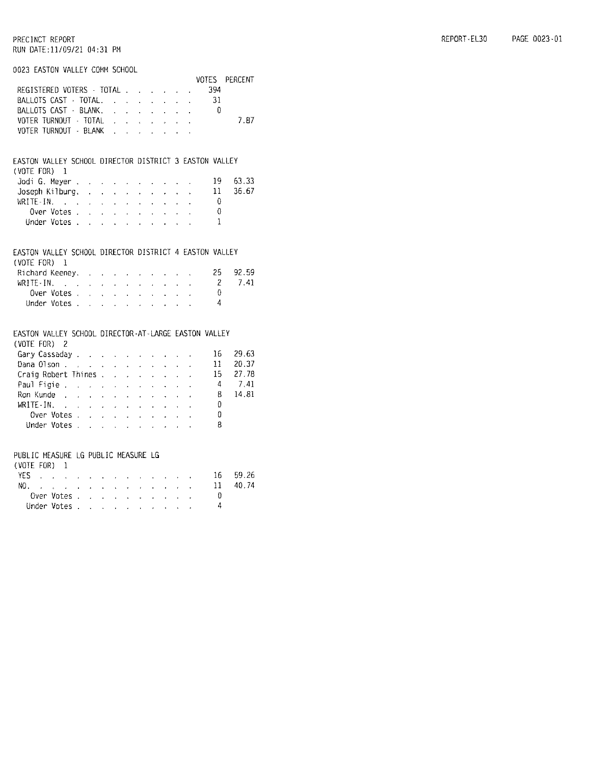#### 0023 EASTON VALLEY COMM SCHOOL

|                                                        |                                 |                             |                                             |                           |                                                           |                                                                                                       |                              |                                             |                           |                                            | VOTES    | PERCENT |
|--------------------------------------------------------|---------------------------------|-----------------------------|---------------------------------------------|---------------------------|-----------------------------------------------------------|-------------------------------------------------------------------------------------------------------|------------------------------|---------------------------------------------|---------------------------|--------------------------------------------|----------|---------|
| REGISTERED VOTERS - TOTAL                              |                                 |                             |                                             |                           |                                                           |                                                                                                       |                              | $\omega_{\rm{max}}$ and $\omega_{\rm{max}}$ |                           | $\sim$                                     | 394      |         |
| BALLOTS CAST · TOTAL.                                  |                                 |                             |                                             |                           |                                                           | $\sim$                                                                                                | $\mathbf{q}$ .               | $\mathcal{L}^{\text{max}}$                  |                           | $\mathcal{L}^{\pm}$                        | -31      |         |
| BALLOTS CAST - BLANK.                                  |                                 |                             |                                             |                           |                                                           | $\mathbf{r}$                                                                                          | $\mathbf{A}^{\mathrm{eff}}$  | $\mathbf{r}$                                | $\mathbf{A}$              | $\mathbf{r}$                               | - 0      |         |
| VOTER TURNOUT - TOTAL                                  |                                 |                             |                                             |                           |                                                           | $\sim$                                                                                                | $\sim$                       | ¥.                                          |                           | $\mathbf{r} = \mathbf{r} \cdot \mathbf{r}$ |          | 7.87    |
| VOTER TURNOUT - BLANK                                  |                                 |                             |                                             | $\mathbf{r} = \mathbf{r}$ |                                                           | $\sim$                                                                                                | $\mathcal{L}$                | $\ddot{\phantom{0}}$                        |                           |                                            |          |         |
|                                                        |                                 |                             |                                             |                           |                                                           |                                                                                                       |                              |                                             |                           |                                            |          |         |
|                                                        |                                 |                             |                                             |                           |                                                           |                                                                                                       |                              |                                             |                           |                                            |          |         |
| EASTON VALLEY SCHOOL DIRECTOR DISTRICT 3 EASTON VALLEY |                                 |                             |                                             |                           |                                                           |                                                                                                       |                              |                                             |                           |                                            |          |         |
| (VOTE FOR)                                             | 1                               |                             |                                             |                           |                                                           |                                                                                                       |                              |                                             |                           |                                            |          |         |
| Jodi G. Mever .                                        |                                 | $\sim$                      | $\mathbf{r} = \mathbf{r}$                   |                           |                                                           | <b>Contractor</b>                                                                                     | $\mathbf{r} = \mathbf{r}$    | $\mathbf{r}$                                |                           |                                            | 19       | 63.33   |
| Joseph Kilburg. .                                      |                                 |                             | $\mathbf{z}^{(i)}$ .                        |                           | $\mathbf{r} = \mathbf{r} + \mathbf{r}$                    | $\mathcal{L}^{\pm}$                                                                                   | $\mathcal{L}_{\mathrm{max}}$ | $\mathcal{L}^{\pm}$                         | $\ddot{\phantom{0}}$      | l,                                         | 11       | 36.67   |
| WRITE-IN.                                              |                                 | $\ddot{\phantom{0}}$        | $\ddot{\phantom{0}}$                        | $\ddot{\phantom{0}}$      | $\sim$                                                    | $\ddot{\phantom{0}}$                                                                                  | ¥.                           |                                             | $\ddot{\phantom{a}}$      |                                            | 0        |         |
| Over Votes .                                           |                                 | $\sim$                      |                                             |                           |                                                           | $\mathcal{L}^{\mathcal{L}}$ , where $\mathcal{L}^{\mathcal{L}}$ , we have $\mathcal{L}^{\mathcal{L}}$ |                              | $\mathbf{A}$                                | $\sim$                    |                                            | 0        |         |
| Under Votes                                            |                                 |                             |                                             |                           |                                                           |                                                                                                       |                              |                                             |                           |                                            | 1        |         |
|                                                        |                                 |                             |                                             |                           |                                                           |                                                                                                       |                              |                                             |                           |                                            |          |         |
|                                                        |                                 |                             |                                             |                           |                                                           |                                                                                                       |                              |                                             |                           |                                            |          |         |
| EASTON VALLEY SCHOOL DIRECTOR DISTRICT 4 EASTON VALLEY |                                 |                             |                                             |                           |                                                           |                                                                                                       |                              |                                             |                           |                                            |          |         |
| (VOTE FOR)                                             | $\blacksquare$                  |                             |                                             |                           |                                                           |                                                                                                       |                              |                                             |                           |                                            |          |         |
| Richard Keeney. .                                      |                                 |                             | $\mathbf{r}$ .                              | $\mathbf{L}$              | $\mathbf{v}$ .                                            | $\ddot{\phantom{0}}$                                                                                  | $\ddot{\phantom{0}}$         |                                             |                           |                                            | 25.      | 92.59   |
| WRITE-IN.                                              |                                 | $\mathbf{r}$ .              | $\mathbf{q}^{\prime}=\mathbf{q}^{\prime}$ . |                           | $\sim 10^{-1}$                                            | $\sim$                                                                                                | $\sim$                       | $\mathbf{L}^{\text{max}}$                   | $\sim$                    |                                            | -2       | 7.41    |
| Over Votes.                                            |                                 | $\mathcal{L}$               |                                             |                           |                                                           | <b>Contract Contract Contract</b>                                                                     | $\mathcal{A}^{\mathrm{max}}$ | and a state                                 |                           | $\mathbf{r}$                               | $\Omega$ |         |
| Under Votes                                            |                                 |                             |                                             |                           |                                                           |                                                                                                       |                              |                                             |                           |                                            | 4        |         |
|                                                        |                                 |                             |                                             |                           |                                                           |                                                                                                       |                              |                                             |                           |                                            |          |         |
|                                                        |                                 |                             |                                             |                           |                                                           |                                                                                                       |                              |                                             |                           |                                            |          |         |
| EASTON VALLEY SCHOOL DIRECTOR-AT-LARGE EASTON VALLEY   |                                 |                             |                                             |                           |                                                           |                                                                                                       |                              |                                             |                           |                                            |          |         |
| (VOTE FOR) 2                                           |                                 |                             |                                             |                           |                                                           |                                                                                                       |                              |                                             |                           |                                            |          |         |
| Gary Cassaday                                          |                                 |                             |                                             |                           | $\omega_{\rm{max}}$ and $\omega_{\rm{max}}$               | $\ddot{\phantom{0}}$                                                                                  | $\ddot{\phantom{a}}$         |                                             |                           |                                            | 16       | 29.63   |
| Dana Olson                                             |                                 | $\mathbb{Z}^{\mathbb{Z}^n}$ | $\mathbf{z}^{(i)}$                          |                           | $\mathcal{L}^{\text{max}}$ and $\mathcal{L}^{\text{max}}$ | $\mathbf{r}$                                                                                          | $\sim$                       | $\mathbf{L}$                                |                           |                                            | 11       | 20.37   |
| Craig Robert Thines                                    |                                 |                             |                                             |                           |                                                           | $\ddot{\phantom{0}}$                                                                                  | ÷.                           | $\ddot{\phantom{0}}$                        | $\cdot$                   | $\cdot$                                    | 15       | 27.78   |
| Paul Figie.                                            |                                 |                             | $\sim 10^{-11}$                             | $\mathbf{r}$              | $\Delta \sim 10$                                          | $\mathbf{r}$                                                                                          | $\ddot{\phantom{a}}$         | $\ddot{\phantom{0}}$                        |                           |                                            | 4        | 7.41    |
| Ron Kunde                                              | $\sim$                          | $\mathbf{A}$                | $\Delta$                                    | $\mathbf{L}$              | $\Delta \sim$                                             | $\mathbf{L}$                                                                                          | $\sim$                       | $\ddot{\phantom{0}}$                        |                           |                                            | 8        | 14.81   |
| $W\left(\text{RITE} \cdot \text{IN}\right)$            |                                 |                             | $\mathbf{r} = \mathbf{r}$                   | $\mathbf{r}$              |                                                           | and a state                                                                                           |                              | $\mathbf{r}$                                | $\mathbf{L}$              |                                            | 0        |         |
| Over Votes.                                            |                                 | $\mathbf{r}$                | $\sim$                                      | $\sim$                    | $\Delta \phi = 0.01$                                      |                                                                                                       | $\sim 10^{-1}$               | $\mathbf{r}$                                | $\mathbf{A}^{\text{max}}$ | l.                                         | Ü        |         |
| Under Votes .                                          |                                 | $\ddot{\phantom{a}}$        | ÷.                                          | $\mathbf{r}$              |                                                           | <b>Contract Contract</b>                                                                              |                              | $\mathcal{L}^{\pm}$                         | $\sim$                    | $\ddot{\phantom{1}}$                       | 8        |         |
|                                                        |                                 |                             |                                             |                           |                                                           |                                                                                                       |                              |                                             |                           |                                            |          |         |
|                                                        |                                 |                             |                                             |                           |                                                           |                                                                                                       |                              |                                             |                           |                                            |          |         |
| PUBLIC MEASURE LG PUBLIC MEASURE LG                    |                                 |                             |                                             |                           |                                                           |                                                                                                       |                              |                                             |                           |                                            |          |         |
| (VOTE FOR) 1                                           |                                 |                             |                                             |                           |                                                           |                                                                                                       |                              |                                             |                           |                                            |          |         |
| Y۴S                                                    |                                 |                             |                                             |                           |                                                           | and a straight and a                                                                                  |                              |                                             |                           |                                            | 16.      | 59.26   |
| NO.<br>$\mathbf{r}$<br>$\Delta \sim 10$                | $\mathbf{z} = \mathbf{z}$<br>÷. | $\mathbf{r}^{(i)}$          | $\mathbf{z}^{(i)}$ .                        | $\mathbf{z} = \mathbf{z}$ |                                                           | $\mathbf{e}^{(i)}$ and $\mathbf{e}^{(i)}$ and                                                         | $\mathbf{a}^{(i)}$ .         | ¥.                                          | $\mathbf{r}$              | $\hat{\bullet}$                            | 11       | 40.74   |
| Over Votes .                                           |                                 | $\overline{a}$              | $\mathbf{r}$                                |                           | $\mathbf{z} = \mathbf{z} \mathbf{z}$ .                    | $\mathcal{L}^{\mathcal{L}}$                                                                           | $\sim$                       | t,                                          |                           |                                            | 0        |         |
| Under Votes .                                          |                                 | $\mathcal{L}^{\mathcal{A}}$ | $\mathbf{r}$                                | $\ddot{\phantom{0}}$      | $\mathbf{r}$                                              | $\cdot$                                                                                               | $\mathbf{A}$                 | $\ddot{\phantom{a}}$                        | $\ddot{\phantom{a}}$      |                                            | 4        |         |
|                                                        |                                 |                             |                                             |                           |                                                           |                                                                                                       |                              |                                             |                           |                                            |          |         |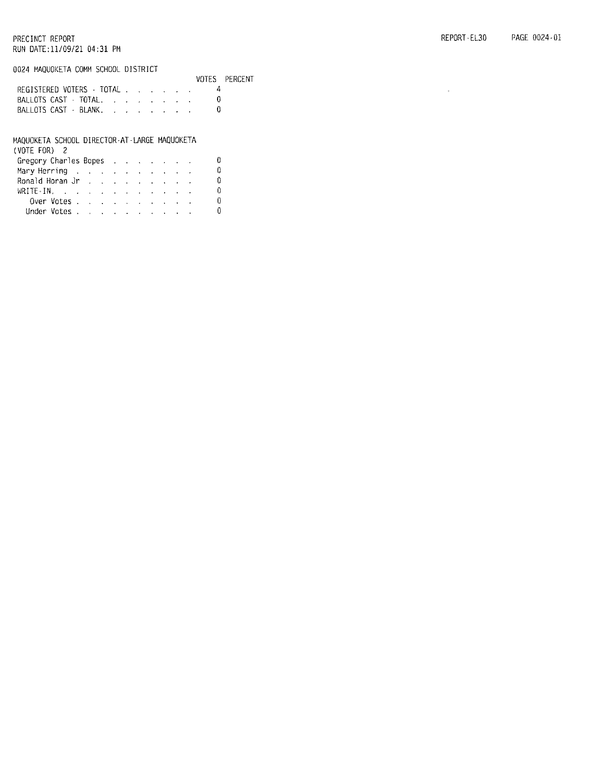#### 0024 MAQUOKETA COMM SCHOOL DISTRICT

| UULA TIKUUUKLIA UUNI JUHUUL DIJIINIUT |                           |  |  |  |  |  |               |
|---------------------------------------|---------------------------|--|--|--|--|--|---------------|
|                                       |                           |  |  |  |  |  | VOTES PERCENT |
|                                       | REGISTERED VOTERS - TOTAL |  |  |  |  |  |               |
|                                       | BALLOTS CAST - TOTAL.     |  |  |  |  |  |               |
|                                       | BALLOTS CAST - BLANK      |  |  |  |  |  |               |
|                                       |                           |  |  |  |  |  |               |

| MAQUOKETA SCHOOL DIRECTOR-AT-LARGE MAQUOKETA |  |  |  |  |    |
|----------------------------------------------|--|--|--|--|----|
| (VOTE FOR) 2                                 |  |  |  |  |    |
| Gregory Charles Bopes                        |  |  |  |  | 0  |
| Mary Herring                                 |  |  |  |  | ∩  |
| Ronald Horan Jr (ed. ed. ed. ed. ed. ed.     |  |  |  |  | D. |
| WRITE-IN.                                    |  |  |  |  | Đ. |
| Over Votes.                                  |  |  |  |  | n  |
| Under Votes                                  |  |  |  |  | n. |

 $\bar{z}$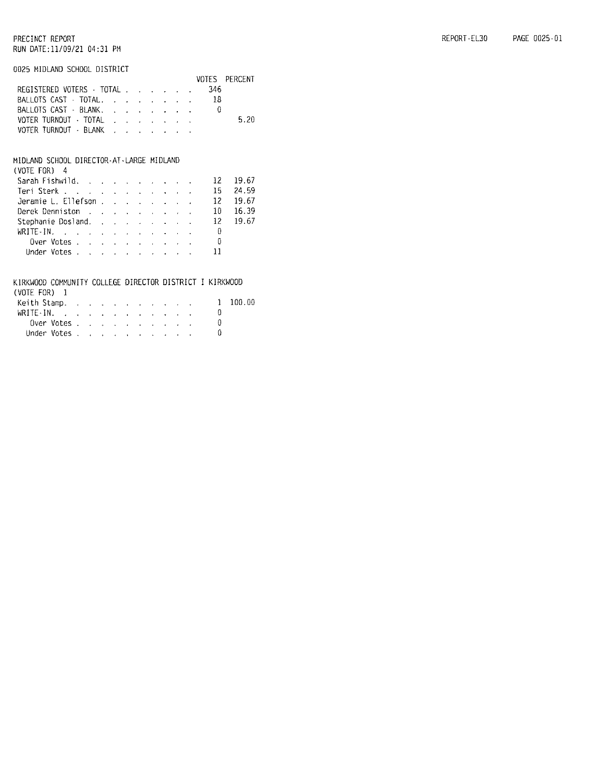#### 0025 MIDLAND SCHOOL DISTRICT

|  | JUCI MIULINIU JUMUUL DIJIMIUT |  |  |  |  |  |                                   |               |
|--|-------------------------------|--|--|--|--|--|-----------------------------------|---------------|
|  |                               |  |  |  |  |  |                                   | VOTES PERCENT |
|  | REGISTERED VOTERS · TOTAL     |  |  |  |  |  | -346                              |               |
|  |                               |  |  |  |  |  |                                   |               |
|  |                               |  |  |  |  |  | BALLOTS CAST - BLANK.             |               |
|  |                               |  |  |  |  |  | VOTER TURNOUT TOTAL , , , , , , , | 5.20          |
|  | VOTER TURNOUT - BLANK         |  |  |  |  |  |                                   |               |
|  |                               |  |  |  |  |  |                                   |               |

#### MIDLAND SCHOOL DIRECTOR-AT-LARGE MIDLAND

| (VUIE FUR) 4                                                        |  |  |  |  |  |        |
|---------------------------------------------------------------------|--|--|--|--|--|--------|
| Sarah Fishwild. 12                                                  |  |  |  |  |  | -19.67 |
| Teri Sterk $\ldots$ $\ldots$ $\ldots$ $\ldots$ $\ldots$ $\ldots$ 15 |  |  |  |  |  | 24.59  |
| Jeramie L. Ellefson 12 19.67                                        |  |  |  |  |  |        |
| Derek Denniston 10                                                  |  |  |  |  |  | -16.39 |
| Stephanie Dosland. 12 19.67                                         |  |  |  |  |  |        |
| WRITE-IN. 0                                                         |  |  |  |  |  |        |
| Over Votes $\ldots$ $\ldots$ $\ldots$ $\ldots$ $\ldots$             |  |  |  |  |  |        |
| Under Votes $\cdots$ $\cdots$ $\cdots$ $\cdots$ $\cdots$ 11         |  |  |  |  |  |        |
|                                                                     |  |  |  |  |  |        |

### KIRKWOOD COMMUNITY COLLEGE DIRECTOR DISTRICT I KIRKWOOD

| (VOIE FOR) – I                                |  |  |  |  |  |              |
|-----------------------------------------------|--|--|--|--|--|--------------|
| Keith Stamp.                                  |  |  |  |  |  | $1 - 100.00$ |
| WRITE-IN. $\ldots$ $\ldots$ $\ldots$ $\ldots$ |  |  |  |  |  |              |
| Over Votes                                    |  |  |  |  |  |              |
| Under Votes                                   |  |  |  |  |  |              |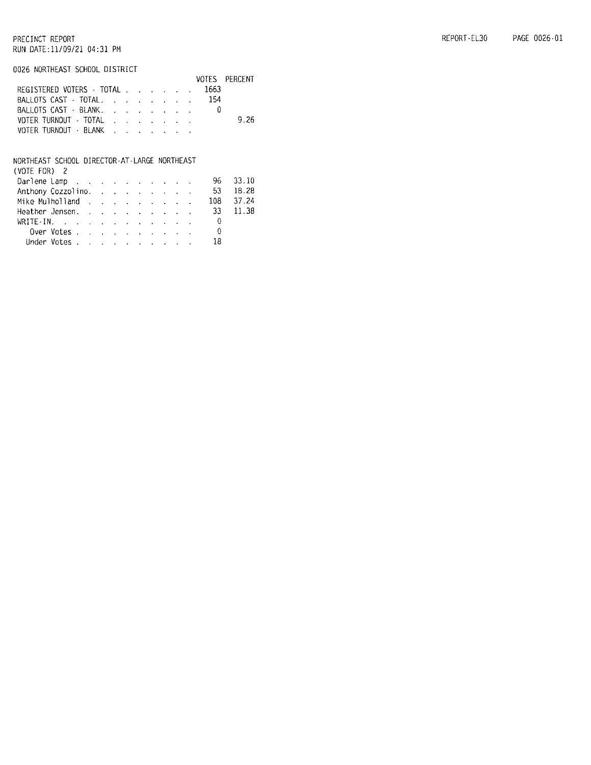#### REPORT-EL30 PAGE 0026-01

#### PRECINCT REPORT RUN DATE:11/09/21 04:31 PM

#### 0026 NORTHEAST SCHOOL DISTRICT

|                                |  |  |  | VOTES PERCENT |
|--------------------------------|--|--|--|---------------|
| REGISTERED VOTERS · TOTAL 1663 |  |  |  |               |
| BALLOTS CAST TOTAL. 154        |  |  |  |               |
| BALLOTS CAST - BLANK.          |  |  |  |               |
| VOTER TURNOUT - TOTAL          |  |  |  | 9.26          |
| VOTER TURNOUT · BLANK          |  |  |  |               |

## NORTHEAST SCHOOL DIRECTOR-AT-LARGE NORTHEAST<br>(VOTE FOR) 2

| (VUIL FUK) Z                       |                                                  |  |  |  |  |  |  |
|------------------------------------|--------------------------------------------------|--|--|--|--|--|--|
| Darlene Lamp 96 33.10              |                                                  |  |  |  |  |  |  |
| Anthony Cozzolino. 53 18.28        |                                                  |  |  |  |  |  |  |
| Mike Mulholland 108 37.24          |                                                  |  |  |  |  |  |  |
| Heather Jensen. 33 11.38           |                                                  |  |  |  |  |  |  |
| $WRITE-IN$ , , , , , , , , , , , 0 |                                                  |  |  |  |  |  |  |
|                                    | Over Votes $\ldots$ $\ldots$ $\ldots$ $\ldots$ 0 |  |  |  |  |  |  |
|                                    | Under Votes 18                                   |  |  |  |  |  |  |
|                                    |                                                  |  |  |  |  |  |  |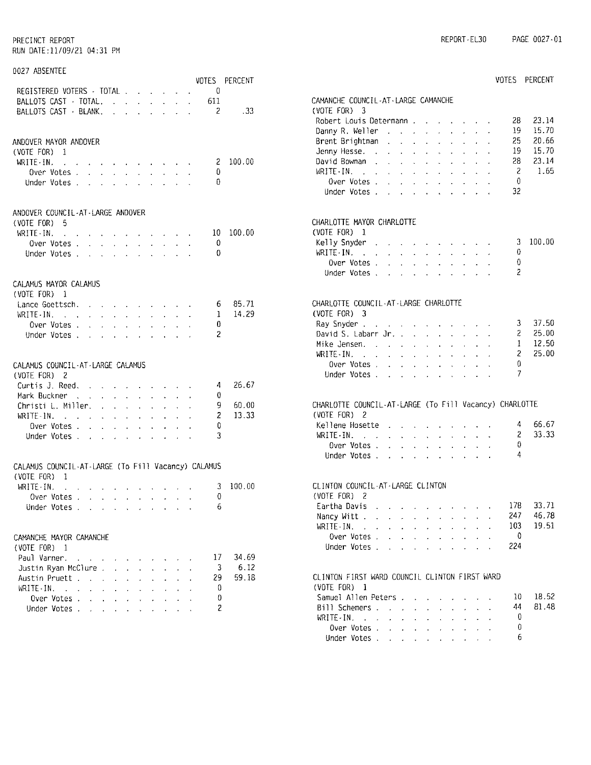## 0027 ABSENTEE

|                                                                                                          |                     |                                          |                                                                 |                                |                                                                                                                                                 |                                         |                                                         |                | VOTES PERCENT |
|----------------------------------------------------------------------------------------------------------|---------------------|------------------------------------------|-----------------------------------------------------------------|--------------------------------|-------------------------------------------------------------------------------------------------------------------------------------------------|-----------------------------------------|---------------------------------------------------------|----------------|---------------|
| REGISTERED VOTERS - TOTAL                                                                                |                     |                                          |                                                                 |                                |                                                                                                                                                 |                                         |                                                         | -0             |               |
|                                                                                                          |                     |                                          | $\mathbf{r}^{(1)}$                                              | $\mathbf{r}^{(1)}$             |                                                                                                                                                 | $\mathcal{L}^{\text{max}}_{\text{max}}$ | $\mathcal{L}^{\text{max}}$                              | -611           |               |
| BALLOTS CAST - TOTAL.<br>BALLOTS CAST - BLANK.                                                           |                     |                                          | $\mathbf{r}$                                                    | $\ddot{\phantom{a}}$           |                                                                                                                                                 | $\mathcal{L}^{\text{max}}$              | $\sim 10^{-11}$                                         | $\overline{2}$ | . 33          |
|                                                                                                          |                     |                                          |                                                                 |                                |                                                                                                                                                 |                                         |                                                         |                |               |
| ANDOVER MAYOR ANDOVER                                                                                    |                     |                                          |                                                                 |                                |                                                                                                                                                 |                                         |                                                         |                |               |
| (VOTE FOR) 1                                                                                             |                     |                                          |                                                                 |                                |                                                                                                                                                 |                                         |                                                         |                |               |
| WRITE IN.<br>والمحارب والمحارب والمحارب والمحارب والمحارب والمحارب                                       |                     |                                          |                                                                 |                                |                                                                                                                                                 |                                         |                                                         | 2              | 100.00        |
| Over Votes                                                                                               |                     |                                          |                                                                 |                                | $\mathbf{u}^{\prime}$ , $\mathbf{u}^{\prime}$ , $\mathbf{u}^{\prime}$ , $\mathbf{u}^{\prime}$ , $\mathbf{u}^{\prime}$ , $\mathbf{u}^{\prime}$ , |                                         |                                                         | 0.             |               |
| Under Votes                                                                                              | $\mathbf{v}$        | $\ddot{\phantom{0}}$<br>$\Delta \sim 10$ | $\ddot{\phantom{0}}$                                            | $\ddot{\phantom{0}}$           | $\sim$                                                                                                                                          |                                         |                                                         | 0.             |               |
| ANDOVER COUNCIL-AT-LARGE ANDOVER                                                                         |                     |                                          |                                                                 |                                |                                                                                                                                                 |                                         |                                                         |                |               |
| $(VOTE FOR)$ 5                                                                                           |                     |                                          |                                                                 |                                |                                                                                                                                                 |                                         |                                                         |                |               |
| WRITE-IN.<br>and a series of the contract of the series of                                               |                     |                                          |                                                                 |                                |                                                                                                                                                 |                                         |                                                         | - 10 -         | 100.00        |
| Over Votes                                                                                               |                     |                                          |                                                                 |                                |                                                                                                                                                 |                                         |                                                         | - 0            |               |
| Under Votes                                                                                              |                     |                                          |                                                                 |                                | and a strategic control of                                                                                                                      |                                         |                                                         | 0              |               |
|                                                                                                          |                     |                                          |                                                                 |                                |                                                                                                                                                 |                                         |                                                         |                |               |
| CALAMUS MAYOR CALAMUS                                                                                    |                     |                                          |                                                                 |                                |                                                                                                                                                 |                                         |                                                         |                |               |
| (VOTE FOR) 1                                                                                             |                     |                                          |                                                                 |                                |                                                                                                                                                 |                                         |                                                         |                |               |
| Lance Goettsch.                                                                                          |                     |                                          |                                                                 |                                |                                                                                                                                                 |                                         | $\bullet$ .                                             | 6              | 85.71         |
| WRITE-IN.                                                                                                |                     |                                          | $\mathbf{r}$ and $\mathbf{r}$ and $\mathbf{r}$ and $\mathbf{r}$ | $\sim$                         | $\sim 10^{-11}$                                                                                                                                 | $\mathcal{L}^{\pm}$                     | $\sim$                                                  | $\mathbf{1}$   | 14.29         |
| Over Votes                                                                                               |                     |                                          |                                                                 |                                |                                                                                                                                                 |                                         |                                                         | 0.             |               |
| Under Votes                                                                                              |                     |                                          |                                                                 |                                |                                                                                                                                                 |                                         |                                                         | 2              |               |
|                                                                                                          |                     |                                          |                                                                 |                                |                                                                                                                                                 |                                         |                                                         |                |               |
| CALAMUS COUNCIL-AT-LARGE CALAMUS<br>(VOTE FOR) 2                                                         |                     |                                          |                                                                 |                                |                                                                                                                                                 |                                         |                                                         |                |               |
| Curtis J. Reed.                                                                                          |                     |                                          | $\mathbf{z} = \mathbf{z}$                                       |                                |                                                                                                                                                 |                                         | and the company of the com-                             | 4              | 26.67         |
| Mark Buckner .                                                                                           |                     |                                          | and a strategic and a strategic                                 |                                | $\mathbf{R}^{(1)}$ .                                                                                                                            |                                         | $\mathbf{A}^{\mathrm{H}}$ and $\mathbf{A}^{\mathrm{H}}$ | 0              |               |
| Christi L. Miller.                                                                                       |                     |                                          |                                                                 | $\Delta \sim 100$ km s $^{-1}$ | $\mathbf{r}$                                                                                                                                    |                                         | $\omega_{\rm{max}}$                                     | 9.             | 60.00         |
| $WRITE - IN.$                                                                                            |                     | $\mathbf{a}^{(1)}$ .                     | $\mathbf{q}^{\mathrm{max}}$                                     | $\omega_{\rm{eff}}=0.01$       | $\mathbf{r}$                                                                                                                                    | $\mathbf{L}^{\text{max}}$               |                                                         | 2              | 13.33         |
| Over Votes .<br>$\mathcal{L}^{\mathcal{L}}$                                                              | $\mathcal{L}^{(1)}$ | $\mathcal{L}^{\text{max}}$               | $\mathbf{v}^{(i)}$<br>$\mathbf{r}$                              | $\mathcal{L}^{(1)}$            | $\mathbf{A}$                                                                                                                                    | $\sim$                                  |                                                         | 0              |               |
| Under Votes                                                                                              |                     |                                          |                                                                 |                                |                                                                                                                                                 |                                         |                                                         | 3              |               |
|                                                                                                          |                     |                                          |                                                                 |                                |                                                                                                                                                 |                                         |                                                         |                |               |
| CALAMUS COUNCIL-AT-LARGE (To Fill Vacancy) CALAMUS                                                       |                     |                                          |                                                                 |                                |                                                                                                                                                 |                                         |                                                         |                |               |
| (VOTE FOR)<br>1                                                                                          |                     |                                          |                                                                 |                                |                                                                                                                                                 |                                         |                                                         |                |               |
| WRITE-IN.<br>$\mathcal{A}^{\mathcal{A}}$ and $\mathcal{A}^{\mathcal{A}}$ and $\mathcal{A}^{\mathcal{A}}$ |                     |                                          | $\sim 10^{-10}$                                                 |                                |                                                                                                                                                 |                                         |                                                         | 3.             | 100.00        |
| Over Votes                                                                                               |                     |                                          |                                                                 |                                |                                                                                                                                                 |                                         |                                                         | 0              |               |
| Under Votes                                                                                              |                     |                                          |                                                                 |                                |                                                                                                                                                 |                                         |                                                         | -6             |               |
| CAMANCHE MAYOR CAMANCHE                                                                                  |                     |                                          |                                                                 |                                |                                                                                                                                                 |                                         |                                                         |                |               |
| (VOTE FOR) 1                                                                                             |                     |                                          |                                                                 |                                |                                                                                                                                                 |                                         |                                                         |                |               |
| Paul Varner.                                                                                             |                     |                                          |                                                                 |                                |                                                                                                                                                 |                                         |                                                         | 17.            | 34.69         |
| Justin Ryan McClure .                                                                                    |                     | Ĭ.<br>$\ddot{\phantom{0}}$               | Ĭ.                                                              | l.                             |                                                                                                                                                 |                                         |                                                         | 3              | 6.12          |
| Austin Pruett                                                                                            |                     |                                          |                                                                 |                                |                                                                                                                                                 |                                         |                                                         | 29.            | 59.18         |
|                                                                                                          |                     | $\ddot{\phantom{0}}$                     |                                                                 |                                |                                                                                                                                                 |                                         |                                                         |                |               |
| WRITE-IN.<br>$\mathbf{r}^{\prime}$                                                                       | $\mathbf{r}$        |                                          |                                                                 |                                |                                                                                                                                                 |                                         |                                                         | 0              |               |
| Over Votes .<br>$\mathbf{A}^{\text{max}}$                                                                | $\mathbf{r}$        | $\mathbf{A}$<br>$\ddot{\phantom{0}}$     | $\ddot{\phantom{0}}$                                            | ¥.                             | $\ddot{\phantom{0}}$                                                                                                                            |                                         |                                                         | 0              |               |
| Under Votes                                                                                              |                     | $\mathcal{L}^{\text{max}}$               | $\ddot{\phantom{0}}$<br>$\mathbf{z}^{(i)}$ .                    | $\mathcal{L}^{\text{max}}$     | $\ddot{\phantom{0}}$                                                                                                                            | $\ddot{\phantom{0}}$                    |                                                         | 2              |               |

|                                                                                             |               |                                                                                    |                 |                                                                                                                               |                 |                                                                           |                             |                             |                                                             |                           | VOTES   | PERCENT |
|---------------------------------------------------------------------------------------------|---------------|------------------------------------------------------------------------------------|-----------------|-------------------------------------------------------------------------------------------------------------------------------|-----------------|---------------------------------------------------------------------------|-----------------------------|-----------------------------|-------------------------------------------------------------|---------------------------|---------|---------|
| CAMANCHE COUNCIL-AT-LARGE CAMANCHE<br>(VOTE FOR) $3$                                        |               |                                                                                    |                 |                                                                                                                               |                 |                                                                           |                             |                             |                                                             |                           |         |         |
|                                                                                             |               |                                                                                    |                 |                                                                                                                               |                 |                                                                           |                             |                             |                                                             |                           |         |         |
| Robert Louis Determann                                                                      |               |                                                                                    |                 |                                                                                                                               |                 |                                                                           |                             |                             |                                                             |                           | 28      | 23.14   |
| Danny R. Weller                                                                             |               |                                                                                    |                 |                                                                                                                               |                 |                                                                           |                             |                             | $\epsilon$ . The $\epsilon$                                 | $\mathcal{A}$             | 19      | 15.70   |
| Brent Brightman                                                                             |               | $\ddot{\phantom{0}}$                                                               |                 | $\Delta \phi = \Delta \phi$                                                                                                   | $\sim 10$       | $\epsilon$                                                                | $\ddot{\phantom{0}}$        | $\mathcal{L}^{\mathcal{L}}$ | $\mathbf{r}$                                                |                           | 25      | 20.66   |
| Jenny Hesse. .                                                                              |               | $\ddot{\phantom{0}}$                                                               | $\sim$          | $\mathcal{L}^{\text{max}}$                                                                                                    |                 | $\mathbf{v}$ .                                                            | $\sim$                      | $\sim$                      | $\sim$                                                      | $\ddot{\phantom{a}}$      | 19.     | 15.70   |
| David Bowman                                                                                |               |                                                                                    |                 |                                                                                                                               |                 |                                                                           |                             |                             |                                                             |                           | 28      | 23.14   |
| WRITE IN.<br>$\mathcal{A}^{\mathcal{A}}$ , $\mathcal{A}^{\mathcal{A}}$ ,                    |               |                                                                                    |                 | $\mathbf{z} = \mathbf{z} + \mathbf{z}$ , where $\mathbf{z} = \mathbf{z}$                                                      |                 |                                                                           | $\mathbf{q}^{\mathrm{max}}$ | $\mathbf{r} = \mathbf{r}$   | $\mathbf{r}$                                                | $\mathcal{A}$             | -2      | 1.65    |
| Over Votes .                                                                                |               |                                                                                    |                 |                                                                                                                               |                 | $\mathcal{L}^{\pm}$                                                       | $\epsilon_{\rm{eff}}$       | $\mathbf{a}^{\mathrm{max}}$ | $\sim$                                                      | $\mathbf{r}$              | - 0     |         |
| Over Votes<br>Under Votes                                                                   |               |                                                                                    |                 |                                                                                                                               |                 |                                                                           | <b>Service</b>              | $\sim$                      | $\ddot{\phantom{0}}$                                        | $\ddot{\phantom{a}}$      | 32      |         |
| CHARLOTTE MAYOR CHARLOTTE<br>$(VOTE FOR)$ 1                                                 |               |                                                                                    |                 |                                                                                                                               |                 |                                                                           |                             |                             |                                                             |                           |         |         |
| Kelly Snyder                                                                                |               | $\mathcal{A}$ and $\mathcal{A}$ are also becomes the contribution of $\mathcal{A}$ |                 |                                                                                                                               |                 |                                                                           |                             |                             |                                                             |                           | 3       | 100.00  |
| WRITE IN.<br>$\mathcal{A}$ and $\mathcal{A}$ is a set of the set of the $\mathcal{A}$       |               |                                                                                    |                 |                                                                                                                               |                 |                                                                           | $\mathbf{r}$                | $\mathbf{r}$                | $\sim$                                                      | $\sim$                    | 0       |         |
|                                                                                             |               |                                                                                    |                 |                                                                                                                               |                 | $\mathcal{L}_{\mathrm{eff}}$                                              | $\Box$                      | $\mathbf{z}$                |                                                             |                           | 0       |         |
| Over Votes<br>Under Votes                                                                   |               |                                                                                    |                 | <b>Contract Contract Contract Contract</b>                                                                                    |                 |                                                                           |                             | <b>Carlos</b>               | $\mathbf{r}$                                                | $\ddot{\phantom{a}}$      | 2       |         |
|                                                                                             |               |                                                                                    |                 |                                                                                                                               |                 |                                                                           |                             |                             |                                                             |                           |         |         |
| CHARLOTTE COUNCIL-AT-LARGE CHARLOTTE                                                        |               |                                                                                    |                 |                                                                                                                               |                 |                                                                           |                             |                             |                                                             |                           |         |         |
| (VOTE FOR) 3                                                                                |               |                                                                                    |                 |                                                                                                                               |                 |                                                                           |                             |                             |                                                             |                           |         |         |
| Ray Snyder                                                                                  |               |                                                                                    |                 |                                                                                                                               |                 |                                                                           |                             |                             |                                                             |                           | 3       | 37.50   |
| David S. Labarr Jr.                                                                         |               |                                                                                    |                 |                                                                                                                               |                 |                                                                           |                             |                             |                                                             | $\omega_{\rm{eff}}=2.0$   | 2       | 25.00   |
| Mike Jensen.                                                                                |               |                                                                                    |                 |                                                                                                                               |                 | $\mathcal{A}^{\mathcal{A}}$                                               | $\mathbf{r}$                | a.                          |                                                             |                           | 1       | 12.50   |
| $WRITE \cdot IN.$                                                                           | $\Delta \phi$ | $\mathbf{A}^{\mathrm{eff}}$                                                        | $\sim 10^{-11}$ | $\sim$                                                                                                                        | $\sim 10^{-11}$ | $\mathbf{r}$                                                              | $\sim 10^{-11}$             | $\ddot{\phantom{a}}$        | $\mathbf{r}$                                                | $\sim$                    | 2       | 25.00   |
| Over Votes                                                                                  |               |                                                                                    |                 |                                                                                                                               |                 |                                                                           |                             | ¥.                          |                                                             | $\mathbf{r} = \mathbf{r}$ | 0       |         |
| Under Votes                                                                                 |               |                                                                                    |                 |                                                                                                                               |                 |                                                                           |                             |                             |                                                             |                           | 7       |         |
| CHARLOTTE COUNCIL-AT-LARGE (To Fill Vacancy) CHARLOTTE                                      |               |                                                                                    |                 |                                                                                                                               |                 |                                                                           |                             |                             |                                                             |                           |         |         |
| (VOTE FOR) 2                                                                                |               |                                                                                    |                 |                                                                                                                               |                 |                                                                           |                             |                             |                                                             |                           |         |         |
| Kellene Hosette                                                                             |               |                                                                                    |                 |                                                                                                                               |                 | $\mathbf{u}^{\prime}$ and $\mathbf{u}^{\prime}$ and $\mathbf{u}^{\prime}$ |                             |                             |                                                             |                           | 4       | 66.67   |
| WRITE IN.                                                                                   |               | $\ddot{\phantom{0}}$                                                               |                 | $\mathbf{r} = \mathbf{r}$                                                                                                     | $\sim 10^{-11}$ |                                                                           | $\mathcal{L}^{\text{max}}$  | $\mathbf{L}$                |                                                             |                           | 2       | 33.33   |
| Over Votes                                                                                  |               | $\ddot{\phantom{a}}$                                                               |                 | and a strain and a strain of the                                                                                              |                 |                                                                           |                             |                             |                                                             | ÷.                        | ₿       |         |
| Under Votes                                                                                 |               |                                                                                    |                 |                                                                                                                               |                 |                                                                           |                             |                             |                                                             |                           | 4       |         |
|                                                                                             |               |                                                                                    |                 |                                                                                                                               |                 |                                                                           |                             |                             |                                                             |                           |         |         |
| CLINTON COUNCIL-AT-LARGE CLINTON<br>(VOTE FOR) 2                                            |               |                                                                                    |                 |                                                                                                                               |                 |                                                                           |                             |                             |                                                             |                           |         |         |
| Eartha Davis.                                                                               |               | $\mathcal{A}=\mathcal{A}=\mathcal{A}=\mathcal{A}=\mathcal{A}=\mathcal{A}$ .        |                 |                                                                                                                               |                 |                                                                           |                             |                             |                                                             |                           | 178     | 33.71   |
| Nancy Witt                                                                                  |               |                                                                                    |                 |                                                                                                                               |                 |                                                                           |                             |                             |                                                             |                           | 247 -   | 46.78   |
| WRITE-IN.<br>$\mathcal{L}(\mathcal{L})$ and $\mathcal{L}(\mathcal{L})$                      |               |                                                                                    |                 | the contract of the contract of the con-                                                                                      |                 |                                                                           |                             |                             |                                                             |                           | $103 -$ | 19.51   |
| Over Votes .                                                                                |               |                                                                                    |                 | $\mathbf{A}^{(1)}$ , $\mathbf{A}^{(2)}$ , $\mathbf{A}^{(3)}$ , $\mathbf{A}^{(4)}$ , $\mathbf{A}^{(5)}$ , $\mathbf{A}^{(6)}$ , |                 |                                                                           |                             |                             | $\mathbf{z} = \mathbf{z} + \mathbf{z}$ , where $\mathbf{z}$ |                           | - 0     |         |
| Under Votes                                                                                 |               |                                                                                    |                 |                                                                                                                               |                 |                                                                           |                             |                             |                                                             |                           | 224     |         |
|                                                                                             |               |                                                                                    |                 |                                                                                                                               |                 |                                                                           |                             |                             |                                                             |                           |         |         |
| CLINTON FIRST WARD COUNCIL CLINTON FIRST WARD<br>(VOTE FOR) 1                               |               |                                                                                    |                 |                                                                                                                               |                 |                                                                           |                             |                             |                                                             |                           |         |         |
| Samuel Allen Peters                                                                         |               |                                                                                    |                 |                                                                                                                               |                 |                                                                           |                             |                             |                                                             |                           | 10      | 18.52   |
| Bill Schemers                                                                               |               |                                                                                    |                 |                                                                                                                               |                 |                                                                           | $\mathbf{a}$                |                             |                                                             |                           | 44      | 81.48   |
| WRITE-IN.<br>$\mathcal{L}(\mathbf{a})$ . The signal properties of $\mathcal{L}(\mathbf{a})$ |               |                                                                                    |                 |                                                                                                                               |                 |                                                                           | $\sim 10^{-1}$              | $\epsilon$ .                |                                                             |                           | 0       |         |
| Over Votes .                                                                                |               |                                                                                    |                 |                                                                                                                               |                 |                                                                           |                             |                             |                                                             |                           | 0       |         |
| Over Votes<br>Under Votes                                                                   |               |                                                                                    |                 |                                                                                                                               |                 |                                                                           |                             |                             | $\mathbf{r}$                                                |                           | 6       |         |
|                                                                                             |               |                                                                                    |                 |                                                                                                                               |                 |                                                                           |                             |                             |                                                             |                           |         |         |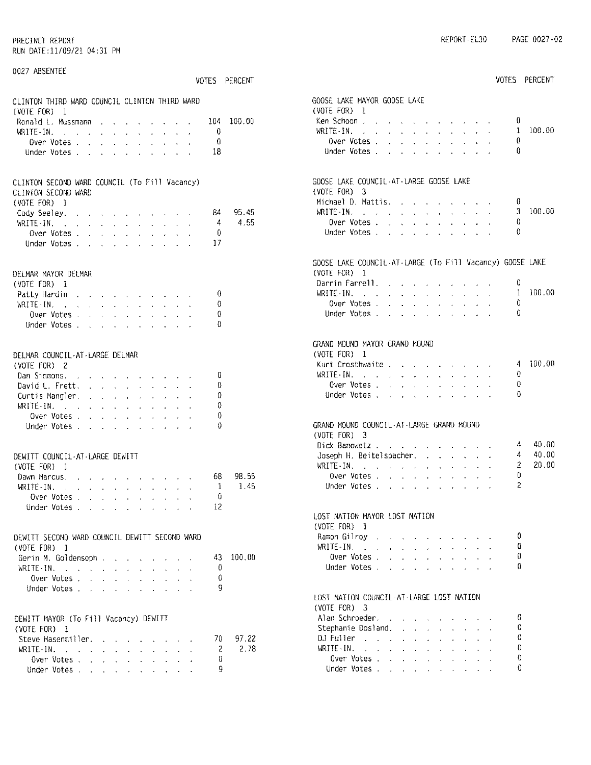| 0027 ABSENTEE                                                                                                                                                                                                                                              |               |                                                                                                                                                                                                                                               |               |        |
|------------------------------------------------------------------------------------------------------------------------------------------------------------------------------------------------------------------------------------------------------------|---------------|-----------------------------------------------------------------------------------------------------------------------------------------------------------------------------------------------------------------------------------------------|---------------|--------|
|                                                                                                                                                                                                                                                            | VOTES PERCENT |                                                                                                                                                                                                                                               | VOTES PERCENT |        |
| CLINTON THIRD WARD COUNCIL CLINTON THIRD WARD                                                                                                                                                                                                              |               | GOOSE LAKE MAYOR GOOSE LAKE<br>(VOTE FOR) 1                                                                                                                                                                                                   |               |        |
| (VOTE FOR) 1                                                                                                                                                                                                                                               |               |                                                                                                                                                                                                                                               | 0             |        |
| Ronald L. Mussmann<br>104                                                                                                                                                                                                                                  |               | Ken Schoon,<br>100.00<br>WRITE IN $\cdots$ $\cdots$                                                                                                                                                                                           | 1             | 100.00 |
| WRITE $\cdot$ IN                                                                                                                                                                                                                                           | 0             |                                                                                                                                                                                                                                               | 0             |        |
| Over Votes $\cdots$ $\cdots$ $\cdots$                                                                                                                                                                                                                      | 0             | Over Votes $\cdots$ $\cdots$ $\cdots$<br>Under Votes                                                                                                                                                                                          | 0             |        |
| Under Votes                                                                                                                                                                                                                                                | 18            |                                                                                                                                                                                                                                               |               |        |
| CLINTON SECOND WARD COUNCIL (To Fill Vacancy)<br>CLINTON SECOND WARD                                                                                                                                                                                       |               | GOOSE LAKE COUNCIL-AT-LARGE GOOSE LAKE<br>$(VOTE FOR)$ 3<br>Michael D. Mattis.                                                                                                                                                                | 0             |        |
| (VOTE FOR) 1                                                                                                                                                                                                                                               | 84            | $WRITE+IN$ , , , , , , , , , , , ,<br>95.45                                                                                                                                                                                                   | 3.            | 100.00 |
| Cody Seeley.<br>والمعارف والمناوب والمتعارف والمتناور                                                                                                                                                                                                      | 4             | Over Votes $\cdots$ $\cdots$ $\cdots$<br>4.55                                                                                                                                                                                                 | Ü             |        |
| WRITE IN $\cdots$                                                                                                                                                                                                                                          | 0             | Under Votes                                                                                                                                                                                                                                   | ₿             |        |
| Over Votes                                                                                                                                                                                                                                                 |               |                                                                                                                                                                                                                                               |               |        |
| Under Votes                                                                                                                                                                                                                                                | 17            |                                                                                                                                                                                                                                               |               |        |
|                                                                                                                                                                                                                                                            |               | GOOSE LAKE COUNCIL-AT-LARGE (To Fill Vacancy) GOOSE LAKE                                                                                                                                                                                      |               |        |
| DELMAR MAYOR DELMAR                                                                                                                                                                                                                                        |               | (VOTE FOR) 1                                                                                                                                                                                                                                  |               |        |
| (VOTE FOR) 1                                                                                                                                                                                                                                               |               | Darrin Farrell. $\ldots$                                                                                                                                                                                                                      | 0             |        |
| Patty Hardin                                                                                                                                                                                                                                               | 0             | WRITE-IN. $\ldots$ $\ldots$ $\ldots$ $\ldots$ $\ldots$                                                                                                                                                                                        | -1            | 100.00 |
| WRITE-IN.<br>$\mathbf{a}$ and $\mathbf{a}$ are a set of the set of the set of the set of the set of the set of the set of the set of the set of the set of the set of the set of the set of the set of the set of the set of the set of the set of         | 0             | Over Votes $\cdots$ $\cdots$ $\cdots$                                                                                                                                                                                                         | 0             |        |
| Over Votes                                                                                                                                                                                                                                                 | $\Omega$      | Under Votes                                                                                                                                                                                                                                   | 0             |        |
| Under Votes                                                                                                                                                                                                                                                | 0             |                                                                                                                                                                                                                                               |               |        |
|                                                                                                                                                                                                                                                            |               | GRAND MOUND MAYOR GRAND MOUND                                                                                                                                                                                                                 |               |        |
| DELMAR COUNCIL AT LARGE DELMAR                                                                                                                                                                                                                             |               | $(VOTE$ FOR $)$ 1                                                                                                                                                                                                                             |               |        |
| (VOTE FOR) 2                                                                                                                                                                                                                                               |               | Kurt Crosthwaite                                                                                                                                                                                                                              | 4             | 100.00 |
| Dan Simmons.<br>the property of the contract of the contract of the contract of the contract of the contract of the contract of                                                                                                                            | 0             | WRITE $\mathbb{N}$ , , , , , , , , , , , ,                                                                                                                                                                                                    | 0             |        |
| David L. Frett.                                                                                                                                                                                                                                            | 0             | Over Votes.                                                                                                                                                                                                                                   | 0             |        |
| Curtis Mangler.<br>and the company of the company of the company of the company of the company of the company of the company of the company of the company of the company of the company of the company of the company of the company of the comp          | 0             | Under Votes                                                                                                                                                                                                                                   | Ð             |        |
| WRITE-IN.                                                                                                                                                                                                                                                  | 0             |                                                                                                                                                                                                                                               |               |        |
| Over Votes                                                                                                                                                                                                                                                 | 0             |                                                                                                                                                                                                                                               |               |        |
| Under Votes                                                                                                                                                                                                                                                | Ð             | GRAND MOUND COUNCIL-AT-LARGE GRAND MOUND                                                                                                                                                                                                      |               |        |
|                                                                                                                                                                                                                                                            |               | $(VOTE FOR)$ 3                                                                                                                                                                                                                                |               |        |
|                                                                                                                                                                                                                                                            |               | Dick Banowetz                                                                                                                                                                                                                                 | 4             | 40.00  |
| DEWITT COUNCIL-AT-LARGE DEWITT                                                                                                                                                                                                                             |               | Joseph H. Beitelspacher.                                                                                                                                                                                                                      | 4             | 40.00  |
| (VOTE FOR) 1                                                                                                                                                                                                                                               |               | WRITE-IN. $\cdot$                                                                                                                                                                                                                             | 2             | 20.00  |
|                                                                                                                                                                                                                                                            |               | 98.55<br>Over Votes                                                                                                                                                                                                                           | $\bf{0}$      |        |
| <b><i>Contract Contract Contract Contract Contract Contract Contract Contract Contract Contract Contract Contract Contract Contract Contract Contract Contract Contract Contract Contract Contract Contract Contract Contract Cont</i></b><br>Dawn Marcus. | 68            |                                                                                                                                                                                                                                               | 2             |        |
| WRITE-IN.<br>and the company of the company of the company of                                                                                                                                                                                              | -1            | -1.45                                                                                                                                                                                                                                         |               |        |
| Over Votes                                                                                                                                                                                                                                                 | 0             |                                                                                                                                                                                                                                               |               |        |
| Under Votes, , , , , , , , , ,                                                                                                                                                                                                                             | -12           | LOST NATION MAYOR LOST NATION                                                                                                                                                                                                                 |               |        |
|                                                                                                                                                                                                                                                            |               | $(VOTE FOR)$ 1                                                                                                                                                                                                                                |               |        |
| DEWITT SECOND WARD COUNCIL DEWITT SECOND WARD                                                                                                                                                                                                              |               | Ramon Gilrov<br>and the second contract of the second contract of the second contract of the second contract of the second contract of the second contract of the second contract of the second contract of the second contract of the second | 0             |        |
| (VOTE FOR) 1                                                                                                                                                                                                                                               |               | WRITE $\cdot$ IN.                                                                                                                                                                                                                             | $\Omega$      |        |
|                                                                                                                                                                                                                                                            | 43 100.00     | Over Votes $\cdots$ $\cdots$ $\cdots$                                                                                                                                                                                                         | 0             |        |
| $WRITE+IN.$ $\ldots$ $\ldots$ $\ldots$ $\ldots$ $\ldots$                                                                                                                                                                                                   | 0             | Under Votes,                                                                                                                                                                                                                                  | 0             |        |
| Over Votes,                                                                                                                                                                                                                                                | 0             |                                                                                                                                                                                                                                               |               |        |
| Under Votes                                                                                                                                                                                                                                                | 9             |                                                                                                                                                                                                                                               |               |        |
|                                                                                                                                                                                                                                                            |               | LOST NATION COUNCIL-AT-LARGE LOST NATION                                                                                                                                                                                                      |               |        |
|                                                                                                                                                                                                                                                            |               | $(VOTE FOR)$ 3                                                                                                                                                                                                                                |               |        |
| DEWITT MAYOR (To Fill Vacancy) DEWITT                                                                                                                                                                                                                      |               | Alan Schroeder,                                                                                                                                                                                                                               | 0             |        |
| $(V0TE FOR)$ 1                                                                                                                                                                                                                                             |               | Stephanie Dosland.                                                                                                                                                                                                                            | 0             |        |
| Steve Hasenmiller.                                                                                                                                                                                                                                         | 70.           | 97.22<br>DJ Fuller                                                                                                                                                                                                                            | 0             |        |
| WRITE-IN. $\cdots$ $\cdots$ $\cdots$                                                                                                                                                                                                                       | 2             | 2.78<br>WRITE IN $\cdots$ $\cdots$                                                                                                                                                                                                            | 0             |        |
| Over Votes.                                                                                                                                                                                                                                                | 0.            | Over Votes, $\cdot$ , $\cdot$ , $\cdot$ , $\cdot$ , $\cdot$ , $\cdot$                                                                                                                                                                         | 0             |        |
| Under Votes                                                                                                                                                                                                                                                | q.            | Under Votes                                                                                                                                                                                                                                   | 0             |        |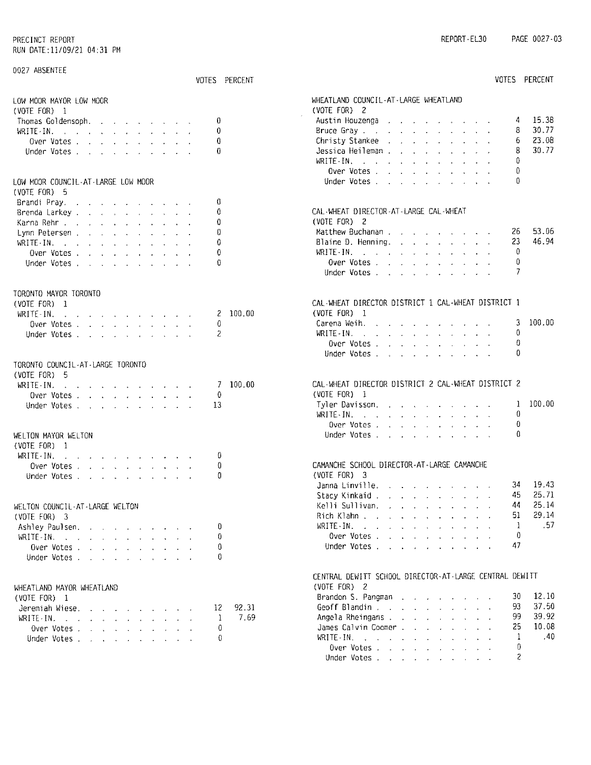| 0027 ABSENTEE                                                                                                                                                                                                                               |               |                                                                                                                                                                                                                                                          |
|---------------------------------------------------------------------------------------------------------------------------------------------------------------------------------------------------------------------------------------------|---------------|----------------------------------------------------------------------------------------------------------------------------------------------------------------------------------------------------------------------------------------------------------|
|                                                                                                                                                                                                                                             | VOTES PERCENT | VOTES PERCENT                                                                                                                                                                                                                                            |
| LOW MOOR MAYOR LOW MOOR                                                                                                                                                                                                                     |               | WHEATLAND COUNCIL-AT-LARGE WHEATLAND<br>(VOTE FOR) $2$                                                                                                                                                                                                   |
| (VOTE FOR) 1                                                                                                                                                                                                                                | 0             | 15.38<br>Austin Houzenga<br>4                                                                                                                                                                                                                            |
| Thomas Goldensoph.<br>WRITE-IN.                                                                                                                                                                                                             | 0             | 30.77<br>Bruce Gray<br>8                                                                                                                                                                                                                                 |
| Over Votes                                                                                                                                                                                                                                  | 0             | 23.08<br>Christy Stankee<br>6                                                                                                                                                                                                                            |
| Under Votes                                                                                                                                                                                                                                 | 0             | 30.77<br>Jessica Heileman                                                                                                                                                                                                                                |
|                                                                                                                                                                                                                                             |               | Ω<br>WRITE-IN, $\cdots$ $\cdots$ $\cdots$                                                                                                                                                                                                                |
|                                                                                                                                                                                                                                             |               | 0<br>Over Votes                                                                                                                                                                                                                                          |
| LOW MOOR COUNCIL-AT-LARGE LOW MOOR                                                                                                                                                                                                          |               | 0<br>Under Votes                                                                                                                                                                                                                                         |
| $(VOTE FOR)$ 5                                                                                                                                                                                                                              |               |                                                                                                                                                                                                                                                          |
| Brandi Pray.                                                                                                                                                                                                                                | 0             |                                                                                                                                                                                                                                                          |
| Brenda Larkey, , , , , , , , , , ,                                                                                                                                                                                                          | 0             | CAL-WHEAT DIRECTOR-AT-LARGE CAL-WHEAT                                                                                                                                                                                                                    |
| Karna Rehr                                                                                                                                                                                                                                  | 0             | (VOTE FOR) 2                                                                                                                                                                                                                                             |
| Lynn Petersen                                                                                                                                                                                                                               | 0             | 53.06<br>26                                                                                                                                                                                                                                              |
| WRITE IN.<br>and the company of the company of the company of the company of the company of the company of the company of the company of the company of the company of the company of the company of the company of the company of the comp | 0             | 46.94<br>23<br>Blaine D. Henning. $\ldots$ $\ldots$ $\ldots$ $\ldots$                                                                                                                                                                                    |
| Over Votes, , , , , , , , , ,                                                                                                                                                                                                               | 0             | 0<br>WRITE IN.<br>the contract of the contract of the contract of the                                                                                                                                                                                    |
| Under Votes                                                                                                                                                                                                                                 | Ű             | 0<br>Over Votes                                                                                                                                                                                                                                          |
|                                                                                                                                                                                                                                             |               | 7<br>Under Votes                                                                                                                                                                                                                                         |
|                                                                                                                                                                                                                                             |               |                                                                                                                                                                                                                                                          |
| TORONTO MAYOR TORONTO                                                                                                                                                                                                                       |               |                                                                                                                                                                                                                                                          |
| $(VOTE FOR)$ 1                                                                                                                                                                                                                              |               | CAL-WHEAT DIRECTOR DISTRICT 1 CAL-WHEAT DISTRICT 1                                                                                                                                                                                                       |
| WRITE-IN.<br>$\mathbf{r}$ , $\mathbf{r}$ , $\mathbf{r}$ , $\mathbf{r}$ , $\mathbf{r}$ , $\mathbf{r}$ , $\mathbf{r}$ , $\mathbf{r}$                                                                                                          | 100.00<br>2   | (VOTE FOR) 1                                                                                                                                                                                                                                             |
| Over Votes,                                                                                                                                                                                                                                 | 0             | 100.00<br>Carena Weih.<br>3<br>$\mathbf{r}$ , $\mathbf{r}$ , $\mathbf{r}$ , $\mathbf{r}$ , $\mathbf{r}$ , $\mathbf{r}$<br>0                                                                                                                              |
| Under Votes.                                                                                                                                                                                                                                | 2             | $WRITE \cdot IN.$<br>and the company of the company of the company of the company of the company of the company of the company of the company of the company of the company of the company of the company of the company of the company of the comp<br>0 |
|                                                                                                                                                                                                                                             |               | Over Votes<br>0                                                                                                                                                                                                                                          |
|                                                                                                                                                                                                                                             |               | Under Votes                                                                                                                                                                                                                                              |
| TORONTO COUNCIL-AT-LARGE TORONTO<br>$(VOTE FOR)$ 5                                                                                                                                                                                          |               |                                                                                                                                                                                                                                                          |
| $WRITE-IN.$                                                                                                                                                                                                                                 | 7 100.00      | CAL-WHEAT DIRECTOR DISTRICT 2 CAL-WHEAT DISTRICT 2                                                                                                                                                                                                       |
| the contract of the contract of the contract of<br>Over Votes                                                                                                                                                                               | 0             | (VOTE FOR) 1                                                                                                                                                                                                                                             |
| Under Votes.                                                                                                                                                                                                                                | 13            | 100.00<br>Tyler Davisson.<br>1                                                                                                                                                                                                                           |
|                                                                                                                                                                                                                                             |               | 0<br>WRITE IN.<br>the contract of the contract of the contract of                                                                                                                                                                                        |
|                                                                                                                                                                                                                                             |               | 0<br>Over Votes                                                                                                                                                                                                                                          |
| WELTON MAYOR WELTON                                                                                                                                                                                                                         |               | 0<br>Under Votes                                                                                                                                                                                                                                         |
| (VOTE FOR) 1                                                                                                                                                                                                                                |               |                                                                                                                                                                                                                                                          |
| WRITE-IN.<br>the contract of the contract of the contract of                                                                                                                                                                                | Ü             |                                                                                                                                                                                                                                                          |
| Over Votes                                                                                                                                                                                                                                  | 0             | CAMANCHE SCHOOL DIRECTOR-AT-LARGE CAMANCHE                                                                                                                                                                                                               |
| Under Votes                                                                                                                                                                                                                                 | 0             | (VOTE FOR) 3                                                                                                                                                                                                                                             |
|                                                                                                                                                                                                                                             |               | 19.43<br>Janna Linville. $\ldots$ $\ldots$ $\ldots$<br>34                                                                                                                                                                                                |
|                                                                                                                                                                                                                                             |               | 25.71<br>45<br>Stacy Kinkaid , , , , , , , , , , , ,                                                                                                                                                                                                     |
| WELTON COUNCIL-AT-LARGE WELTON                                                                                                                                                                                                              |               | 25.14<br>Kelli Sullivan.<br>44                                                                                                                                                                                                                           |
| $(VOTE FOR)$ 3                                                                                                                                                                                                                              |               | 29.14<br>51.<br>Rich Klahn                                                                                                                                                                                                                               |
| Ashley Paulsen.                                                                                                                                                                                                                             | 0             | -57<br>WRITE - IN $\ldots$ $\ldots$ $\ldots$ $\ldots$ $\ldots$<br>$\mathbf{1}$                                                                                                                                                                           |
| WRITE-IN.                                                                                                                                                                                                                                   | 0             | 0<br>Over Votes                                                                                                                                                                                                                                          |
| Over Votes                                                                                                                                                                                                                                  | 0             | 47<br>Under Votes                                                                                                                                                                                                                                        |
| Under Votes                                                                                                                                                                                                                                 | 0             |                                                                                                                                                                                                                                                          |
|                                                                                                                                                                                                                                             |               |                                                                                                                                                                                                                                                          |
|                                                                                                                                                                                                                                             |               | CENTRAL DEWITT SCHOOL DIRECTOR-AT-LARGE CENTRAL DEWITT                                                                                                                                                                                                   |
| WHEATLAND MAYOR WHEATLAND                                                                                                                                                                                                                   |               | (VOTE FOR) 2<br>12.10<br>Brandon S. Pangman<br>30                                                                                                                                                                                                        |
| (VOTE FOR) 1                                                                                                                                                                                                                                |               | 37.50<br>93<br>Geoff Blandin,                                                                                                                                                                                                                            |
| Jeremiah Wiese.                                                                                                                                                                                                                             | 92.31<br>12   | 39.92<br>99                                                                                                                                                                                                                                              |
| $WRITE-IN$ , , , , , , , , , , , ,                                                                                                                                                                                                          | 7.69<br>-1    | Angela Rheingans.<br>10.08<br>25<br>James Calvin Coomer                                                                                                                                                                                                  |
| Over Votes                                                                                                                                                                                                                                  | 0             | .40<br>Ŧ<br>WRITE IN $\ldots$ $\ldots$ $\ldots$ $\ldots$                                                                                                                                                                                                 |
| Under Votes                                                                                                                                                                                                                                 | 0             | 0<br>Over Votes                                                                                                                                                                                                                                          |
|                                                                                                                                                                                                                                             |               | 2<br>Under Votes                                                                                                                                                                                                                                         |
|                                                                                                                                                                                                                                             |               |                                                                                                                                                                                                                                                          |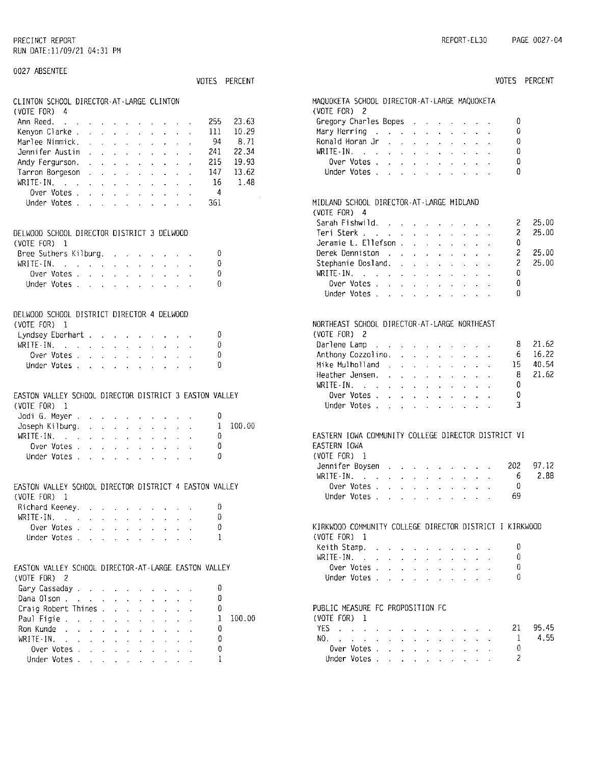$\overline{c}$ 

Under Votes . . . . . . . . . . .

| 0027 ABSENTEE                                                                                                                                                                                                                      |                                                                                                                 |
|------------------------------------------------------------------------------------------------------------------------------------------------------------------------------------------------------------------------------------|-----------------------------------------------------------------------------------------------------------------|
| VOTES PERCENT                                                                                                                                                                                                                      | VOTES PERCENT                                                                                                   |
| CLINTON SCHOOL DIRECTOR AT LARGE CLINTON<br>(VOTE FOR) 4                                                                                                                                                                           | MAQUOKETA SCHOOL DIRECTOR-AT-LARGE MAQUOKETA<br>(VOTE FOR) 2                                                    |
| Ann Reed.<br>255<br>23.63<br>والقارب والقارب والمتعارف القارب والقاربون                                                                                                                                                            | Gregory Charles Bopes (All Allence All Allence All Allence All Allence All<br>0                                 |
| 10.29<br>Kenyon Clarke<br>111                                                                                                                                                                                                      | 0<br>Mary Herring                                                                                               |
| 8.71<br>Marlee Nimmick.<br>-94                                                                                                                                                                                                     | 0<br>Ronald Horan Jr.                                                                                           |
| 22.34<br>Jennifer Austin<br>241                                                                                                                                                                                                    | 0<br>WRITE-IN.                                                                                                  |
| 215<br>19,93<br>Andy Fergurson.                                                                                                                                                                                                    | 0<br>Over Votes $\cdot$ $\cdot$ $\cdot$ $\cdot$ $\cdot$ $\cdot$                                                 |
| 13.62<br>Tarron Borgeson<br>147                                                                                                                                                                                                    | 0<br>Under Votes                                                                                                |
| 16<br>1.48<br>WRITE-IN, when the same is a set of the set of $\mathbb{R}^n$                                                                                                                                                        |                                                                                                                 |
| Over Votes<br>4                                                                                                                                                                                                                    |                                                                                                                 |
| 361<br>Under Votes                                                                                                                                                                                                                 | MIDLAND SCHOOL DIRECTOR-AT-LARGE MIDLAND                                                                        |
|                                                                                                                                                                                                                                    | (VOTE FOR) $4$                                                                                                  |
|                                                                                                                                                                                                                                    | 25.00<br>2<br>Sarah Fishwild.                                                                                   |
| DELWOOD SCHOOL DIRECTOR DISTRICT 3 DELWOOD                                                                                                                                                                                         | 25.00<br>2<br>Teri Sterk                                                                                        |
| (VOTE FOR) 1                                                                                                                                                                                                                       | Jeramie L. Ellefson,<br>0                                                                                       |
| Bree Suthers Kilburg.<br>0                                                                                                                                                                                                         | 25.00<br>Derek Denniston                                                                                        |
| 0<br>WRITE-IN.                                                                                                                                                                                                                     | 25.00<br>2<br>Stephanie Dosland.                                                                                |
| 0<br>Over Votes                                                                                                                                                                                                                    | 0<br>WRITE-IN.                                                                                                  |
| 0<br>Under Votes                                                                                                                                                                                                                   | 0<br>Over Votes, $\cdot$ , $\cdot$ , $\cdot$ , $\cdot$ , $\cdot$                                                |
|                                                                                                                                                                                                                                    | Ű<br>Under Votes,                                                                                               |
|                                                                                                                                                                                                                                    |                                                                                                                 |
| DELWOOD SCHOOL DISTRICT DIRECTOR 4 DELWOOD                                                                                                                                                                                         |                                                                                                                 |
| (VOTE FOR) 1                                                                                                                                                                                                                       | NORTHEAST SCHOOL DIRECTOR-AT-LARGE NORTHEAST                                                                    |
| 0<br>Lyndsey Eberhart                                                                                                                                                                                                              | (VOTE FOR) 2                                                                                                    |
| 0<br>WRITE-IN. $\cdots$ $\cdots$ $\cdots$                                                                                                                                                                                          | 21.62<br>Darlene Lamp<br>8<br>and a strategic and a strategic and                                               |
| 0<br>Over Votes                                                                                                                                                                                                                    | 16.22<br>Anthony Cozzolino.<br>6<br>and the company of the company of                                           |
| 0<br>Under Votes                                                                                                                                                                                                                   | 40.54<br>15<br>Mike Mulholland                                                                                  |
|                                                                                                                                                                                                                                    | 8<br>21.62<br>Heather Jensen, , , , , , ,                                                                       |
|                                                                                                                                                                                                                                    | 0<br>WRITE-IN. $\cdots$ $\cdots$ $\cdots$                                                                       |
| EASTON VALLEY SCHOOL DIRECTOR DISTRICT 3 EASTON VALLEY                                                                                                                                                                             | 0<br>Over Votes                                                                                                 |
| (VOTE FOR) 1                                                                                                                                                                                                                       | 3<br>Under Votes, , , , , , ,                                                                                   |
| Jodi G. Meyer<br>0                                                                                                                                                                                                                 |                                                                                                                 |
| 100.00<br>Joseph Kilburg.<br>1                                                                                                                                                                                                     | EASTERN IOWA COMMUNITY COLLEGE DIRECTOR DISTRICT VI                                                             |
| WRITE - IN $\mathcal{L} = \mathcal{L} \times \mathcal{L} = \mathcal{L} \times \mathcal{L} \times \mathcal{L} \times \mathcal{L} \times \mathcal{L} \times \mathcal{L} \times \mathcal{L}$<br>0                                     |                                                                                                                 |
| 0<br>Over Votes<br>0                                                                                                                                                                                                               | EASTERN IOWA<br>(VOTE FOR) 1                                                                                    |
| Under Votes                                                                                                                                                                                                                        | 97.12<br>202                                                                                                    |
|                                                                                                                                                                                                                                    | Jennifer Boysen<br>2.88<br>6<br>WRITE IN.                                                                       |
|                                                                                                                                                                                                                                    | the contract of the contract of the con-<br>Over Votes<br>0                                                     |
| EASTON VALLEY SCHOOL DIRECTOR DISTRICT 4 EASTON VALLEY                                                                                                                                                                             | 69<br>Under Votes                                                                                               |
| (VOTE FOR) $1$                                                                                                                                                                                                                     | the contract of the contract of the contract of the contract of the contract of the contract of the contract of |
| Richard Keeney.<br>0<br>0                                                                                                                                                                                                          |                                                                                                                 |
| WRITE-IN.                                                                                                                                                                                                                          | KIRKWOOD COMMUNITY COLLEGE DIRECTOR DISTRICT I KIRKWOOD                                                         |
| Over Votes<br>0<br>1                                                                                                                                                                                                               |                                                                                                                 |
| Under Votes                                                                                                                                                                                                                        | (VOTE FOR) 1<br>0                                                                                               |
|                                                                                                                                                                                                                                    | Keith Stamp.<br>0                                                                                               |
| EASTON VALLEY SCHOOL DIRECTOR-AT-LARGE EASTON VALLEY                                                                                                                                                                               | WRITE IN. $\ldots$ $\ldots$ $\ldots$ $\ldots$<br>0<br>Over Votes                                                |
|                                                                                                                                                                                                                                    | 0<br>Under Votes                                                                                                |
| (VOTE FOR) 2                                                                                                                                                                                                                       |                                                                                                                 |
| Gary Cassaday<br>0                                                                                                                                                                                                                 |                                                                                                                 |
| Dana Olson<br>0                                                                                                                                                                                                                    | PUBLIC MEASURE FC PROPOSITION FC                                                                                |
| Craig Robert Thines<br>0                                                                                                                                                                                                           |                                                                                                                 |
| 100.00<br>Paul Figie de la contra la contra la contra la contra la contra la contra la contra la contra la contra la con<br>J.                                                                                                     | (VOTE FOR) 1<br>95.45                                                                                           |
| Ron Kunde<br>0                                                                                                                                                                                                                     | 21<br>YES<br>4.55                                                                                               |
| WRITE-IN, when the contract of the contract of the contract of the contract of the contract of the contract of the contract of the contract of the contract of the contract of the contract of the contract of the contract o<br>0 | -1<br>NO.                                                                                                       |
| 0<br>Over Votes                                                                                                                                                                                                                    | Over Votes<br>0                                                                                                 |

 $\mathbf{1}$ 

Under Votes . . . . . . . . . . .